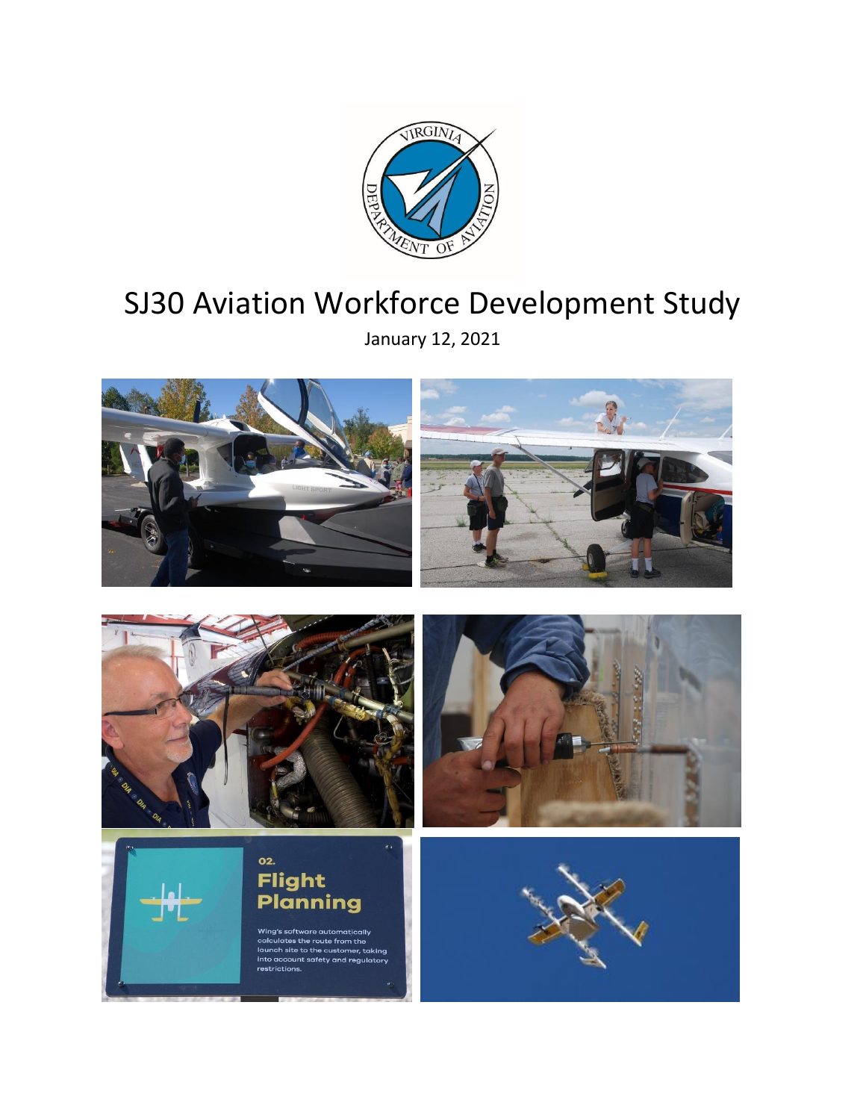

# SJ30 Aviation Workforce Development Study

January 12, 2021

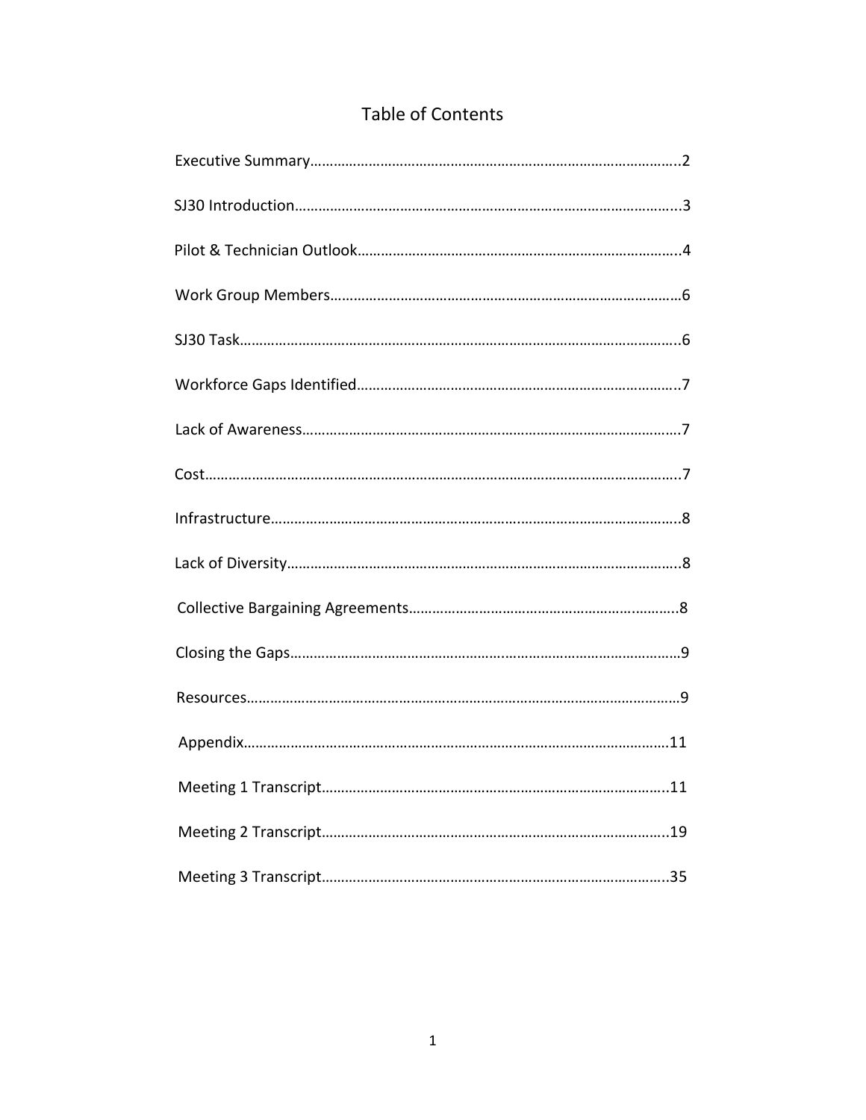| <b>Table of Contents</b> |
|--------------------------|
|--------------------------|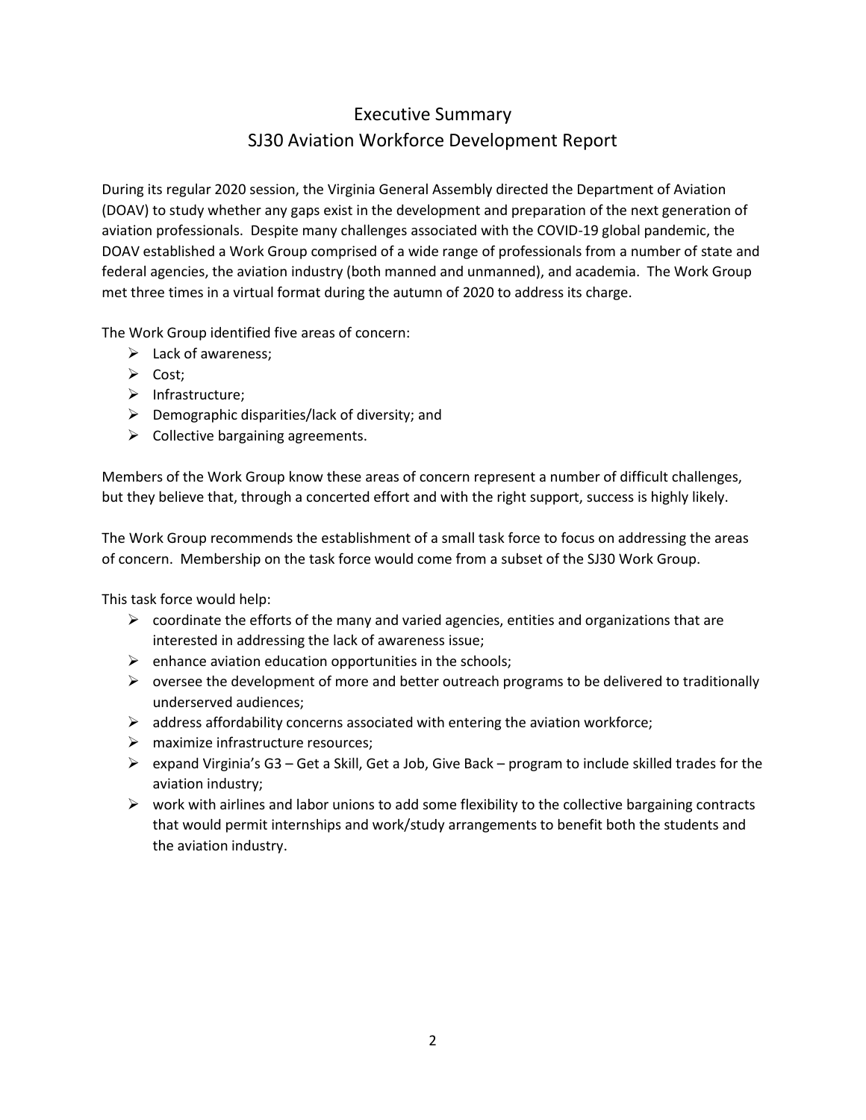# Executive Summary SJ30 Aviation Workforce Development Report

During its regular 2020 session, the Virginia General Assembly directed the Department of Aviation (DOAV) to study whether any gaps exist in the development and preparation of the next generation of aviation professionals. Despite many challenges associated with the COVID-19 global pandemic, the DOAV established a Work Group comprised of a wide range of professionals from a number of state and federal agencies, the aviation industry (both manned and unmanned), and academia. The Work Group met three times in a virtual format during the autumn of 2020 to address its charge.

The Work Group identified five areas of concern:

- $\blacktriangleright$  Lack of awareness;
- $\triangleright$  Cost;
- $\triangleright$  Infrastructure;
- $\triangleright$  Demographic disparities/lack of diversity; and
- $\triangleright$  Collective bargaining agreements.

Members of the Work Group know these areas of concern represent a number of difficult challenges, but they believe that, through a concerted effort and with the right support, success is highly likely.

The Work Group recommends the establishment of a small task force to focus on addressing the areas of concern. Membership on the task force would come from a subset of the SJ30 Work Group.

This task force would help:

- $\triangleright$  coordinate the efforts of the many and varied agencies, entities and organizations that are interested in addressing the lack of awareness issue;
- $\triangleright$  enhance aviation education opportunities in the schools;
- $\triangleright$  oversee the development of more and better outreach programs to be delivered to traditionally underserved audiences;
- $\triangleright$  address affordability concerns associated with entering the aviation workforce;
- $\triangleright$  maximize infrastructure resources:
- $\triangleright$  expand Virginia's G3 Get a Skill, Get a Job, Give Back program to include skilled trades for the aviation industry;
- $\triangleright$  work with airlines and labor unions to add some flexibility to the collective bargaining contracts that would permit internships and work/study arrangements to benefit both the students and the aviation industry.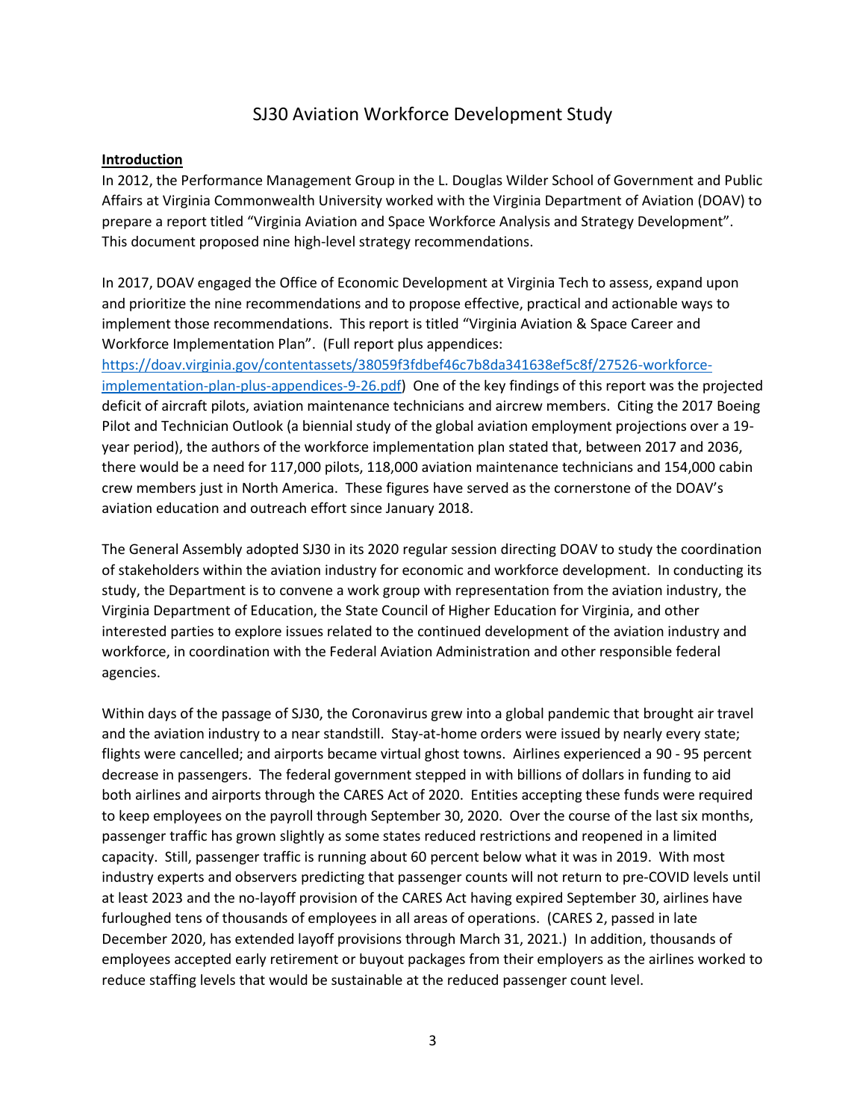# SJ30 Aviation Workforce Development Study

#### **Introduction**

In 2012, the Performance Management Group in the L. Douglas Wilder School of Government and Public Affairs at Virginia Commonwealth University worked with the Virginia Department of Aviation (DOAV) to prepare a report titled "Virginia Aviation and Space Workforce Analysis and Strategy Development". This document proposed nine high-level strategy recommendations.

In 2017, DOAV engaged the Office of Economic Development at Virginia Tech to assess, expand upon and prioritize the nine recommendations and to propose effective, practical and actionable ways to implement those recommendations. This report is titled "Virginia Aviation & Space Career and Workforce Implementation Plan". (Full report plus appendices:

[https://doav.virginia.gov/contentassets/38059f3fdbef46c7b8da341638ef5c8f/27526-workforce](https://doav.virginia.gov/contentassets/38059f3fdbef46c7b8da341638ef5c8f/27526-workforce-implementation-plan-plus-appendices-9-26.pdf)[implementation-plan-plus-appendices-9-26.pdf\)](https://doav.virginia.gov/contentassets/38059f3fdbef46c7b8da341638ef5c8f/27526-workforce-implementation-plan-plus-appendices-9-26.pdf) One of the key findings of this report was the projected deficit of aircraft pilots, aviation maintenance technicians and aircrew members. Citing the 2017 Boeing Pilot and Technician Outlook (a biennial study of the global aviation employment projections over a 19 year period), the authors of the workforce implementation plan stated that, between 2017 and 2036, there would be a need for 117,000 pilots, 118,000 aviation maintenance technicians and 154,000 cabin crew members just in North America. These figures have served as the cornerstone of the DOAV's aviation education and outreach effort since January 2018.

The General Assembly adopted SJ30 in its 2020 regular session directing DOAV to study the coordination of stakeholders within the aviation industry for economic and workforce development. In conducting its study, the Department is to convene a work group with representation from the aviation industry, the Virginia Department of Education, the State Council of Higher Education for Virginia, and other interested parties to explore issues related to the continued development of the aviation industry and workforce, in coordination with the Federal Aviation Administration and other responsible federal agencies.

Within days of the passage of SJ30, the Coronavirus grew into a global pandemic that brought air travel and the aviation industry to a near standstill. Stay-at-home orders were issued by nearly every state; flights were cancelled; and airports became virtual ghost towns. Airlines experienced a 90 - 95 percent decrease in passengers. The federal government stepped in with billions of dollars in funding to aid both airlines and airports through the CARES Act of 2020. Entities accepting these funds were required to keep employees on the payroll through September 30, 2020. Over the course of the last six months, passenger traffic has grown slightly as some states reduced restrictions and reopened in a limited capacity. Still, passenger traffic is running about 60 percent below what it was in 2019. With most industry experts and observers predicting that passenger counts will not return to pre-COVID levels until at least 2023 and the no-layoff provision of the CARES Act having expired September 30, airlines have furloughed tens of thousands of employees in all areas of operations. (CARES 2, passed in late December 2020, has extended layoff provisions through March 31, 2021.) In addition, thousands of employees accepted early retirement or buyout packages from their employers as the airlines worked to reduce staffing levels that would be sustainable at the reduced passenger count level.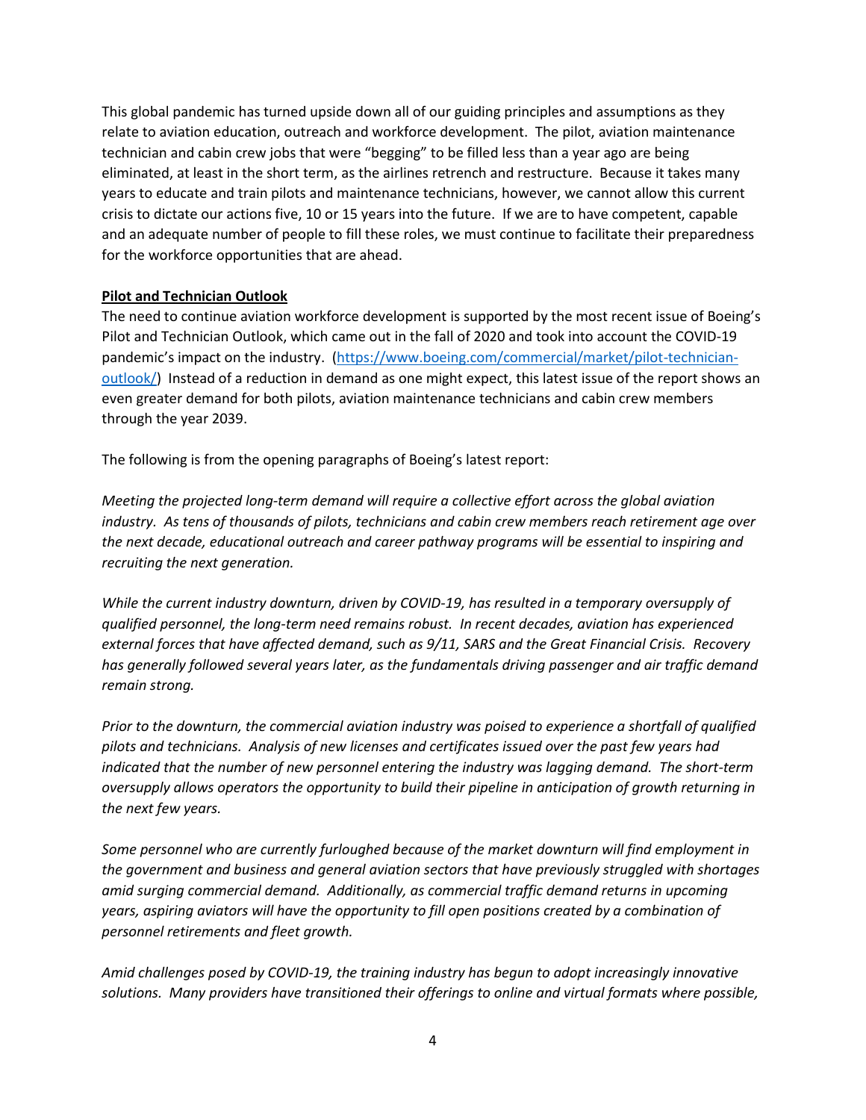This global pandemic has turned upside down all of our guiding principles and assumptions as they relate to aviation education, outreach and workforce development. The pilot, aviation maintenance technician and cabin crew jobs that were "begging" to be filled less than a year ago are being eliminated, at least in the short term, as the airlines retrench and restructure. Because it takes many years to educate and train pilots and maintenance technicians, however, we cannot allow this current crisis to dictate our actions five, 10 or 15 years into the future. If we are to have competent, capable and an adequate number of people to fill these roles, we must continue to facilitate their preparedness for the workforce opportunities that are ahead.

#### **Pilot and Technician Outlook**

The need to continue aviation workforce development is supported by the most recent issue of Boeing's Pilot and Technician Outlook, which came out in the fall of 2020 and took into account the COVID-19 pandemic's impact on the industry. [\(https://www.boeing.com/commercial/market/pilot-technician](https://www.boeing.com/commercial/market/pilot-technician-outlook/)[outlook/\)](https://www.boeing.com/commercial/market/pilot-technician-outlook/) Instead of a reduction in demand as one might expect, this latest issue of the report shows an even greater demand for both pilots, aviation maintenance technicians and cabin crew members through the year 2039.

The following is from the opening paragraphs of Boeing's latest report:

*Meeting the projected long-term demand will require a collective effort across the global aviation industry. As tens of thousands of pilots, technicians and cabin crew members reach retirement age over the next decade, educational outreach and career pathway programs will be essential to inspiring and recruiting the next generation.*

*While the current industry downturn, driven by COVID-19, has resulted in a temporary oversupply of qualified personnel, the long-term need remains robust. In recent decades, aviation has experienced external forces that have affected demand, such as 9/11, SARS and the Great Financial Crisis. Recovery has generally followed several years later, as the fundamentals driving passenger and air traffic demand remain strong.*

*Prior to the downturn, the commercial aviation industry was poised to experience a shortfall of qualified pilots and technicians. Analysis of new licenses and certificates issued over the past few years had indicated that the number of new personnel entering the industry was lagging demand. The short-term oversupply allows operators the opportunity to build their pipeline in anticipation of growth returning in the next few years.*

*Some personnel who are currently furloughed because of the market downturn will find employment in the government and business and general aviation sectors that have previously struggled with shortages amid surging commercial demand. Additionally, as commercial traffic demand returns in upcoming years, aspiring aviators will have the opportunity to fill open positions created by a combination of personnel retirements and fleet growth.*

*Amid challenges posed by COVID-19, the training industry has begun to adopt increasingly innovative solutions. Many providers have transitioned their offerings to online and virtual formats where possible,*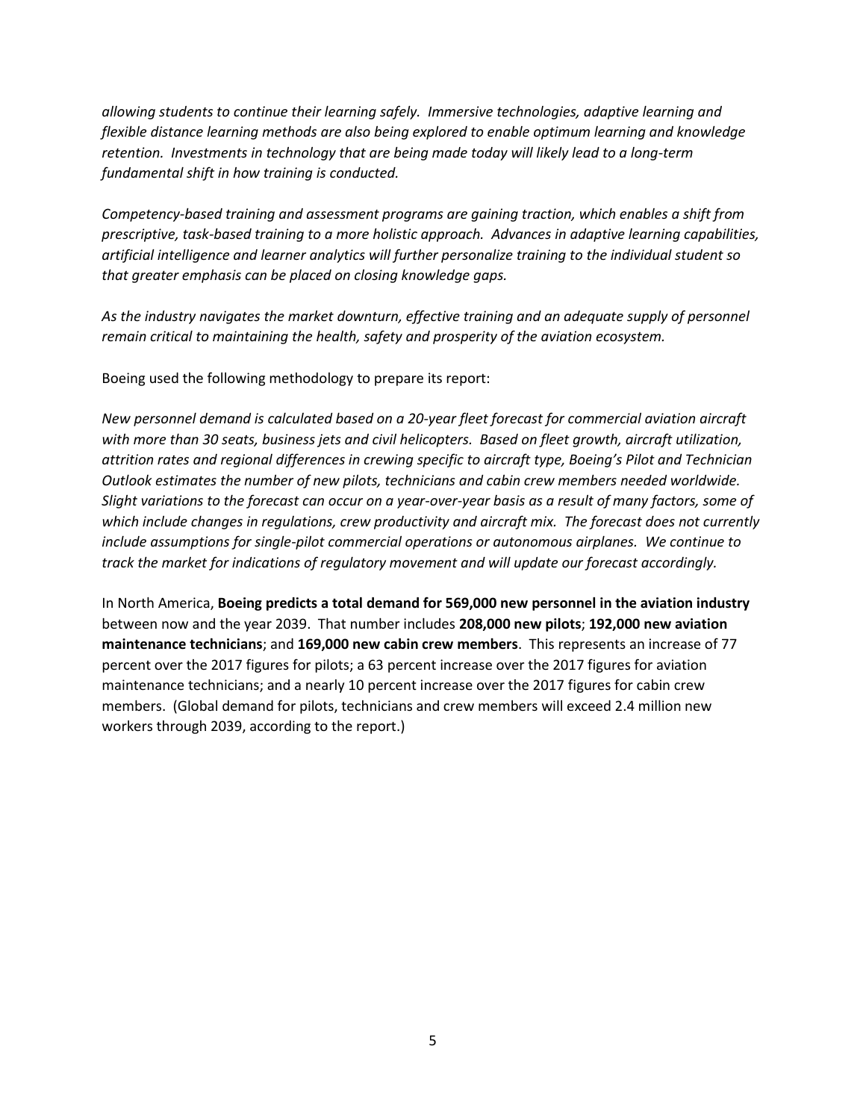*allowing students to continue their learning safely. Immersive technologies, adaptive learning and flexible distance learning methods are also being explored to enable optimum learning and knowledge retention. Investments in technology that are being made today will likely lead to a long-term fundamental shift in how training is conducted.*

*Competency-based training and assessment programs are gaining traction, which enables a shift from prescriptive, task-based training to a more holistic approach. Advances in adaptive learning capabilities, artificial intelligence and learner analytics will further personalize training to the individual student so that greater emphasis can be placed on closing knowledge gaps.*

As the industry navigates the market downturn, effective training and an adequate supply of personnel *remain critical to maintaining the health, safety and prosperity of the aviation ecosystem.*

Boeing used the following methodology to prepare its report:

*New personnel demand is calculated based on a 20-year fleet forecast for commercial aviation aircraft with more than 30 seats, business jets and civil helicopters. Based on fleet growth, aircraft utilization, attrition rates and regional differences in crewing specific to aircraft type, Boeing's Pilot and Technician Outlook estimates the number of new pilots, technicians and cabin crew members needed worldwide. Slight variations to the forecast can occur on a year-over-year basis as a result of many factors, some of which include changes in regulations, crew productivity and aircraft mix. The forecast does not currently include assumptions for single-pilot commercial operations or autonomous airplanes. We continue to track the market for indications of regulatory movement and will update our forecast accordingly.*

In North America, **Boeing predicts a total demand for 569,000 new personnel in the aviation industry** between now and the year 2039. That number includes **208,000 new pilots**; **192,000 new aviation maintenance technicians**; and **169,000 new cabin crew members**. This represents an increase of 77 percent over the 2017 figures for pilots; a 63 percent increase over the 2017 figures for aviation maintenance technicians; and a nearly 10 percent increase over the 2017 figures for cabin crew members. (Global demand for pilots, technicians and crew members will exceed 2.4 million new workers through 2039, according to the report.)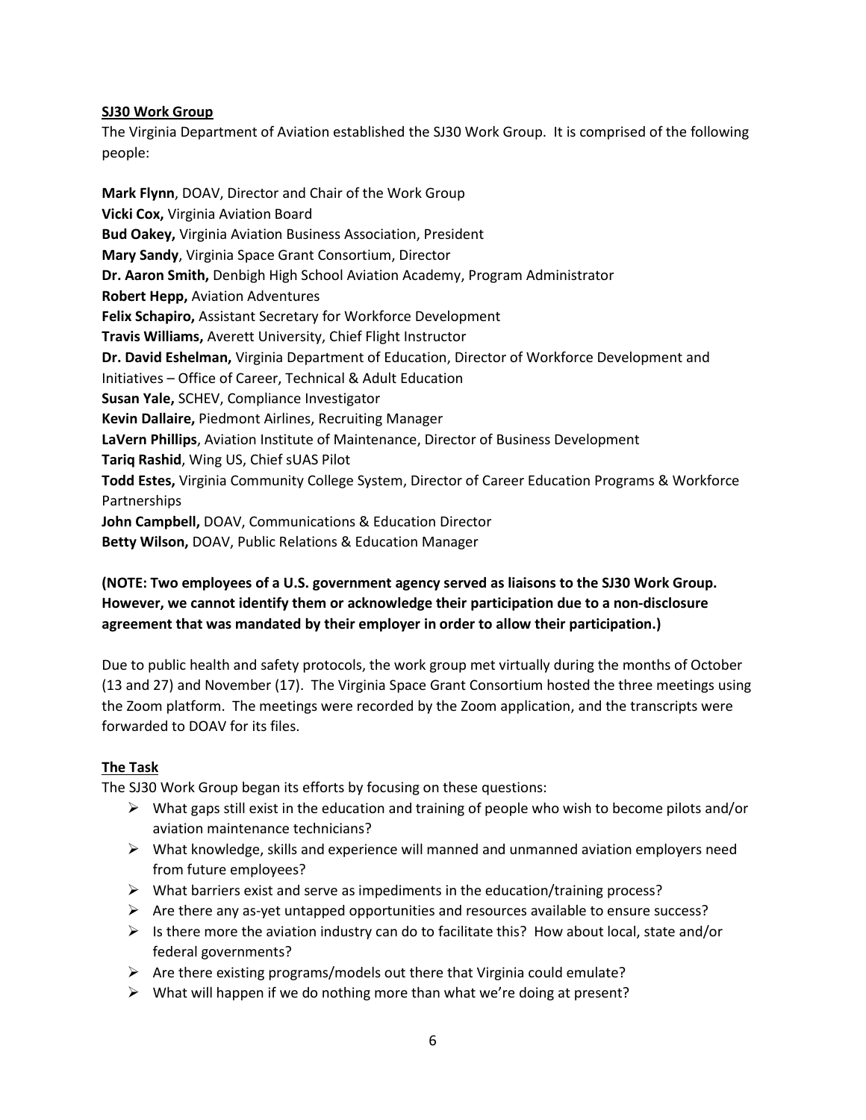#### **SJ30 Work Group**

The Virginia Department of Aviation established the SJ30 Work Group. It is comprised of the following people:

**Mark Flynn**, DOAV, Director and Chair of the Work Group **Vicki Cox,** Virginia Aviation Board **Bud Oakey,** Virginia Aviation Business Association, President **Mary Sandy**, Virginia Space Grant Consortium, Director **Dr. Aaron Smith,** Denbigh High School Aviation Academy, Program Administrator **Robert Hepp,** Aviation Adventures **Felix Schapiro,** Assistant Secretary for Workforce Development **Travis Williams,** Averett University, Chief Flight Instructor **Dr. David Eshelman,** Virginia Department of Education, Director of Workforce Development and Initiatives – Office of Career, Technical & Adult Education **Susan Yale,** SCHEV, Compliance Investigator **Kevin Dallaire,** Piedmont Airlines, Recruiting Manager **LaVern Phillips**, Aviation Institute of Maintenance, Director of Business Development **Tariq Rashid**, Wing US, Chief sUAS Pilot **Todd Estes,** Virginia Community College System, Director of Career Education Programs & Workforce Partnerships **John Campbell,** DOAV, Communications & Education Director **Betty Wilson,** DOAV, Public Relations & Education Manager

## **(NOTE: Two employees of a U.S. government agency served as liaisons to the SJ30 Work Group. However, we cannot identify them or acknowledge their participation due to a non-disclosure agreement that was mandated by their employer in order to allow their participation.)**

Due to public health and safety protocols, the work group met virtually during the months of October (13 and 27) and November (17). The Virginia Space Grant Consortium hosted the three meetings using the Zoom platform. The meetings were recorded by the Zoom application, and the transcripts were forwarded to DOAV for its files.

## **The Task**

The SJ30 Work Group began its efforts by focusing on these questions:

- $\triangleright$  What gaps still exist in the education and training of people who wish to become pilots and/or aviation maintenance technicians?
- $\triangleright$  What knowledge, skills and experience will manned and unmanned aviation employers need from future employees?
- $\triangleright$  What barriers exist and serve as impediments in the education/training process?
- $\triangleright$  Are there any as-yet untapped opportunities and resources available to ensure success?
- $\triangleright$  Is there more the aviation industry can do to facilitate this? How about local, state and/or federal governments?
- $\triangleright$  Are there existing programs/models out there that Virginia could emulate?
- $\triangleright$  What will happen if we do nothing more than what we're doing at present?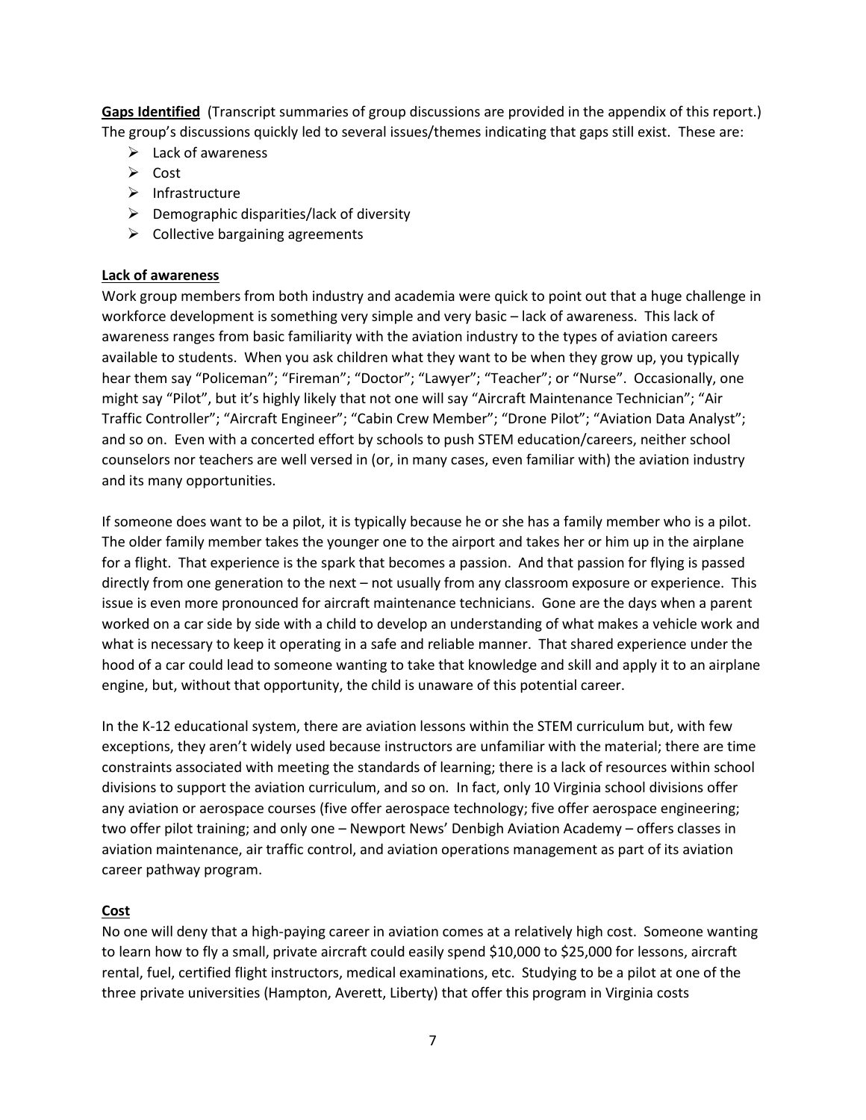**Gaps Identified** (Transcript summaries of group discussions are provided in the appendix of this report.) The group's discussions quickly led to several issues/themes indicating that gaps still exist. These are:

- $\triangleright$  Lack of awareness
- $\triangleright$  Cost
- $\triangleright$  Infrastructure
- $\triangleright$  Demographic disparities/lack of diversity
- $\triangleright$  Collective bargaining agreements

#### **Lack of awareness**

Work group members from both industry and academia were quick to point out that a huge challenge in workforce development is something very simple and very basic – lack of awareness. This lack of awareness ranges from basic familiarity with the aviation industry to the types of aviation careers available to students. When you ask children what they want to be when they grow up, you typically hear them say "Policeman"; "Fireman"; "Doctor"; "Lawyer"; "Teacher"; or "Nurse". Occasionally, one might say "Pilot", but it's highly likely that not one will say "Aircraft Maintenance Technician"; "Air Traffic Controller"; "Aircraft Engineer"; "Cabin Crew Member"; "Drone Pilot"; "Aviation Data Analyst"; and so on. Even with a concerted effort by schools to push STEM education/careers, neither school counselors nor teachers are well versed in (or, in many cases, even familiar with) the aviation industry and its many opportunities.

If someone does want to be a pilot, it is typically because he or she has a family member who is a pilot. The older family member takes the younger one to the airport and takes her or him up in the airplane for a flight. That experience is the spark that becomes a passion. And that passion for flying is passed directly from one generation to the next – not usually from any classroom exposure or experience. This issue is even more pronounced for aircraft maintenance technicians. Gone are the days when a parent worked on a car side by side with a child to develop an understanding of what makes a vehicle work and what is necessary to keep it operating in a safe and reliable manner. That shared experience under the hood of a car could lead to someone wanting to take that knowledge and skill and apply it to an airplane engine, but, without that opportunity, the child is unaware of this potential career.

In the K-12 educational system, there are aviation lessons within the STEM curriculum but, with few exceptions, they aren't widely used because instructors are unfamiliar with the material; there are time constraints associated with meeting the standards of learning; there is a lack of resources within school divisions to support the aviation curriculum, and so on. In fact, only 10 Virginia school divisions offer any aviation or aerospace courses (five offer aerospace technology; five offer aerospace engineering; two offer pilot training; and only one – Newport News' Denbigh Aviation Academy – offers classes in aviation maintenance, air traffic control, and aviation operations management as part of its aviation career pathway program.

#### **Cost**

No one will deny that a high-paying career in aviation comes at a relatively high cost. Someone wanting to learn how to fly a small, private aircraft could easily spend \$10,000 to \$25,000 for lessons, aircraft rental, fuel, certified flight instructors, medical examinations, etc. Studying to be a pilot at one of the three private universities (Hampton, Averett, Liberty) that offer this program in Virginia costs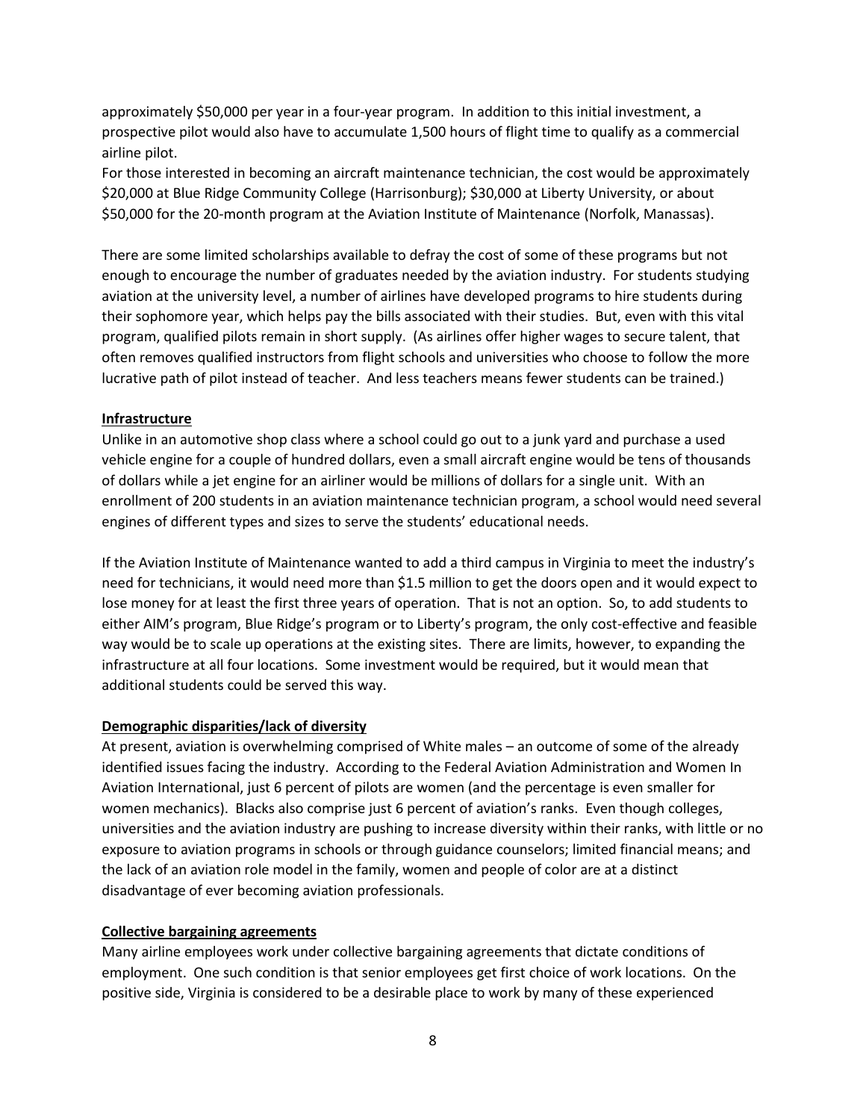approximately \$50,000 per year in a four-year program. In addition to this initial investment, a prospective pilot would also have to accumulate 1,500 hours of flight time to qualify as a commercial airline pilot.

For those interested in becoming an aircraft maintenance technician, the cost would be approximately \$20,000 at Blue Ridge Community College (Harrisonburg); \$30,000 at Liberty University, or about \$50,000 for the 20-month program at the Aviation Institute of Maintenance (Norfolk, Manassas).

There are some limited scholarships available to defray the cost of some of these programs but not enough to encourage the number of graduates needed by the aviation industry. For students studying aviation at the university level, a number of airlines have developed programs to hire students during their sophomore year, which helps pay the bills associated with their studies. But, even with this vital program, qualified pilots remain in short supply. (As airlines offer higher wages to secure talent, that often removes qualified instructors from flight schools and universities who choose to follow the more lucrative path of pilot instead of teacher. And less teachers means fewer students can be trained.)

#### **Infrastructure**

Unlike in an automotive shop class where a school could go out to a junk yard and purchase a used vehicle engine for a couple of hundred dollars, even a small aircraft engine would be tens of thousands of dollars while a jet engine for an airliner would be millions of dollars for a single unit. With an enrollment of 200 students in an aviation maintenance technician program, a school would need several engines of different types and sizes to serve the students' educational needs.

If the Aviation Institute of Maintenance wanted to add a third campus in Virginia to meet the industry's need for technicians, it would need more than \$1.5 million to get the doors open and it would expect to lose money for at least the first three years of operation. That is not an option. So, to add students to either AIM's program, Blue Ridge's program or to Liberty's program, the only cost-effective and feasible way would be to scale up operations at the existing sites. There are limits, however, to expanding the infrastructure at all four locations. Some investment would be required, but it would mean that additional students could be served this way.

#### **Demographic disparities/lack of diversity**

At present, aviation is overwhelming comprised of White males – an outcome of some of the already identified issues facing the industry. According to the Federal Aviation Administration and Women In Aviation International, just 6 percent of pilots are women (and the percentage is even smaller for women mechanics). Blacks also comprise just 6 percent of aviation's ranks. Even though colleges, universities and the aviation industry are pushing to increase diversity within their ranks, with little or no exposure to aviation programs in schools or through guidance counselors; limited financial means; and the lack of an aviation role model in the family, women and people of color are at a distinct disadvantage of ever becoming aviation professionals.

#### **Collective bargaining agreements**

Many airline employees work under collective bargaining agreements that dictate conditions of employment. One such condition is that senior employees get first choice of work locations. On the positive side, Virginia is considered to be a desirable place to work by many of these experienced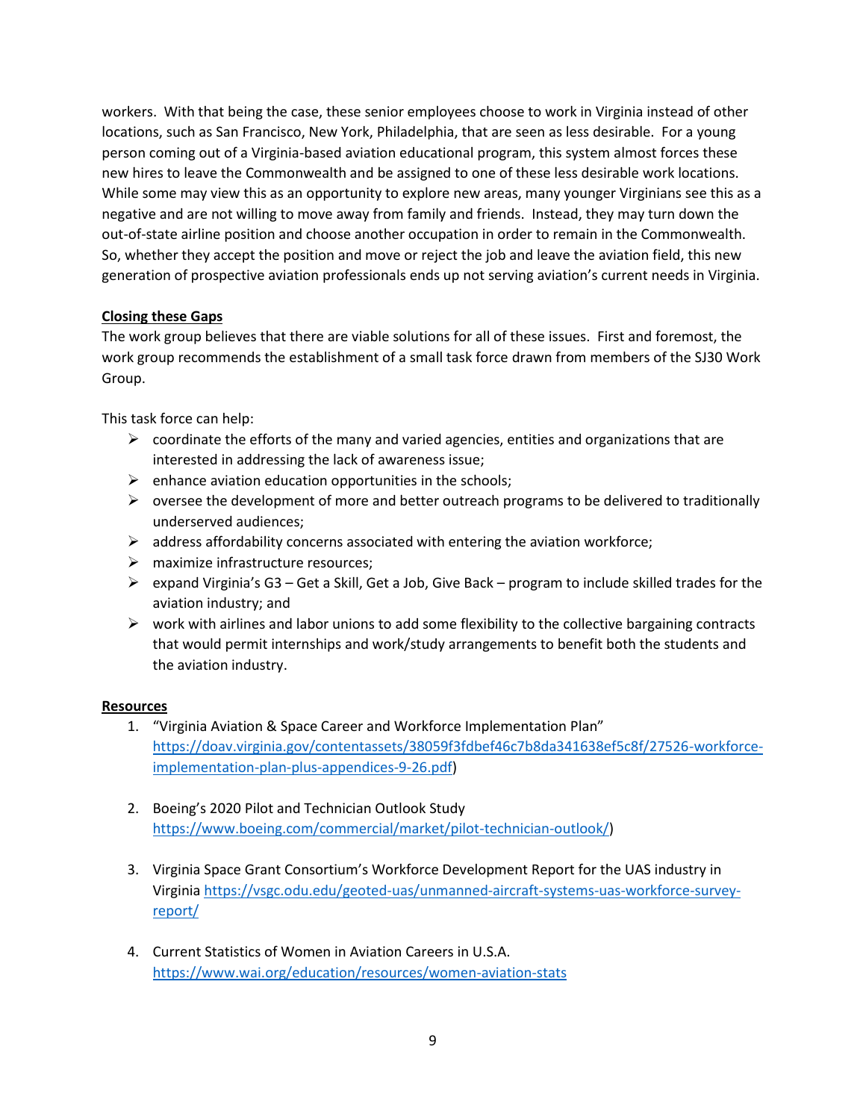workers. With that being the case, these senior employees choose to work in Virginia instead of other locations, such as San Francisco, New York, Philadelphia, that are seen as less desirable. For a young person coming out of a Virginia-based aviation educational program, this system almost forces these new hires to leave the Commonwealth and be assigned to one of these less desirable work locations. While some may view this as an opportunity to explore new areas, many younger Virginians see this as a negative and are not willing to move away from family and friends. Instead, they may turn down the out-of-state airline position and choose another occupation in order to remain in the Commonwealth. So, whether they accept the position and move or reject the job and leave the aviation field, this new generation of prospective aviation professionals ends up not serving aviation's current needs in Virginia.

#### **Closing these Gaps**

The work group believes that there are viable solutions for all of these issues. First and foremost, the work group recommends the establishment of a small task force drawn from members of the SJ30 Work Group.

This task force can help:

- $\triangleright$  coordinate the efforts of the many and varied agencies, entities and organizations that are interested in addressing the lack of awareness issue;
- $\triangleright$  enhance aviation education opportunities in the schools;
- $\triangleright$  oversee the development of more and better outreach programs to be delivered to traditionally underserved audiences;
- $\triangleright$  address affordability concerns associated with entering the aviation workforce;
- $\triangleright$  maximize infrastructure resources:
- $\triangleright$  expand Virginia's G3 Get a Skill, Get a Job, Give Back program to include skilled trades for the aviation industry; and
- $\triangleright$  work with airlines and labor unions to add some flexibility to the collective bargaining contracts that would permit internships and work/study arrangements to benefit both the students and the aviation industry.

#### **Resources**

- 1. "Virginia Aviation & Space Career and Workforce Implementation Plan" [https://doav.virginia.gov/contentassets/38059f3fdbef46c7b8da341638ef5c8f/27526-workforce](https://doav.virginia.gov/contentassets/38059f3fdbef46c7b8da341638ef5c8f/27526-workforce-implementation-plan-plus-appendices-9-26.pdf)[implementation-plan-plus-appendices-9-26.pdf\)](https://doav.virginia.gov/contentassets/38059f3fdbef46c7b8da341638ef5c8f/27526-workforce-implementation-plan-plus-appendices-9-26.pdf)
- 2. Boeing's 2020 Pilot and Technician Outlook Study [https://www.boeing.com/commercial/market/pilot-technician-outlook/\)](https://www.boeing.com/commercial/market/pilot-technician-outlook/)
- 3. Virginia Space Grant Consortium's Workforce Development Report for the UAS industry in Virginia [https://vsgc.odu.edu/geoted-uas/unmanned-aircraft-systems-uas-workforce-survey](https://vsgc.odu.edu/geoted-uas/unmanned-aircraft-systems-uas-workforce-survey-report/)[report/](https://vsgc.odu.edu/geoted-uas/unmanned-aircraft-systems-uas-workforce-survey-report/)
- 4. Current Statistics of Women in Aviation Careers in U.S.A. <https://www.wai.org/education/resources/women-aviation-stats>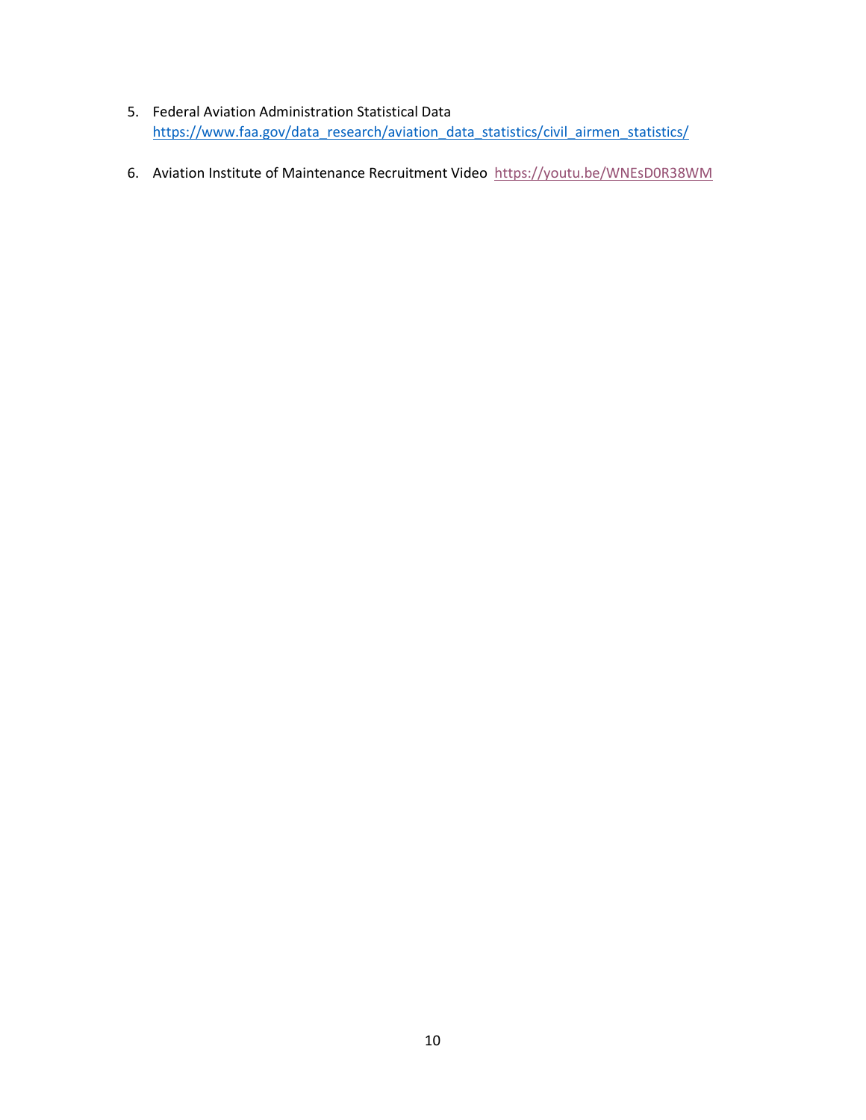- 5. Federal Aviation Administration Statistical Data [https://www.faa.gov/data\\_research/aviation\\_data\\_statistics/civil\\_airmen\\_statistics/](https://www.faa.gov/data_research/aviation_data_statistics/civil_airmen_statistics/)
- 6. Aviation Institute of Maintenance Recruitment Video<https://youtu.be/WNEsD0R38WM>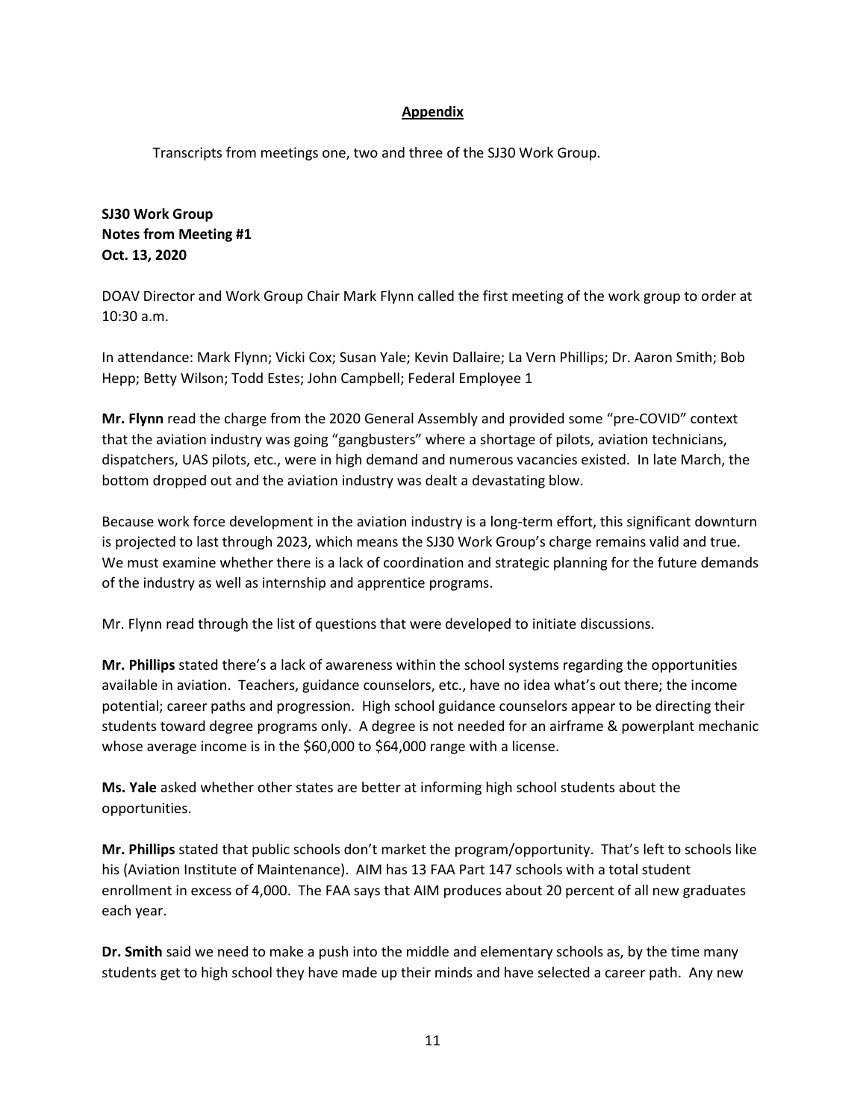#### **Appendix**

Transcripts from meetings one, two and three of the SJ30 Work Group.

**SJ30 Work Group Notes from Meeting #1 Oct. 13, 2020**

DOAV Director and Work Group Chair Mark Flynn called the first meeting of the work group to order at 10:30 a.m.

In attendance: Mark Flynn; Vicki Cox; Susan Yale; Kevin Dallaire; La Vern Phillips; Dr. Aaron Smith; Bob Hepp; Betty Wilson; Todd Estes; John Campbell; Federal Employee 1

**Mr. Flynn** read the charge from the 2020 General Assembly and provided some "pre-COVID" context that the aviation industry was going "gangbusters" where a shortage of pilots, aviation technicians, dispatchers, UAS pilots, etc., were in high demand and numerous vacancies existed. In late March, the bottom dropped out and the aviation industry was dealt a devastating blow.

Because work force development in the aviation industry is a long-term effort, this significant downturn is projected to last through 2023, which means the SJ30 Work Group's charge remains valid and true. We must examine whether there is a lack of coordination and strategic planning for the future demands of the industry as well as internship and apprentice programs.

Mr. Flynn read through the list of questions that were developed to initiate discussions.

**Mr. Phillips** stated there's a lack of awareness within the school systems regarding the opportunities available in aviation. Teachers, guidance counselors, etc., have no idea what's out there; the income potential; career paths and progression. High school guidance counselors appear to be directing their students toward degree programs only. A degree is not needed for an airframe & powerplant mechanic whose average income is in the \$60,000 to \$64,000 range with a license.

**Ms. Yale** asked whether other states are better at informing high school students about the opportunities.

**Mr. Phillips** stated that public schools don't market the program/opportunity. That's left to schools like his (Aviation Institute of Maintenance). AIM has 13 FAA Part 147 schools with a total student enrollment in excess of 4,000. The FAA says that AIM produces about 20 percent of all new graduates each year.

**Dr. Smith** said we need to make a push into the middle and elementary schools as, by the time many students get to high school they have made up their minds and have selected a career path. Any new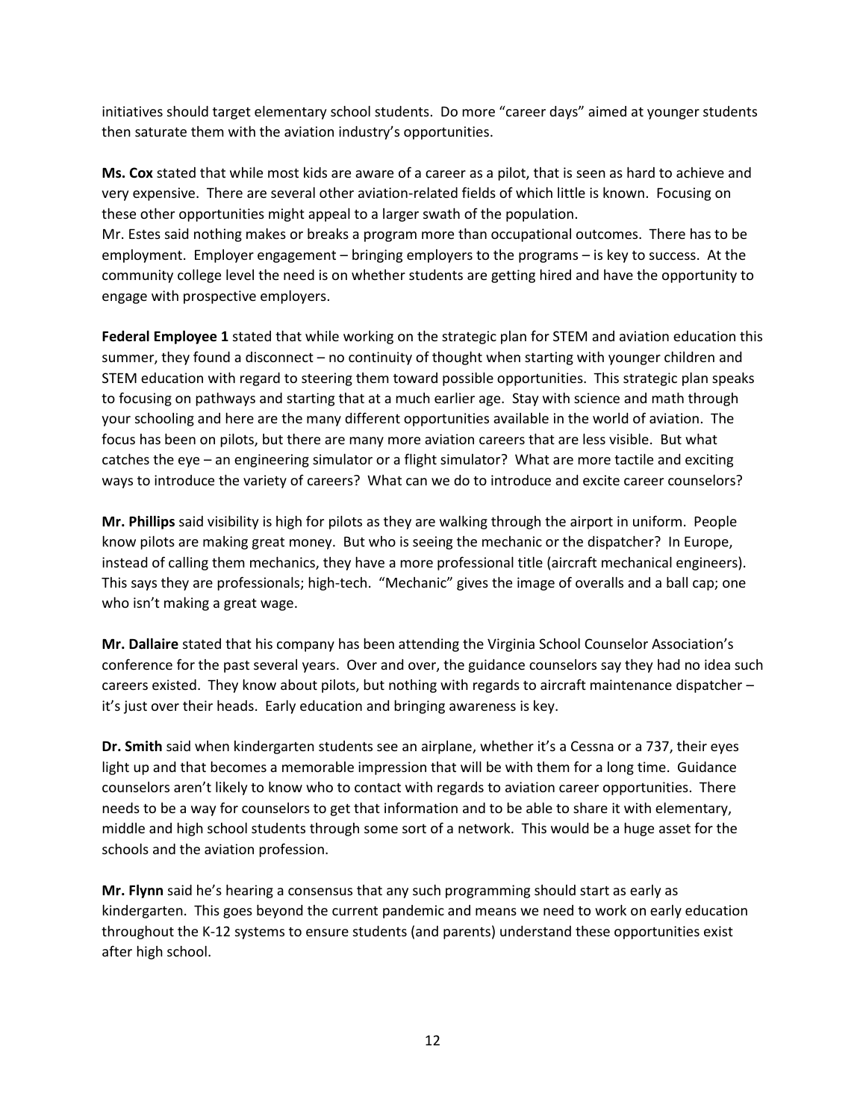initiatives should target elementary school students. Do more "career days" aimed at younger students then saturate them with the aviation industry's opportunities.

**Ms. Cox** stated that while most kids are aware of a career as a pilot, that is seen as hard to achieve and very expensive. There are several other aviation-related fields of which little is known. Focusing on these other opportunities might appeal to a larger swath of the population.

Mr. Estes said nothing makes or breaks a program more than occupational outcomes. There has to be employment. Employer engagement – bringing employers to the programs – is key to success. At the community college level the need is on whether students are getting hired and have the opportunity to engage with prospective employers.

**Federal Employee 1** stated that while working on the strategic plan for STEM and aviation education this summer, they found a disconnect – no continuity of thought when starting with younger children and STEM education with regard to steering them toward possible opportunities. This strategic plan speaks to focusing on pathways and starting that at a much earlier age. Stay with science and math through your schooling and here are the many different opportunities available in the world of aviation. The focus has been on pilots, but there are many more aviation careers that are less visible. But what catches the eye – an engineering simulator or a flight simulator? What are more tactile and exciting ways to introduce the variety of careers? What can we do to introduce and excite career counselors?

**Mr. Phillips** said visibility is high for pilots as they are walking through the airport in uniform. People know pilots are making great money. But who is seeing the mechanic or the dispatcher? In Europe, instead of calling them mechanics, they have a more professional title (aircraft mechanical engineers). This says they are professionals; high-tech. "Mechanic" gives the image of overalls and a ball cap; one who isn't making a great wage.

**Mr. Dallaire** stated that his company has been attending the Virginia School Counselor Association's conference for the past several years. Over and over, the guidance counselors say they had no idea such careers existed. They know about pilots, but nothing with regards to aircraft maintenance dispatcher – it's just over their heads. Early education and bringing awareness is key.

**Dr. Smith** said when kindergarten students see an airplane, whether it's a Cessna or a 737, their eyes light up and that becomes a memorable impression that will be with them for a long time. Guidance counselors aren't likely to know who to contact with regards to aviation career opportunities. There needs to be a way for counselors to get that information and to be able to share it with elementary, middle and high school students through some sort of a network. This would be a huge asset for the schools and the aviation profession.

**Mr. Flynn** said he's hearing a consensus that any such programming should start as early as kindergarten. This goes beyond the current pandemic and means we need to work on early education throughout the K-12 systems to ensure students (and parents) understand these opportunities exist after high school.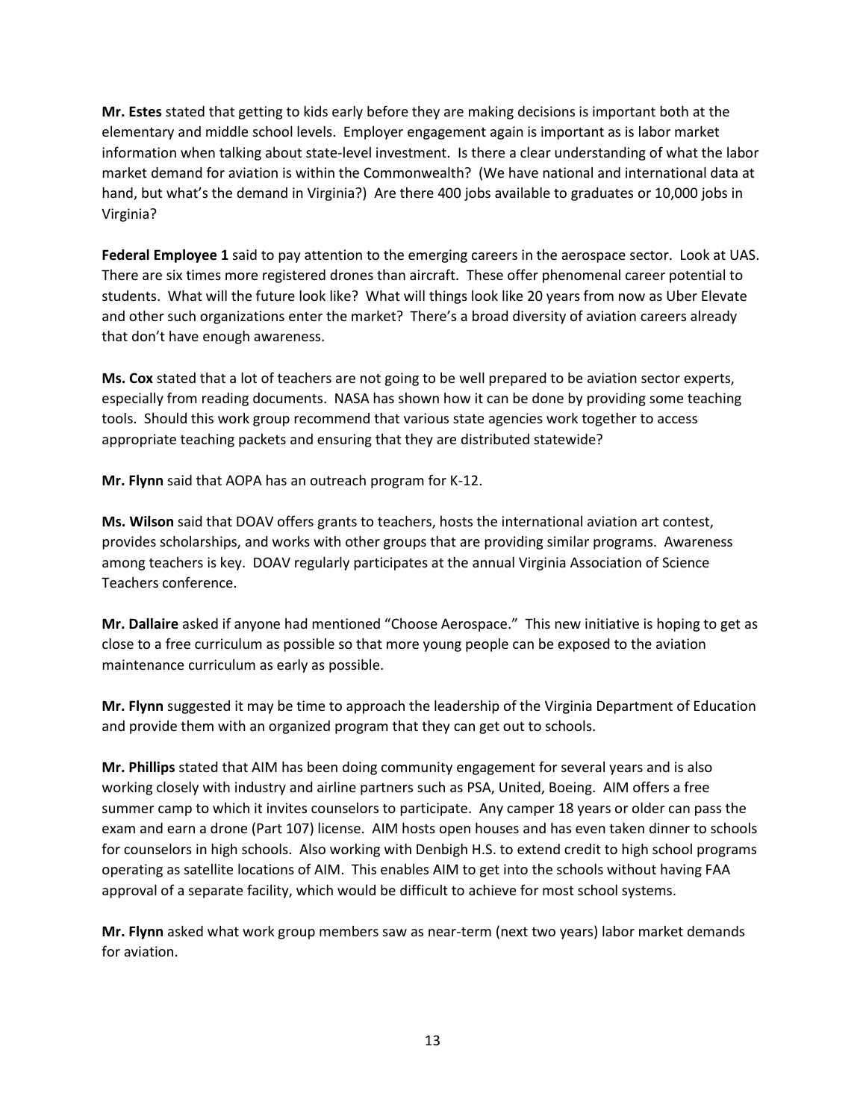**Mr. Estes** stated that getting to kids early before they are making decisions is important both at the elementary and middle school levels. Employer engagement again is important as is labor market information when talking about state-level investment. Is there a clear understanding of what the labor market demand for aviation is within the Commonwealth? (We have national and international data at hand, but what's the demand in Virginia?) Are there 400 jobs available to graduates or 10,000 jobs in Virginia?

**Federal Employee 1** said to pay attention to the emerging careers in the aerospace sector. Look at UAS. There are six times more registered drones than aircraft. These offer phenomenal career potential to students. What will the future look like? What will things look like 20 years from now as Uber Elevate and other such organizations enter the market? There's a broad diversity of aviation careers already that don't have enough awareness.

**Ms. Cox** stated that a lot of teachers are not going to be well prepared to be aviation sector experts, especially from reading documents. NASA has shown how it can be done by providing some teaching tools. Should this work group recommend that various state agencies work together to access appropriate teaching packets and ensuring that they are distributed statewide?

**Mr. Flynn** said that AOPA has an outreach program for K-12.

**Ms. Wilson** said that DOAV offers grants to teachers, hosts the international aviation art contest, provides scholarships, and works with other groups that are providing similar programs. Awareness among teachers is key. DOAV regularly participates at the annual Virginia Association of Science Teachers conference.

**Mr. Dallaire** asked if anyone had mentioned "Choose Aerospace." This new initiative is hoping to get as close to a free curriculum as possible so that more young people can be exposed to the aviation maintenance curriculum as early as possible.

**Mr. Flynn** suggested it may be time to approach the leadership of the Virginia Department of Education and provide them with an organized program that they can get out to schools.

**Mr. Phillips** stated that AIM has been doing community engagement for several years and is also working closely with industry and airline partners such as PSA, United, Boeing. AIM offers a free summer camp to which it invites counselors to participate. Any camper 18 years or older can pass the exam and earn a drone (Part 107) license. AIM hosts open houses and has even taken dinner to schools for counselors in high schools. Also working with Denbigh H.S. to extend credit to high school programs operating as satellite locations of AIM. This enables AIM to get into the schools without having FAA approval of a separate facility, which would be difficult to achieve for most school systems.

**Mr. Flynn** asked what work group members saw as near-term (next two years) labor market demands for aviation.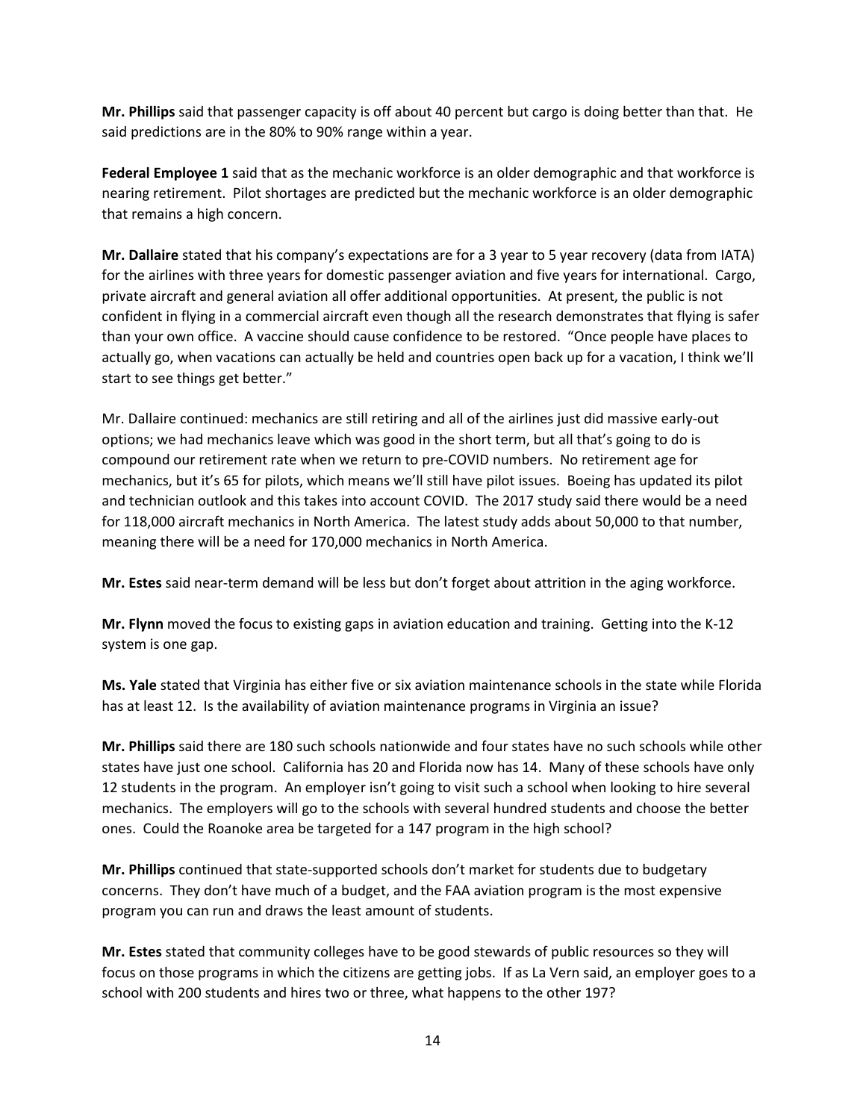**Mr. Phillips** said that passenger capacity is off about 40 percent but cargo is doing better than that. He said predictions are in the 80% to 90% range within a year.

**Federal Employee 1** said that as the mechanic workforce is an older demographic and that workforce is nearing retirement. Pilot shortages are predicted but the mechanic workforce is an older demographic that remains a high concern.

**Mr. Dallaire** stated that his company's expectations are for a 3 year to 5 year recovery (data from IATA) for the airlines with three years for domestic passenger aviation and five years for international. Cargo, private aircraft and general aviation all offer additional opportunities. At present, the public is not confident in flying in a commercial aircraft even though all the research demonstrates that flying is safer than your own office. A vaccine should cause confidence to be restored. "Once people have places to actually go, when vacations can actually be held and countries open back up for a vacation, I think we'll start to see things get better."

Mr. Dallaire continued: mechanics are still retiring and all of the airlines just did massive early-out options; we had mechanics leave which was good in the short term, but all that's going to do is compound our retirement rate when we return to pre-COVID numbers. No retirement age for mechanics, but it's 65 for pilots, which means we'll still have pilot issues. Boeing has updated its pilot and technician outlook and this takes into account COVID. The 2017 study said there would be a need for 118,000 aircraft mechanics in North America. The latest study adds about 50,000 to that number, meaning there will be a need for 170,000 mechanics in North America.

**Mr. Estes** said near-term demand will be less but don't forget about attrition in the aging workforce.

**Mr. Flynn** moved the focus to existing gaps in aviation education and training. Getting into the K-12 system is one gap.

**Ms. Yale** stated that Virginia has either five or six aviation maintenance schools in the state while Florida has at least 12. Is the availability of aviation maintenance programs in Virginia an issue?

**Mr. Phillips** said there are 180 such schools nationwide and four states have no such schools while other states have just one school. California has 20 and Florida now has 14. Many of these schools have only 12 students in the program. An employer isn't going to visit such a school when looking to hire several mechanics. The employers will go to the schools with several hundred students and choose the better ones. Could the Roanoke area be targeted for a 147 program in the high school?

**Mr. Phillips** continued that state-supported schools don't market for students due to budgetary concerns. They don't have much of a budget, and the FAA aviation program is the most expensive program you can run and draws the least amount of students.

**Mr. Estes** stated that community colleges have to be good stewards of public resources so they will focus on those programs in which the citizens are getting jobs. If as La Vern said, an employer goes to a school with 200 students and hires two or three, what happens to the other 197?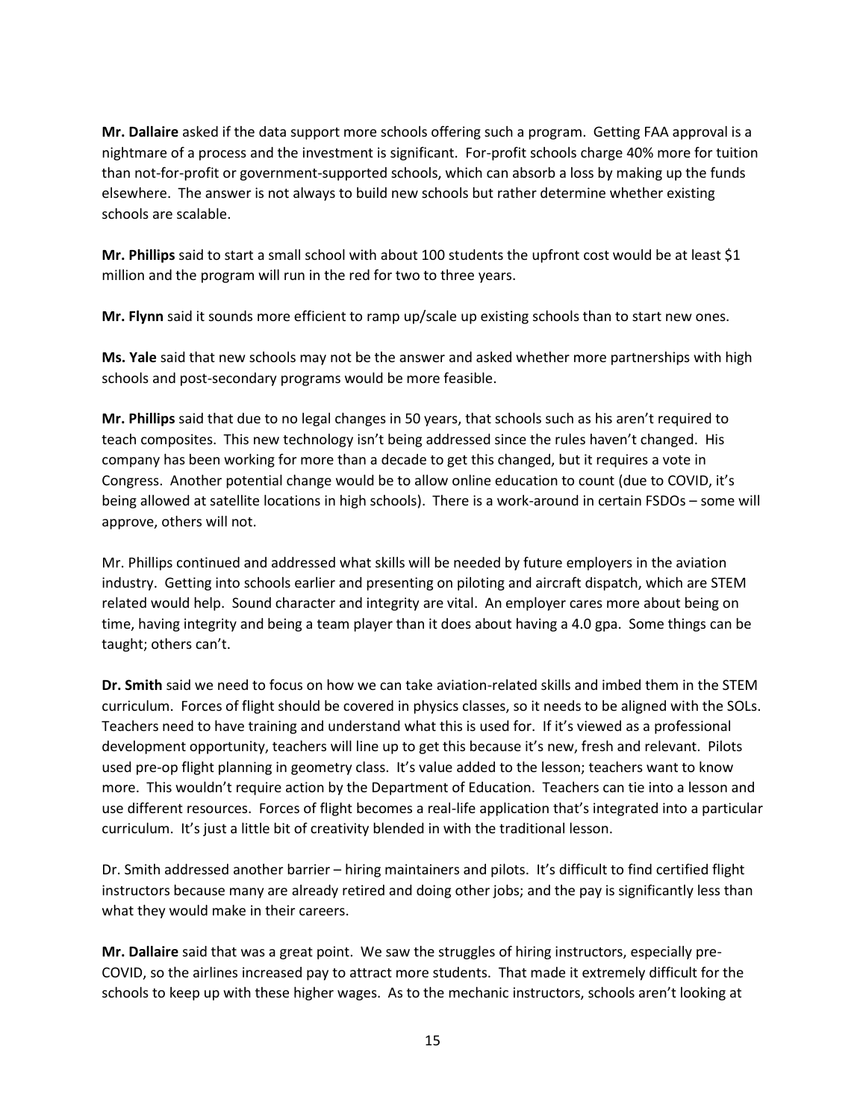**Mr. Dallaire** asked if the data support more schools offering such a program. Getting FAA approval is a nightmare of a process and the investment is significant. For-profit schools charge 40% more for tuition than not-for-profit or government-supported schools, which can absorb a loss by making up the funds elsewhere. The answer is not always to build new schools but rather determine whether existing schools are scalable.

**Mr. Phillips** said to start a small school with about 100 students the upfront cost would be at least \$1 million and the program will run in the red for two to three years.

**Mr. Flynn** said it sounds more efficient to ramp up/scale up existing schools than to start new ones.

**Ms. Yale** said that new schools may not be the answer and asked whether more partnerships with high schools and post-secondary programs would be more feasible.

**Mr. Phillips** said that due to no legal changes in 50 years, that schools such as his aren't required to teach composites. This new technology isn't being addressed since the rules haven't changed. His company has been working for more than a decade to get this changed, but it requires a vote in Congress. Another potential change would be to allow online education to count (due to COVID, it's being allowed at satellite locations in high schools). There is a work-around in certain FSDOs – some will approve, others will not.

Mr. Phillips continued and addressed what skills will be needed by future employers in the aviation industry. Getting into schools earlier and presenting on piloting and aircraft dispatch, which are STEM related would help. Sound character and integrity are vital. An employer cares more about being on time, having integrity and being a team player than it does about having a 4.0 gpa. Some things can be taught; others can't.

**Dr. Smith** said we need to focus on how we can take aviation-related skills and imbed them in the STEM curriculum. Forces of flight should be covered in physics classes, so it needs to be aligned with the SOLs. Teachers need to have training and understand what this is used for. If it's viewed as a professional development opportunity, teachers will line up to get this because it's new, fresh and relevant. Pilots used pre-op flight planning in geometry class. It's value added to the lesson; teachers want to know more. This wouldn't require action by the Department of Education. Teachers can tie into a lesson and use different resources. Forces of flight becomes a real-life application that's integrated into a particular curriculum. It's just a little bit of creativity blended in with the traditional lesson.

Dr. Smith addressed another barrier – hiring maintainers and pilots. It's difficult to find certified flight instructors because many are already retired and doing other jobs; and the pay is significantly less than what they would make in their careers.

**Mr. Dallaire** said that was a great point. We saw the struggles of hiring instructors, especially pre-COVID, so the airlines increased pay to attract more students. That made it extremely difficult for the schools to keep up with these higher wages. As to the mechanic instructors, schools aren't looking at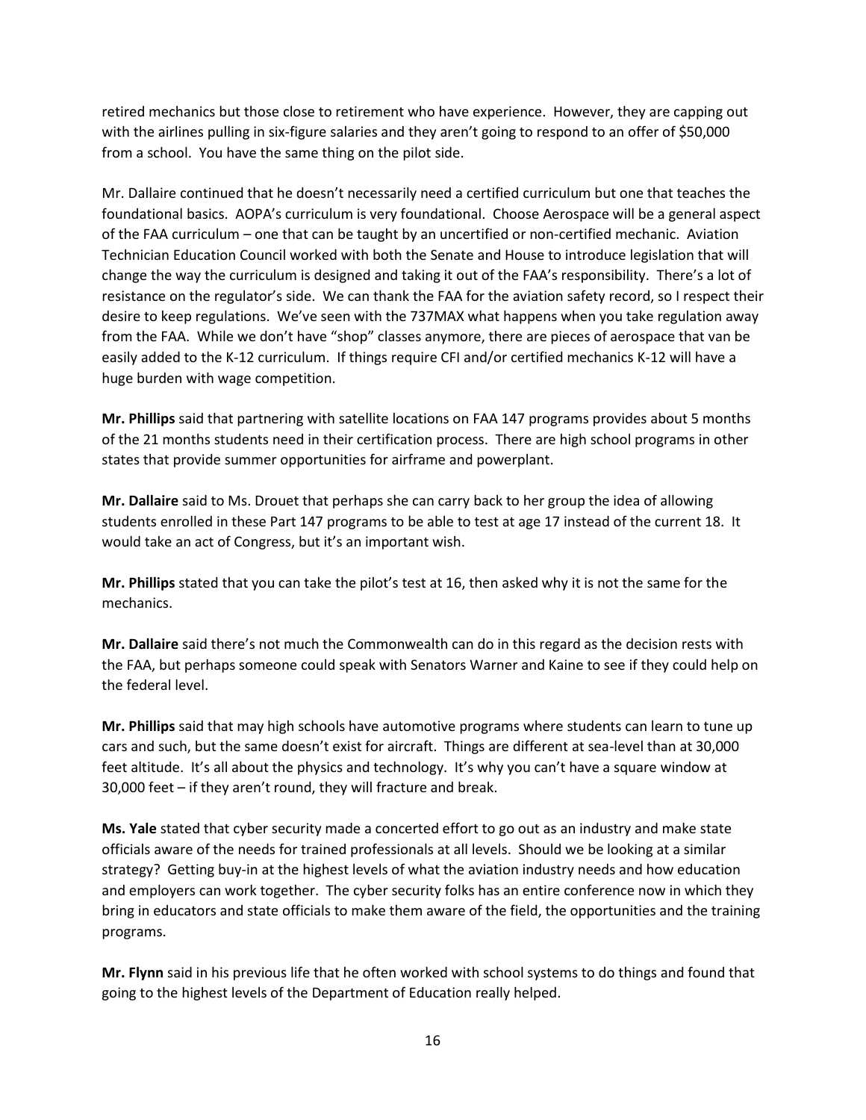retired mechanics but those close to retirement who have experience. However, they are capping out with the airlines pulling in six-figure salaries and they aren't going to respond to an offer of \$50,000 from a school. You have the same thing on the pilot side.

Mr. Dallaire continued that he doesn't necessarily need a certified curriculum but one that teaches the foundational basics. AOPA's curriculum is very foundational. Choose Aerospace will be a general aspect of the FAA curriculum – one that can be taught by an uncertified or non-certified mechanic. Aviation Technician Education Council worked with both the Senate and House to introduce legislation that will change the way the curriculum is designed and taking it out of the FAA's responsibility. There's a lot of resistance on the regulator's side. We can thank the FAA for the aviation safety record, so I respect their desire to keep regulations. We've seen with the 737MAX what happens when you take regulation away from the FAA. While we don't have "shop" classes anymore, there are pieces of aerospace that van be easily added to the K-12 curriculum. If things require CFI and/or certified mechanics K-12 will have a huge burden with wage competition.

**Mr. Phillips** said that partnering with satellite locations on FAA 147 programs provides about 5 months of the 21 months students need in their certification process. There are high school programs in other states that provide summer opportunities for airframe and powerplant.

**Mr. Dallaire** said to Ms. Drouet that perhaps she can carry back to her group the idea of allowing students enrolled in these Part 147 programs to be able to test at age 17 instead of the current 18. It would take an act of Congress, but it's an important wish.

**Mr. Phillips** stated that you can take the pilot's test at 16, then asked why it is not the same for the mechanics.

**Mr. Dallaire** said there's not much the Commonwealth can do in this regard as the decision rests with the FAA, but perhaps someone could speak with Senators Warner and Kaine to see if they could help on the federal level.

**Mr. Phillips** said that may high schools have automotive programs where students can learn to tune up cars and such, but the same doesn't exist for aircraft. Things are different at sea-level than at 30,000 feet altitude. It's all about the physics and technology. It's why you can't have a square window at 30,000 feet – if they aren't round, they will fracture and break.

**Ms. Yale** stated that cyber security made a concerted effort to go out as an industry and make state officials aware of the needs for trained professionals at all levels. Should we be looking at a similar strategy? Getting buy-in at the highest levels of what the aviation industry needs and how education and employers can work together. The cyber security folks has an entire conference now in which they bring in educators and state officials to make them aware of the field, the opportunities and the training programs.

**Mr. Flynn** said in his previous life that he often worked with school systems to do things and found that going to the highest levels of the Department of Education really helped.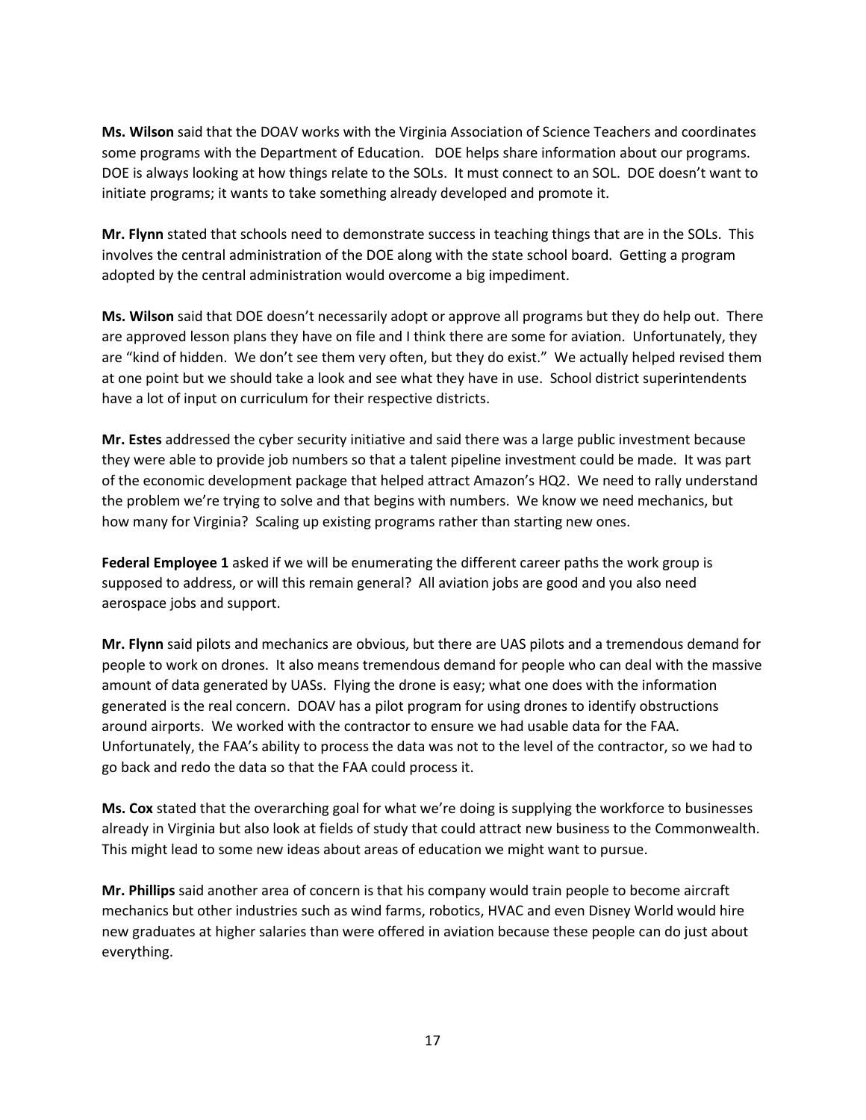**Ms. Wilson** said that the DOAV works with the Virginia Association of Science Teachers and coordinates some programs with the Department of Education. DOE helps share information about our programs. DOE is always looking at how things relate to the SOLs. It must connect to an SOL. DOE doesn't want to initiate programs; it wants to take something already developed and promote it.

**Mr. Flynn** stated that schools need to demonstrate success in teaching things that are in the SOLs. This involves the central administration of the DOE along with the state school board. Getting a program adopted by the central administration would overcome a big impediment.

**Ms. Wilson** said that DOE doesn't necessarily adopt or approve all programs but they do help out. There are approved lesson plans they have on file and I think there are some for aviation. Unfortunately, they are "kind of hidden. We don't see them very often, but they do exist." We actually helped revised them at one point but we should take a look and see what they have in use. School district superintendents have a lot of input on curriculum for their respective districts.

**Mr. Estes** addressed the cyber security initiative and said there was a large public investment because they were able to provide job numbers so that a talent pipeline investment could be made. It was part of the economic development package that helped attract Amazon's HQ2. We need to rally understand the problem we're trying to solve and that begins with numbers. We know we need mechanics, but how many for Virginia? Scaling up existing programs rather than starting new ones.

**Federal Employee 1** asked if we will be enumerating the different career paths the work group is supposed to address, or will this remain general? All aviation jobs are good and you also need aerospace jobs and support.

**Mr. Flynn** said pilots and mechanics are obvious, but there are UAS pilots and a tremendous demand for people to work on drones. It also means tremendous demand for people who can deal with the massive amount of data generated by UASs. Flying the drone is easy; what one does with the information generated is the real concern. DOAV has a pilot program for using drones to identify obstructions around airports. We worked with the contractor to ensure we had usable data for the FAA. Unfortunately, the FAA's ability to process the data was not to the level of the contractor, so we had to go back and redo the data so that the FAA could process it.

**Ms. Cox** stated that the overarching goal for what we're doing is supplying the workforce to businesses already in Virginia but also look at fields of study that could attract new business to the Commonwealth. This might lead to some new ideas about areas of education we might want to pursue.

**Mr. Phillips** said another area of concern is that his company would train people to become aircraft mechanics but other industries such as wind farms, robotics, HVAC and even Disney World would hire new graduates at higher salaries than were offered in aviation because these people can do just about everything.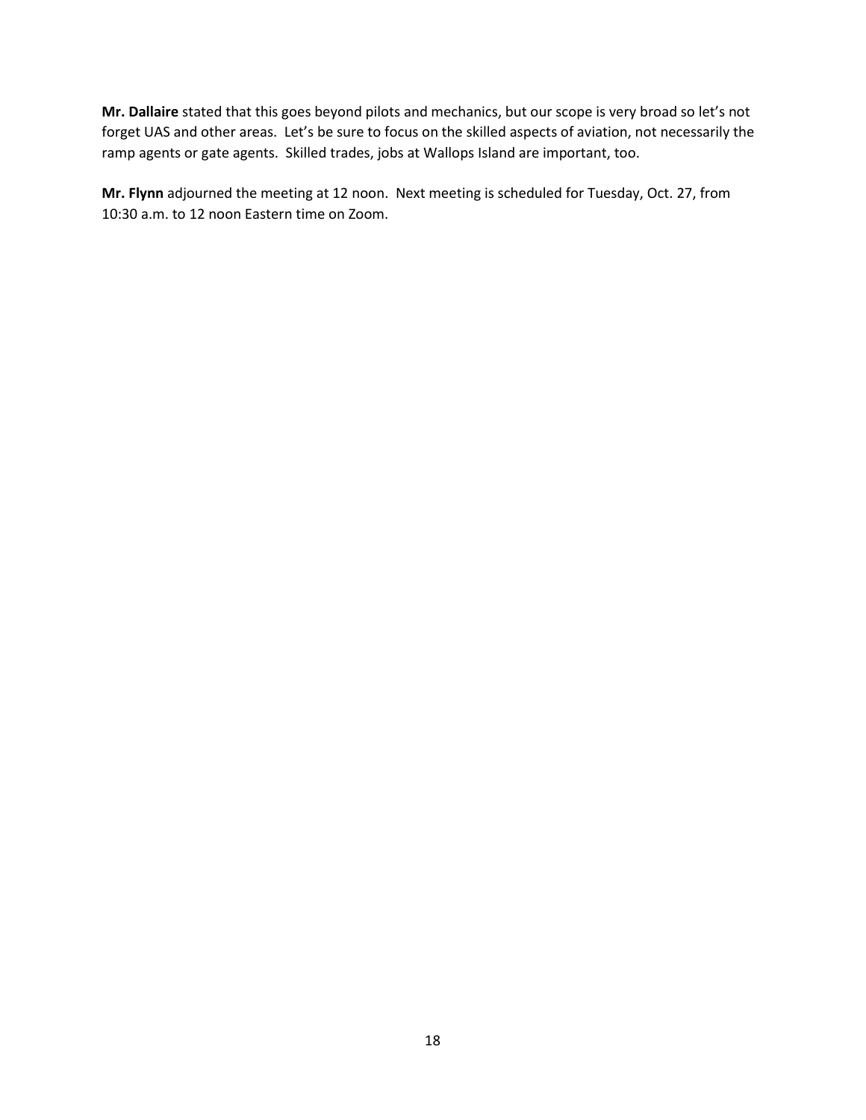**Mr. Dallaire** stated that this goes beyond pilots and mechanics, but our scope is very broad so let's not forget UAS and other areas. Let's be sure to focus on the skilled aspects of aviation, not necessarily the ramp agents or gate agents. Skilled trades, jobs at Wallops Island are important, too.

**Mr. Flynn** adjourned the meeting at 12 noon. Next meeting is scheduled for Tuesday, Oct. 27, from 10:30 a.m. to 12 noon Eastern time on Zoom.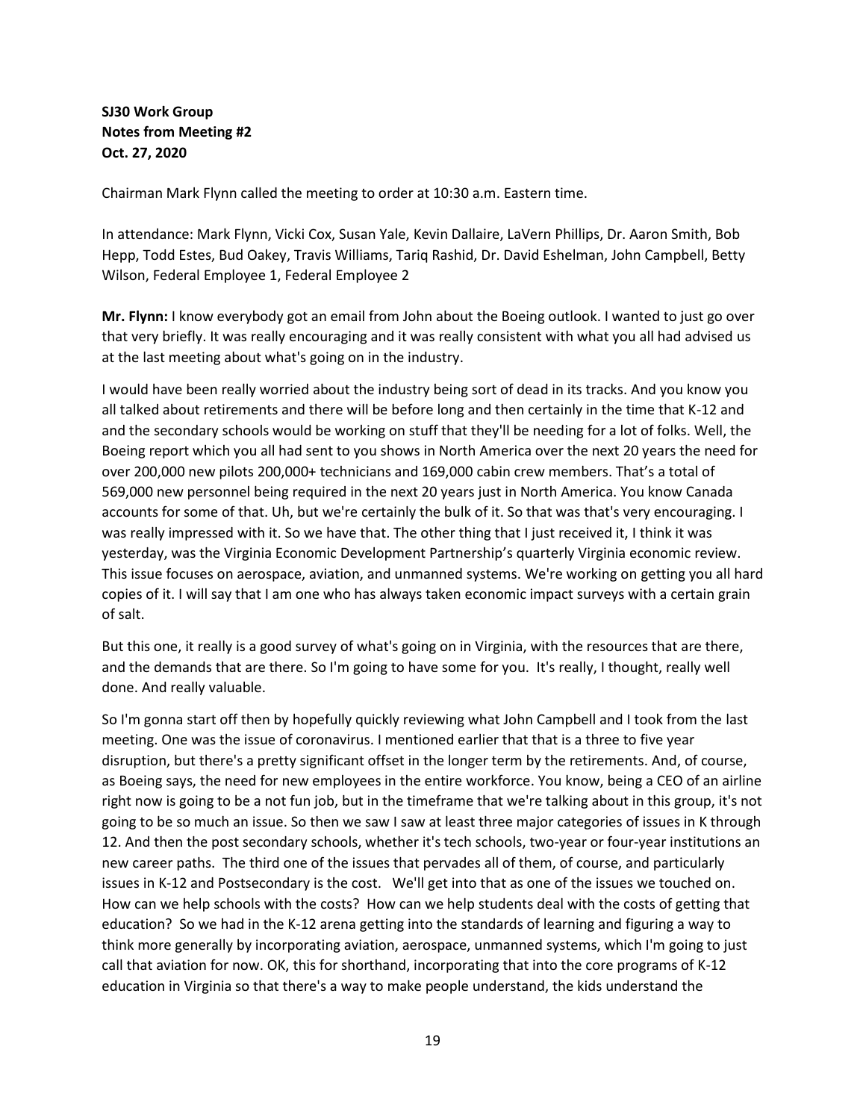## **SJ30 Work Group Notes from Meeting #2 Oct. 27, 2020**

Chairman Mark Flynn called the meeting to order at 10:30 a.m. Eastern time.

In attendance: Mark Flynn, Vicki Cox, Susan Yale, Kevin Dallaire, LaVern Phillips, Dr. Aaron Smith, Bob Hepp, Todd Estes, Bud Oakey, Travis Williams, Tariq Rashid, Dr. David Eshelman, John Campbell, Betty Wilson, Federal Employee 1, Federal Employee 2

**Mr. Flynn:** I know everybody got an email from John about the Boeing outlook. I wanted to just go over that very briefly. It was really encouraging and it was really consistent with what you all had advised us at the last meeting about what's going on in the industry.

I would have been really worried about the industry being sort of dead in its tracks. And you know you all talked about retirements and there will be before long and then certainly in the time that K-12 and and the secondary schools would be working on stuff that they'll be needing for a lot of folks. Well, the Boeing report which you all had sent to you shows in North America over the next 20 years the need for over 200,000 new pilots 200,000+ technicians and 169,000 cabin crew members. That's a total of 569,000 new personnel being required in the next 20 years just in North America. You know Canada accounts for some of that. Uh, but we're certainly the bulk of it. So that was that's very encouraging. I was really impressed with it. So we have that. The other thing that I just received it, I think it was yesterday, was the Virginia Economic Development Partnership's quarterly Virginia economic review. This issue focuses on aerospace, aviation, and unmanned systems. We're working on getting you all hard copies of it. I will say that I am one who has always taken economic impact surveys with a certain grain of salt.

But this one, it really is a good survey of what's going on in Virginia, with the resources that are there, and the demands that are there. So I'm going to have some for you. It's really, I thought, really well done. And really valuable.

So I'm gonna start off then by hopefully quickly reviewing what John Campbell and I took from the last meeting. One was the issue of coronavirus. I mentioned earlier that that is a three to five year disruption, but there's a pretty significant offset in the longer term by the retirements. And, of course, as Boeing says, the need for new employees in the entire workforce. You know, being a CEO of an airline right now is going to be a not fun job, but in the timeframe that we're talking about in this group, it's not going to be so much an issue. So then we saw I saw at least three major categories of issues in K through 12. And then the post secondary schools, whether it's tech schools, two-year or four-year institutions an new career paths. The third one of the issues that pervades all of them, of course, and particularly issues in K-12 and Postsecondary is the cost. We'll get into that as one of the issues we touched on. How can we help schools with the costs? How can we help students deal with the costs of getting that education? So we had in the K-12 arena getting into the standards of learning and figuring a way to think more generally by incorporating aviation, aerospace, unmanned systems, which I'm going to just call that aviation for now. OK, this for shorthand, incorporating that into the core programs of K-12 education in Virginia so that there's a way to make people understand, the kids understand the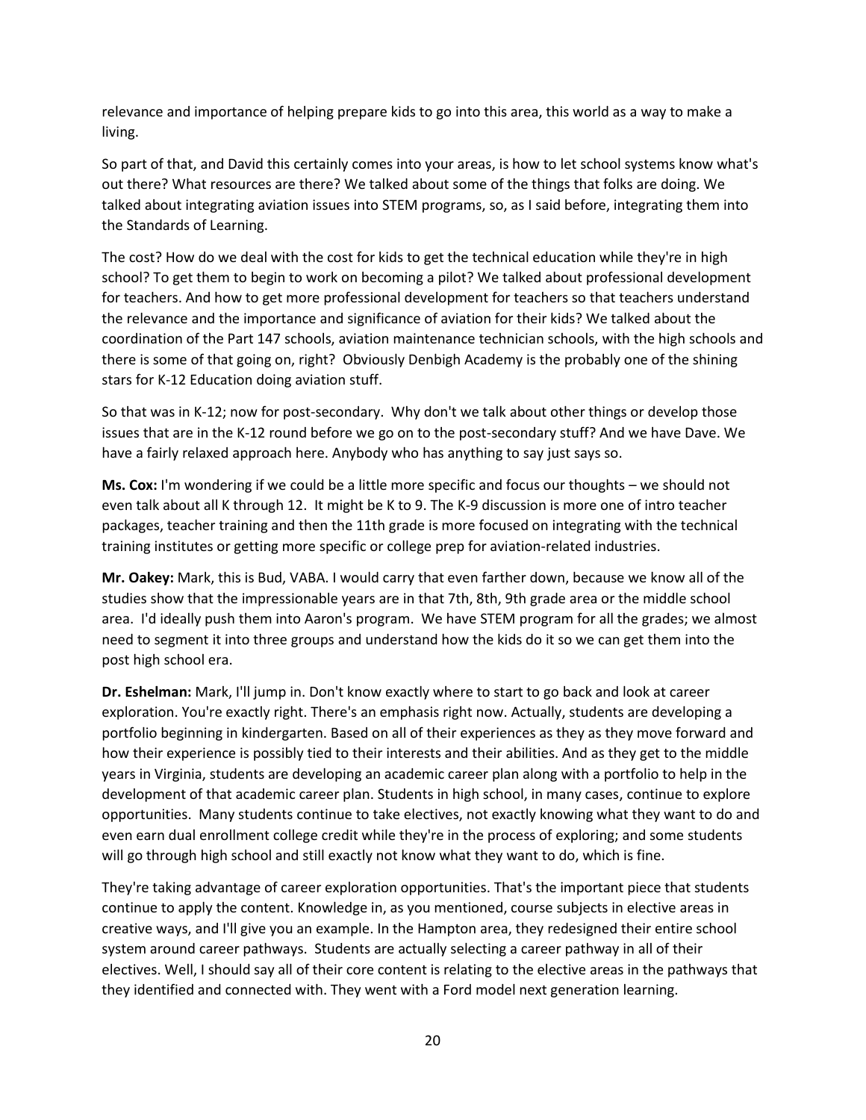relevance and importance of helping prepare kids to go into this area, this world as a way to make a living.

So part of that, and David this certainly comes into your areas, is how to let school systems know what's out there? What resources are there? We talked about some of the things that folks are doing. We talked about integrating aviation issues into STEM programs, so, as I said before, integrating them into the Standards of Learning.

The cost? How do we deal with the cost for kids to get the technical education while they're in high school? To get them to begin to work on becoming a pilot? We talked about professional development for teachers. And how to get more professional development for teachers so that teachers understand the relevance and the importance and significance of aviation for their kids? We talked about the coordination of the Part 147 schools, aviation maintenance technician schools, with the high schools and there is some of that going on, right? Obviously Denbigh Academy is the probably one of the shining stars for K-12 Education doing aviation stuff.

So that was in K-12; now for post-secondary. Why don't we talk about other things or develop those issues that are in the K-12 round before we go on to the post-secondary stuff? And we have Dave. We have a fairly relaxed approach here. Anybody who has anything to say just says so.

**Ms. Cox:** I'm wondering if we could be a little more specific and focus our thoughts – we should not even talk about all K through 12. It might be K to 9. The K-9 discussion is more one of intro teacher packages, teacher training and then the 11th grade is more focused on integrating with the technical training institutes or getting more specific or college prep for aviation-related industries.

**Mr. Oakey:** Mark, this is Bud, VABA. I would carry that even farther down, because we know all of the studies show that the impressionable years are in that 7th, 8th, 9th grade area or the middle school area. I'd ideally push them into Aaron's program. We have STEM program for all the grades; we almost need to segment it into three groups and understand how the kids do it so we can get them into the post high school era.

**Dr. Eshelman:** Mark, I'll jump in. Don't know exactly where to start to go back and look at career exploration. You're exactly right. There's an emphasis right now. Actually, students are developing a portfolio beginning in kindergarten. Based on all of their experiences as they as they move forward and how their experience is possibly tied to their interests and their abilities. And as they get to the middle years in Virginia, students are developing an academic career plan along with a portfolio to help in the development of that academic career plan. Students in high school, in many cases, continue to explore opportunities. Many students continue to take electives, not exactly knowing what they want to do and even earn dual enrollment college credit while they're in the process of exploring; and some students will go through high school and still exactly not know what they want to do, which is fine.

They're taking advantage of career exploration opportunities. That's the important piece that students continue to apply the content. Knowledge in, as you mentioned, course subjects in elective areas in creative ways, and I'll give you an example. In the Hampton area, they redesigned their entire school system around career pathways. Students are actually selecting a career pathway in all of their electives. Well, I should say all of their core content is relating to the elective areas in the pathways that they identified and connected with. They went with a Ford model next generation learning.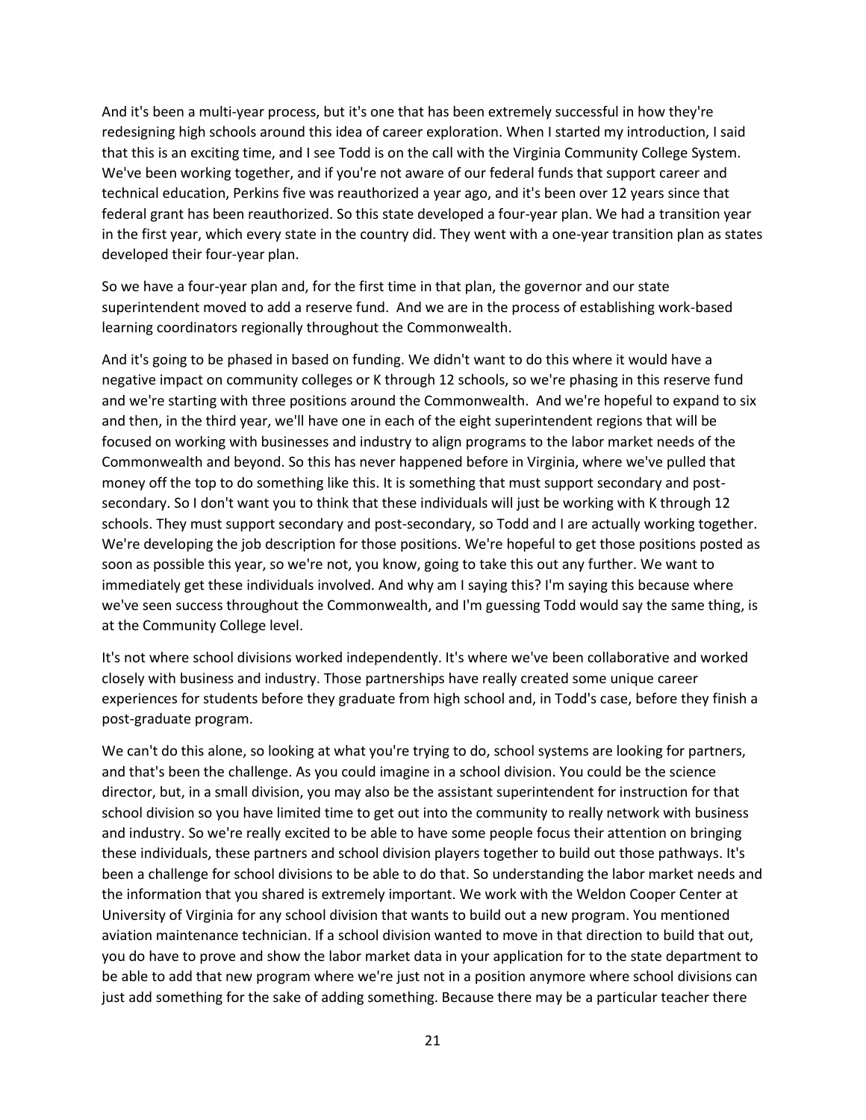And it's been a multi-year process, but it's one that has been extremely successful in how they're redesigning high schools around this idea of career exploration. When I started my introduction, I said that this is an exciting time, and I see Todd is on the call with the Virginia Community College System. We've been working together, and if you're not aware of our federal funds that support career and technical education, Perkins five was reauthorized a year ago, and it's been over 12 years since that federal grant has been reauthorized. So this state developed a four-year plan. We had a transition year in the first year, which every state in the country did. They went with a one-year transition plan as states developed their four-year plan.

So we have a four-year plan and, for the first time in that plan, the governor and our state superintendent moved to add a reserve fund. And we are in the process of establishing work-based learning coordinators regionally throughout the Commonwealth.

And it's going to be phased in based on funding. We didn't want to do this where it would have a negative impact on community colleges or K through 12 schools, so we're phasing in this reserve fund and we're starting with three positions around the Commonwealth. And we're hopeful to expand to six and then, in the third year, we'll have one in each of the eight superintendent regions that will be focused on working with businesses and industry to align programs to the labor market needs of the Commonwealth and beyond. So this has never happened before in Virginia, where we've pulled that money off the top to do something like this. It is something that must support secondary and postsecondary. So I don't want you to think that these individuals will just be working with K through 12 schools. They must support secondary and post-secondary, so Todd and I are actually working together. We're developing the job description for those positions. We're hopeful to get those positions posted as soon as possible this year, so we're not, you know, going to take this out any further. We want to immediately get these individuals involved. And why am I saying this? I'm saying this because where we've seen success throughout the Commonwealth, and I'm guessing Todd would say the same thing, is at the Community College level.

It's not where school divisions worked independently. It's where we've been collaborative and worked closely with business and industry. Those partnerships have really created some unique career experiences for students before they graduate from high school and, in Todd's case, before they finish a post-graduate program.

We can't do this alone, so looking at what you're trying to do, school systems are looking for partners, and that's been the challenge. As you could imagine in a school division. You could be the science director, but, in a small division, you may also be the assistant superintendent for instruction for that school division so you have limited time to get out into the community to really network with business and industry. So we're really excited to be able to have some people focus their attention on bringing these individuals, these partners and school division players together to build out those pathways. It's been a challenge for school divisions to be able to do that. So understanding the labor market needs and the information that you shared is extremely important. We work with the Weldon Cooper Center at University of Virginia for any school division that wants to build out a new program. You mentioned aviation maintenance technician. If a school division wanted to move in that direction to build that out, you do have to prove and show the labor market data in your application for to the state department to be able to add that new program where we're just not in a position anymore where school divisions can just add something for the sake of adding something. Because there may be a particular teacher there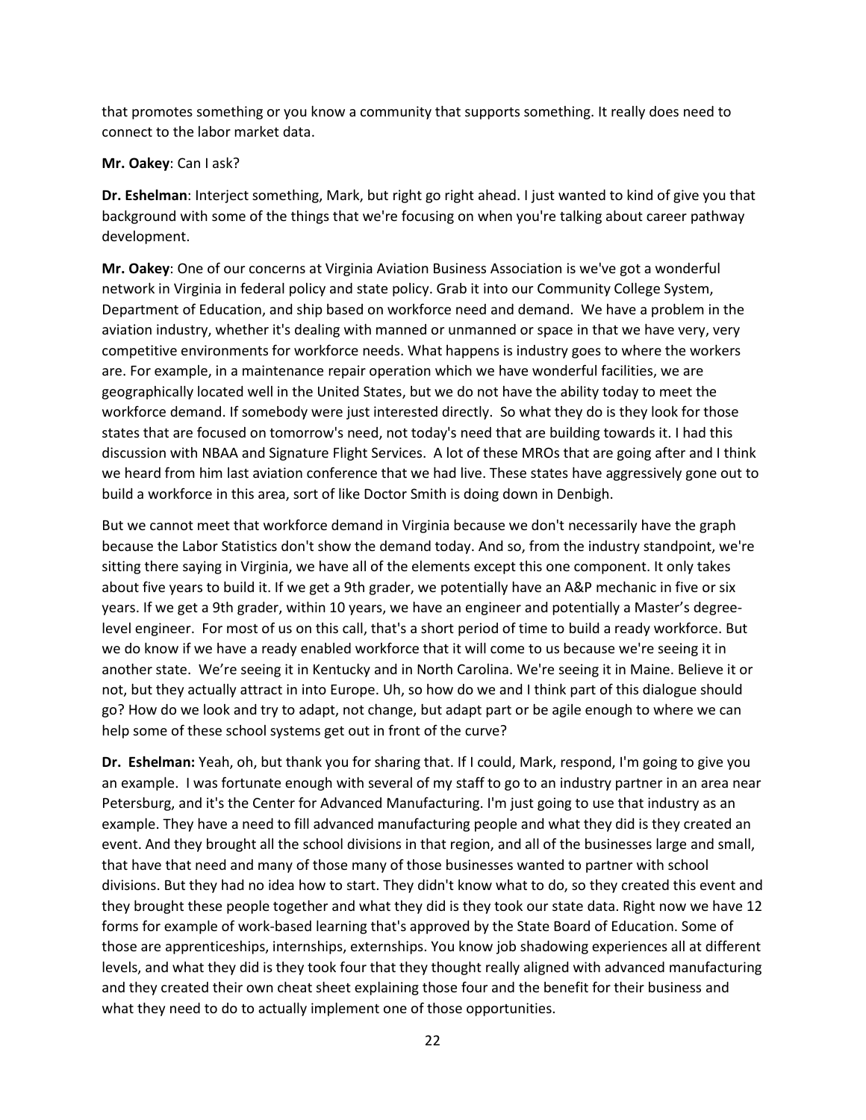that promotes something or you know a community that supports something. It really does need to connect to the labor market data.

#### **Mr. Oakey**: Can I ask?

**Dr. Eshelman**: Interject something, Mark, but right go right ahead. I just wanted to kind of give you that background with some of the things that we're focusing on when you're talking about career pathway development.

**Mr. Oakey**: One of our concerns at Virginia Aviation Business Association is we've got a wonderful network in Virginia in federal policy and state policy. Grab it into our Community College System, Department of Education, and ship based on workforce need and demand. We have a problem in the aviation industry, whether it's dealing with manned or unmanned or space in that we have very, very competitive environments for workforce needs. What happens is industry goes to where the workers are. For example, in a maintenance repair operation which we have wonderful facilities, we are geographically located well in the United States, but we do not have the ability today to meet the workforce demand. If somebody were just interested directly. So what they do is they look for those states that are focused on tomorrow's need, not today's need that are building towards it. I had this discussion with NBAA and Signature Flight Services. A lot of these MROs that are going after and I think we heard from him last aviation conference that we had live. These states have aggressively gone out to build a workforce in this area, sort of like Doctor Smith is doing down in Denbigh.

But we cannot meet that workforce demand in Virginia because we don't necessarily have the graph because the Labor Statistics don't show the demand today. And so, from the industry standpoint, we're sitting there saying in Virginia, we have all of the elements except this one component. It only takes about five years to build it. If we get a 9th grader, we potentially have an A&P mechanic in five or six years. If we get a 9th grader, within 10 years, we have an engineer and potentially a Master's degreelevel engineer. For most of us on this call, that's a short period of time to build a ready workforce. But we do know if we have a ready enabled workforce that it will come to us because we're seeing it in another state. We're seeing it in Kentucky and in North Carolina. We're seeing it in Maine. Believe it or not, but they actually attract in into Europe. Uh, so how do we and I think part of this dialogue should go? How do we look and try to adapt, not change, but adapt part or be agile enough to where we can help some of these school systems get out in front of the curve?

**Dr. Eshelman:** Yeah, oh, but thank you for sharing that. If I could, Mark, respond, I'm going to give you an example. I was fortunate enough with several of my staff to go to an industry partner in an area near Petersburg, and it's the Center for Advanced Manufacturing. I'm just going to use that industry as an example. They have a need to fill advanced manufacturing people and what they did is they created an event. And they brought all the school divisions in that region, and all of the businesses large and small, that have that need and many of those many of those businesses wanted to partner with school divisions. But they had no idea how to start. They didn't know what to do, so they created this event and they brought these people together and what they did is they took our state data. Right now we have 12 forms for example of work-based learning that's approved by the State Board of Education. Some of those are apprenticeships, internships, externships. You know job shadowing experiences all at different levels, and what they did is they took four that they thought really aligned with advanced manufacturing and they created their own cheat sheet explaining those four and the benefit for their business and what they need to do to actually implement one of those opportunities.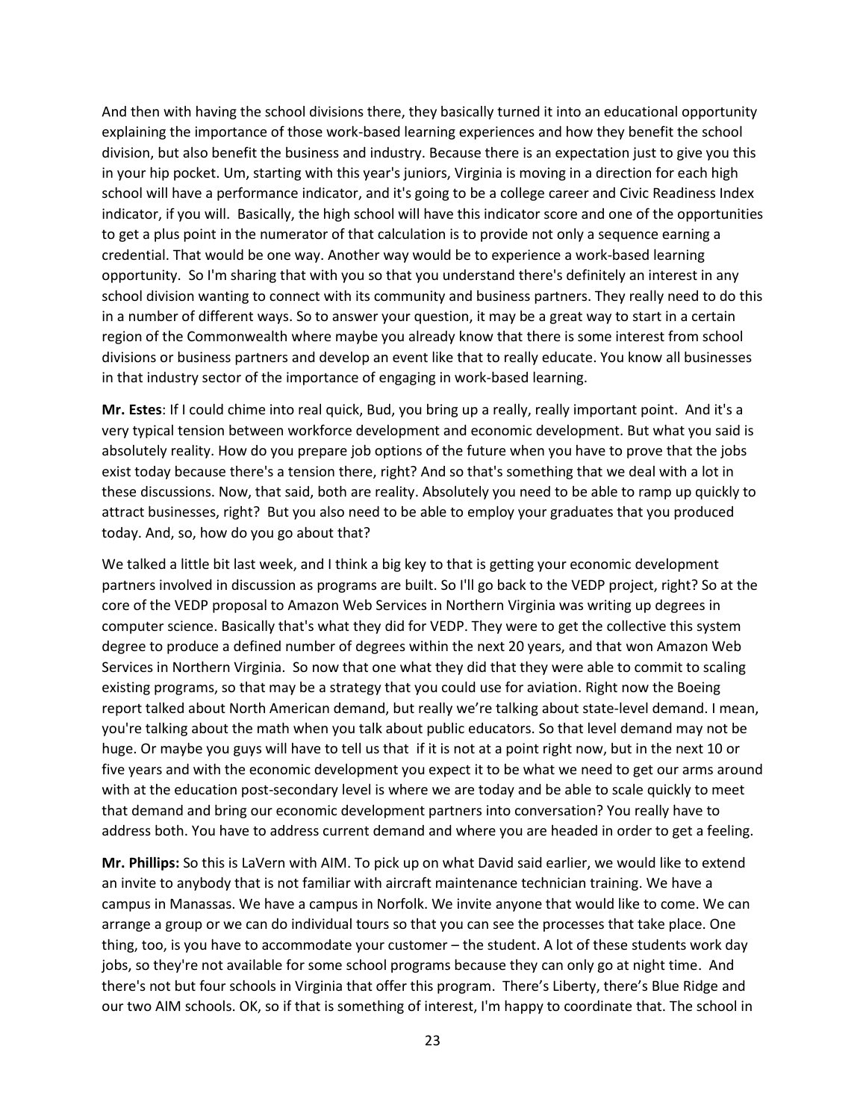And then with having the school divisions there, they basically turned it into an educational opportunity explaining the importance of those work-based learning experiences and how they benefit the school division, but also benefit the business and industry. Because there is an expectation just to give you this in your hip pocket. Um, starting with this year's juniors, Virginia is moving in a direction for each high school will have a performance indicator, and it's going to be a college career and Civic Readiness Index indicator, if you will. Basically, the high school will have this indicator score and one of the opportunities to get a plus point in the numerator of that calculation is to provide not only a sequence earning a credential. That would be one way. Another way would be to experience a work-based learning opportunity. So I'm sharing that with you so that you understand there's definitely an interest in any school division wanting to connect with its community and business partners. They really need to do this in a number of different ways. So to answer your question, it may be a great way to start in a certain region of the Commonwealth where maybe you already know that there is some interest from school divisions or business partners and develop an event like that to really educate. You know all businesses in that industry sector of the importance of engaging in work-based learning.

**Mr. Estes**: If I could chime into real quick, Bud, you bring up a really, really important point. And it's a very typical tension between workforce development and economic development. But what you said is absolutely reality. How do you prepare job options of the future when you have to prove that the jobs exist today because there's a tension there, right? And so that's something that we deal with a lot in these discussions. Now, that said, both are reality. Absolutely you need to be able to ramp up quickly to attract businesses, right? But you also need to be able to employ your graduates that you produced today. And, so, how do you go about that?

We talked a little bit last week, and I think a big key to that is getting your economic development partners involved in discussion as programs are built. So I'll go back to the VEDP project, right? So at the core of the VEDP proposal to Amazon Web Services in Northern Virginia was writing up degrees in computer science. Basically that's what they did for VEDP. They were to get the collective this system degree to produce a defined number of degrees within the next 20 years, and that won Amazon Web Services in Northern Virginia. So now that one what they did that they were able to commit to scaling existing programs, so that may be a strategy that you could use for aviation. Right now the Boeing report talked about North American demand, but really we're talking about state-level demand. I mean, you're talking about the math when you talk about public educators. So that level demand may not be huge. Or maybe you guys will have to tell us that if it is not at a point right now, but in the next 10 or five years and with the economic development you expect it to be what we need to get our arms around with at the education post-secondary level is where we are today and be able to scale quickly to meet that demand and bring our economic development partners into conversation? You really have to address both. You have to address current demand and where you are headed in order to get a feeling.

**Mr. Phillips:** So this is LaVern with AIM. To pick up on what David said earlier, we would like to extend an invite to anybody that is not familiar with aircraft maintenance technician training. We have a campus in Manassas. We have a campus in Norfolk. We invite anyone that would like to come. We can arrange a group or we can do individual tours so that you can see the processes that take place. One thing, too, is you have to accommodate your customer – the student. A lot of these students work day jobs, so they're not available for some school programs because they can only go at night time. And there's not but four schools in Virginia that offer this program. There's Liberty, there's Blue Ridge and our two AIM schools. OK, so if that is something of interest, I'm happy to coordinate that. The school in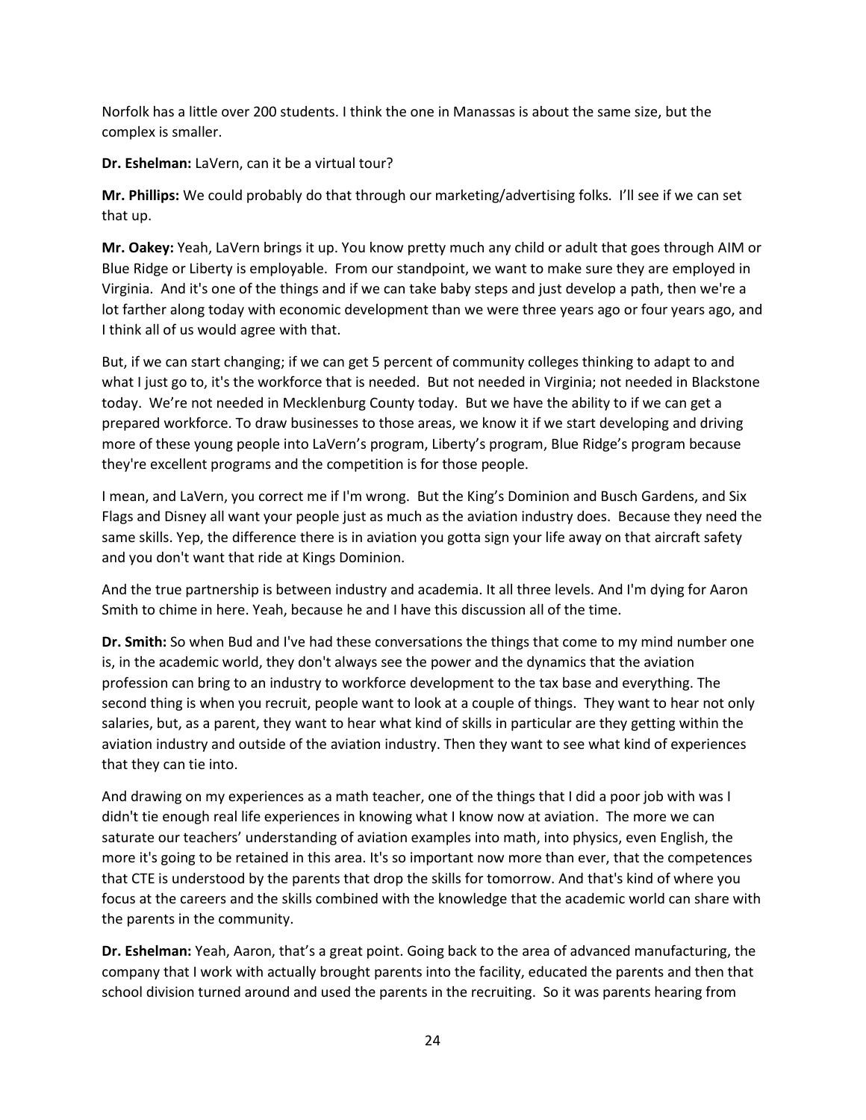Norfolk has a little over 200 students. I think the one in Manassas is about the same size, but the complex is smaller.

**Dr. Eshelman:** LaVern, can it be a virtual tour?

**Mr. Phillips:** We could probably do that through our marketing/advertising folks. I'll see if we can set that up.

**Mr. Oakey:** Yeah, LaVern brings it up. You know pretty much any child or adult that goes through AIM or Blue Ridge or Liberty is employable. From our standpoint, we want to make sure they are employed in Virginia. And it's one of the things and if we can take baby steps and just develop a path, then we're a lot farther along today with economic development than we were three years ago or four years ago, and I think all of us would agree with that.

But, if we can start changing; if we can get 5 percent of community colleges thinking to adapt to and what I just go to, it's the workforce that is needed. But not needed in Virginia; not needed in Blackstone today. We're not needed in Mecklenburg County today. But we have the ability to if we can get a prepared workforce. To draw businesses to those areas, we know it if we start developing and driving more of these young people into LaVern's program, Liberty's program, Blue Ridge's program because they're excellent programs and the competition is for those people.

I mean, and LaVern, you correct me if I'm wrong. But the King's Dominion and Busch Gardens, and Six Flags and Disney all want your people just as much as the aviation industry does. Because they need the same skills. Yep, the difference there is in aviation you gotta sign your life away on that aircraft safety and you don't want that ride at Kings Dominion.

And the true partnership is between industry and academia. It all three levels. And I'm dying for Aaron Smith to chime in here. Yeah, because he and I have this discussion all of the time.

**Dr. Smith:** So when Bud and I've had these conversations the things that come to my mind number one is, in the academic world, they don't always see the power and the dynamics that the aviation profession can bring to an industry to workforce development to the tax base and everything. The second thing is when you recruit, people want to look at a couple of things. They want to hear not only salaries, but, as a parent, they want to hear what kind of skills in particular are they getting within the aviation industry and outside of the aviation industry. Then they want to see what kind of experiences that they can tie into.

And drawing on my experiences as a math teacher, one of the things that I did a poor job with was I didn't tie enough real life experiences in knowing what I know now at aviation. The more we can saturate our teachers' understanding of aviation examples into math, into physics, even English, the more it's going to be retained in this area. It's so important now more than ever, that the competences that CTE is understood by the parents that drop the skills for tomorrow. And that's kind of where you focus at the careers and the skills combined with the knowledge that the academic world can share with the parents in the community.

**Dr. Eshelman:** Yeah, Aaron, that's a great point. Going back to the area of advanced manufacturing, the company that I work with actually brought parents into the facility, educated the parents and then that school division turned around and used the parents in the recruiting. So it was parents hearing from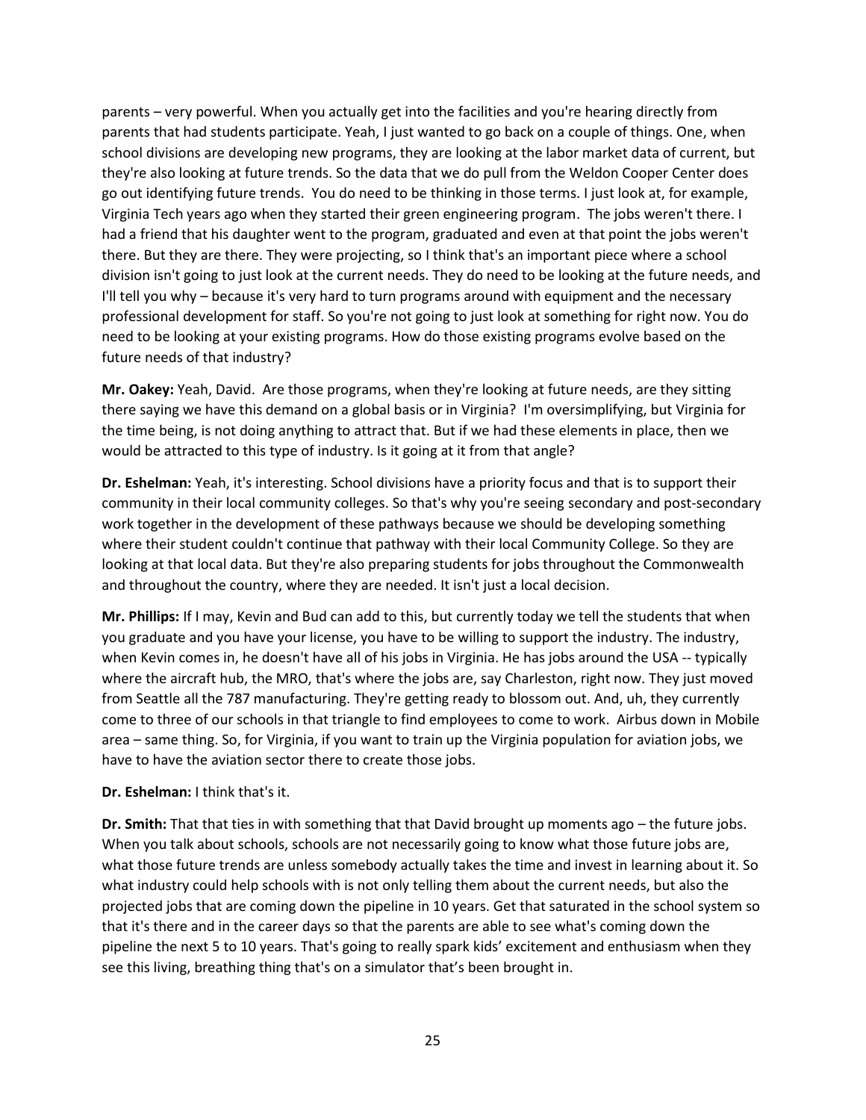parents – very powerful. When you actually get into the facilities and you're hearing directly from parents that had students participate. Yeah, I just wanted to go back on a couple of things. One, when school divisions are developing new programs, they are looking at the labor market data of current, but they're also looking at future trends. So the data that we do pull from the Weldon Cooper Center does go out identifying future trends. You do need to be thinking in those terms. I just look at, for example, Virginia Tech years ago when they started their green engineering program. The jobs weren't there. I had a friend that his daughter went to the program, graduated and even at that point the jobs weren't there. But they are there. They were projecting, so I think that's an important piece where a school division isn't going to just look at the current needs. They do need to be looking at the future needs, and I'll tell you why – because it's very hard to turn programs around with equipment and the necessary professional development for staff. So you're not going to just look at something for right now. You do need to be looking at your existing programs. How do those existing programs evolve based on the future needs of that industry?

**Mr. Oakey:** Yeah, David. Are those programs, when they're looking at future needs, are they sitting there saying we have this demand on a global basis or in Virginia? I'm oversimplifying, but Virginia for the time being, is not doing anything to attract that. But if we had these elements in place, then we would be attracted to this type of industry. Is it going at it from that angle?

**Dr. Eshelman:** Yeah, it's interesting. School divisions have a priority focus and that is to support their community in their local community colleges. So that's why you're seeing secondary and post-secondary work together in the development of these pathways because we should be developing something where their student couldn't continue that pathway with their local Community College. So they are looking at that local data. But they're also preparing students for jobs throughout the Commonwealth and throughout the country, where they are needed. It isn't just a local decision.

**Mr. Phillips:** If I may, Kevin and Bud can add to this, but currently today we tell the students that when you graduate and you have your license, you have to be willing to support the industry. The industry, when Kevin comes in, he doesn't have all of his jobs in Virginia. He has jobs around the USA -- typically where the aircraft hub, the MRO, that's where the jobs are, say Charleston, right now. They just moved from Seattle all the 787 manufacturing. They're getting ready to blossom out. And, uh, they currently come to three of our schools in that triangle to find employees to come to work. Airbus down in Mobile area – same thing. So, for Virginia, if you want to train up the Virginia population for aviation jobs, we have to have the aviation sector there to create those jobs.

#### **Dr. Eshelman:** I think that's it.

**Dr. Smith:** That that ties in with something that that David brought up moments ago – the future jobs. When you talk about schools, schools are not necessarily going to know what those future jobs are, what those future trends are unless somebody actually takes the time and invest in learning about it. So what industry could help schools with is not only telling them about the current needs, but also the projected jobs that are coming down the pipeline in 10 years. Get that saturated in the school system so that it's there and in the career days so that the parents are able to see what's coming down the pipeline the next 5 to 10 years. That's going to really spark kids' excitement and enthusiasm when they see this living, breathing thing that's on a simulator that's been brought in.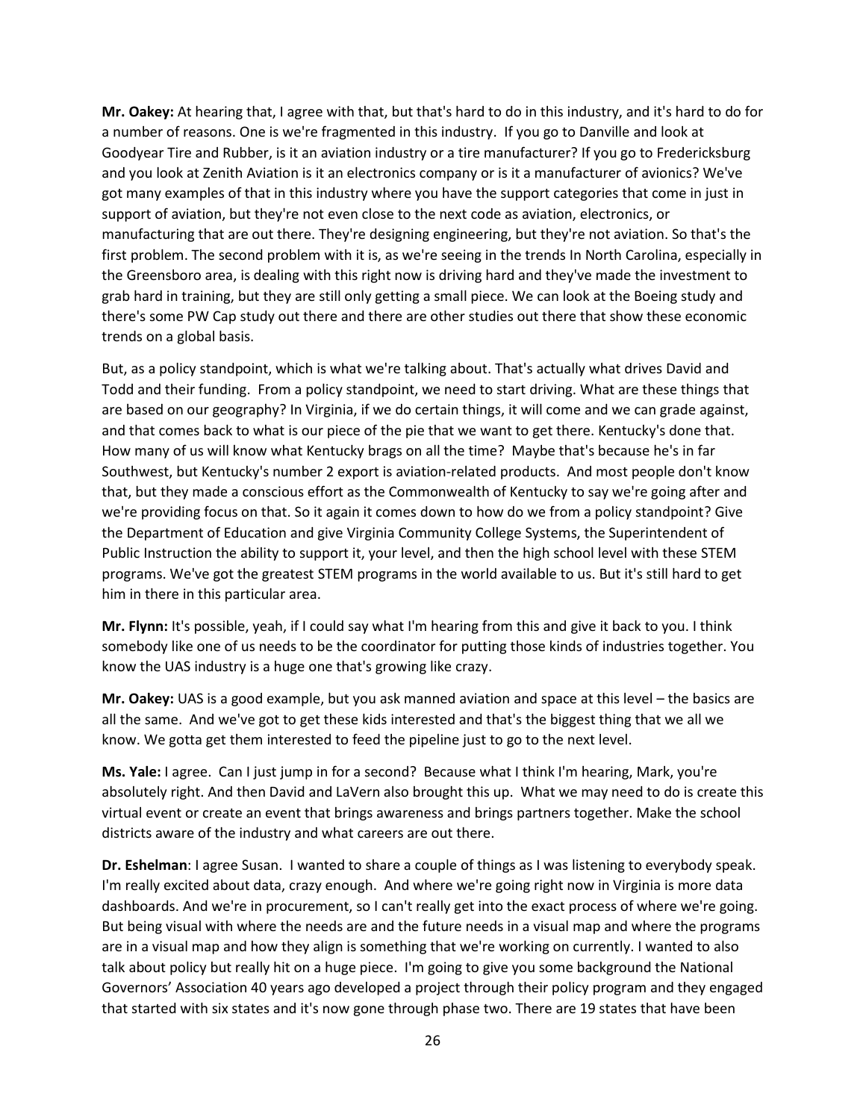**Mr. Oakey:** At hearing that, I agree with that, but that's hard to do in this industry, and it's hard to do for a number of reasons. One is we're fragmented in this industry. If you go to Danville and look at Goodyear Tire and Rubber, is it an aviation industry or a tire manufacturer? If you go to Fredericksburg and you look at Zenith Aviation is it an electronics company or is it a manufacturer of avionics? We've got many examples of that in this industry where you have the support categories that come in just in support of aviation, but they're not even close to the next code as aviation, electronics, or manufacturing that are out there. They're designing engineering, but they're not aviation. So that's the first problem. The second problem with it is, as we're seeing in the trends In North Carolina, especially in the Greensboro area, is dealing with this right now is driving hard and they've made the investment to grab hard in training, but they are still only getting a small piece. We can look at the Boeing study and there's some PW Cap study out there and there are other studies out there that show these economic trends on a global basis.

But, as a policy standpoint, which is what we're talking about. That's actually what drives David and Todd and their funding. From a policy standpoint, we need to start driving. What are these things that are based on our geography? In Virginia, if we do certain things, it will come and we can grade against, and that comes back to what is our piece of the pie that we want to get there. Kentucky's done that. How many of us will know what Kentucky brags on all the time? Maybe that's because he's in far Southwest, but Kentucky's number 2 export is aviation-related products. And most people don't know that, but they made a conscious effort as the Commonwealth of Kentucky to say we're going after and we're providing focus on that. So it again it comes down to how do we from a policy standpoint? Give the Department of Education and give Virginia Community College Systems, the Superintendent of Public Instruction the ability to support it, your level, and then the high school level with these STEM programs. We've got the greatest STEM programs in the world available to us. But it's still hard to get him in there in this particular area.

**Mr. Flynn:** It's possible, yeah, if I could say what I'm hearing from this and give it back to you. I think somebody like one of us needs to be the coordinator for putting those kinds of industries together. You know the UAS industry is a huge one that's growing like crazy.

**Mr. Oakey:** UAS is a good example, but you ask manned aviation and space at this level – the basics are all the same. And we've got to get these kids interested and that's the biggest thing that we all we know. We gotta get them interested to feed the pipeline just to go to the next level.

**Ms. Yale:** I agree. Can I just jump in for a second? Because what I think I'm hearing, Mark, you're absolutely right. And then David and LaVern also brought this up. What we may need to do is create this virtual event or create an event that brings awareness and brings partners together. Make the school districts aware of the industry and what careers are out there.

**Dr. Eshelman**: I agree Susan. I wanted to share a couple of things as I was listening to everybody speak. I'm really excited about data, crazy enough. And where we're going right now in Virginia is more data dashboards. And we're in procurement, so I can't really get into the exact process of where we're going. But being visual with where the needs are and the future needs in a visual map and where the programs are in a visual map and how they align is something that we're working on currently. I wanted to also talk about policy but really hit on a huge piece. I'm going to give you some background the National Governors' Association 40 years ago developed a project through their policy program and they engaged that started with six states and it's now gone through phase two. There are 19 states that have been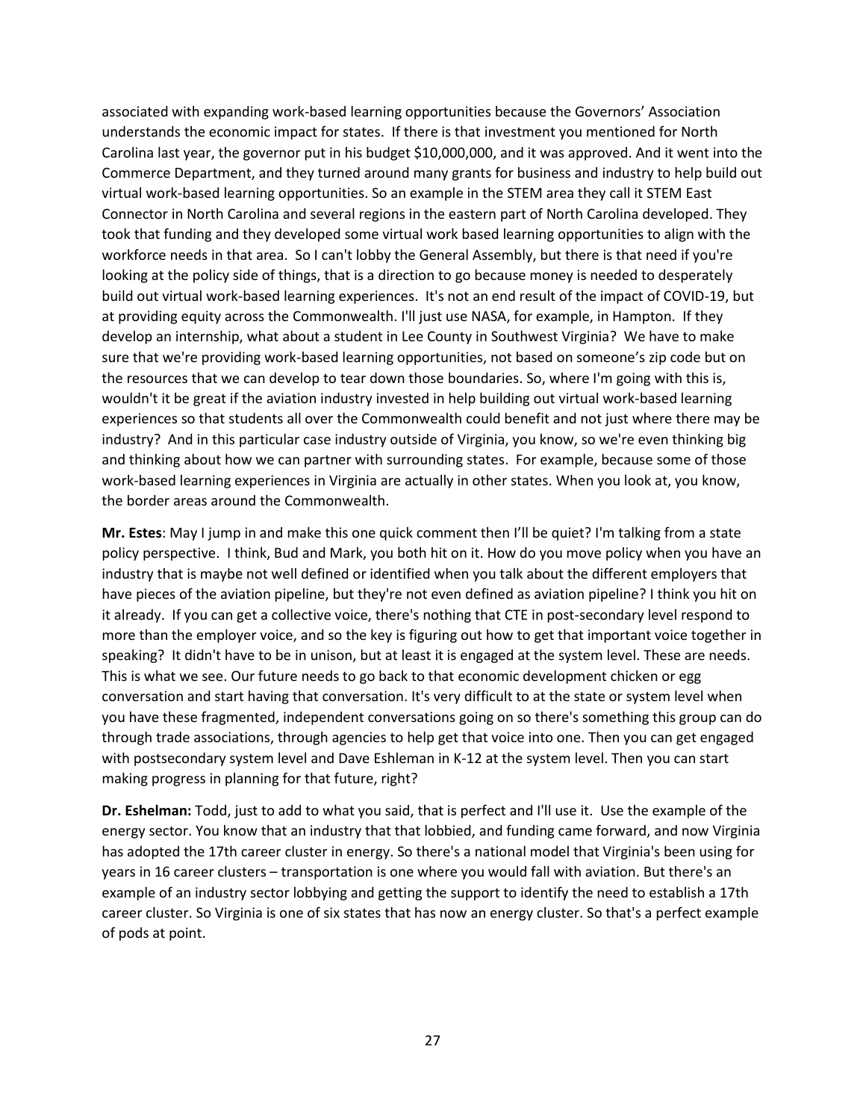associated with expanding work-based learning opportunities because the Governors' Association understands the economic impact for states. If there is that investment you mentioned for North Carolina last year, the governor put in his budget \$10,000,000, and it was approved. And it went into the Commerce Department, and they turned around many grants for business and industry to help build out virtual work-based learning opportunities. So an example in the STEM area they call it STEM East Connector in North Carolina and several regions in the eastern part of North Carolina developed. They took that funding and they developed some virtual work based learning opportunities to align with the workforce needs in that area. So I can't lobby the General Assembly, but there is that need if you're looking at the policy side of things, that is a direction to go because money is needed to desperately build out virtual work-based learning experiences. It's not an end result of the impact of COVID-19, but at providing equity across the Commonwealth. I'll just use NASA, for example, in Hampton. If they develop an internship, what about a student in Lee County in Southwest Virginia? We have to make sure that we're providing work-based learning opportunities, not based on someone's zip code but on the resources that we can develop to tear down those boundaries. So, where I'm going with this is, wouldn't it be great if the aviation industry invested in help building out virtual work-based learning experiences so that students all over the Commonwealth could benefit and not just where there may be industry? And in this particular case industry outside of Virginia, you know, so we're even thinking big and thinking about how we can partner with surrounding states. For example, because some of those work-based learning experiences in Virginia are actually in other states. When you look at, you know, the border areas around the Commonwealth.

**Mr. Estes**: May I jump in and make this one quick comment then I'll be quiet? I'm talking from a state policy perspective. I think, Bud and Mark, you both hit on it. How do you move policy when you have an industry that is maybe not well defined or identified when you talk about the different employers that have pieces of the aviation pipeline, but they're not even defined as aviation pipeline? I think you hit on it already. If you can get a collective voice, there's nothing that CTE in post-secondary level respond to more than the employer voice, and so the key is figuring out how to get that important voice together in speaking? It didn't have to be in unison, but at least it is engaged at the system level. These are needs. This is what we see. Our future needs to go back to that economic development chicken or egg conversation and start having that conversation. It's very difficult to at the state or system level when you have these fragmented, independent conversations going on so there's something this group can do through trade associations, through agencies to help get that voice into one. Then you can get engaged with postsecondary system level and Dave Eshleman in K-12 at the system level. Then you can start making progress in planning for that future, right?

**Dr. Eshelman:** Todd, just to add to what you said, that is perfect and I'll use it. Use the example of the energy sector. You know that an industry that that lobbied, and funding came forward, and now Virginia has adopted the 17th career cluster in energy. So there's a national model that Virginia's been using for years in 16 career clusters – transportation is one where you would fall with aviation. But there's an example of an industry sector lobbying and getting the support to identify the need to establish a 17th career cluster. So Virginia is one of six states that has now an energy cluster. So that's a perfect example of pods at point.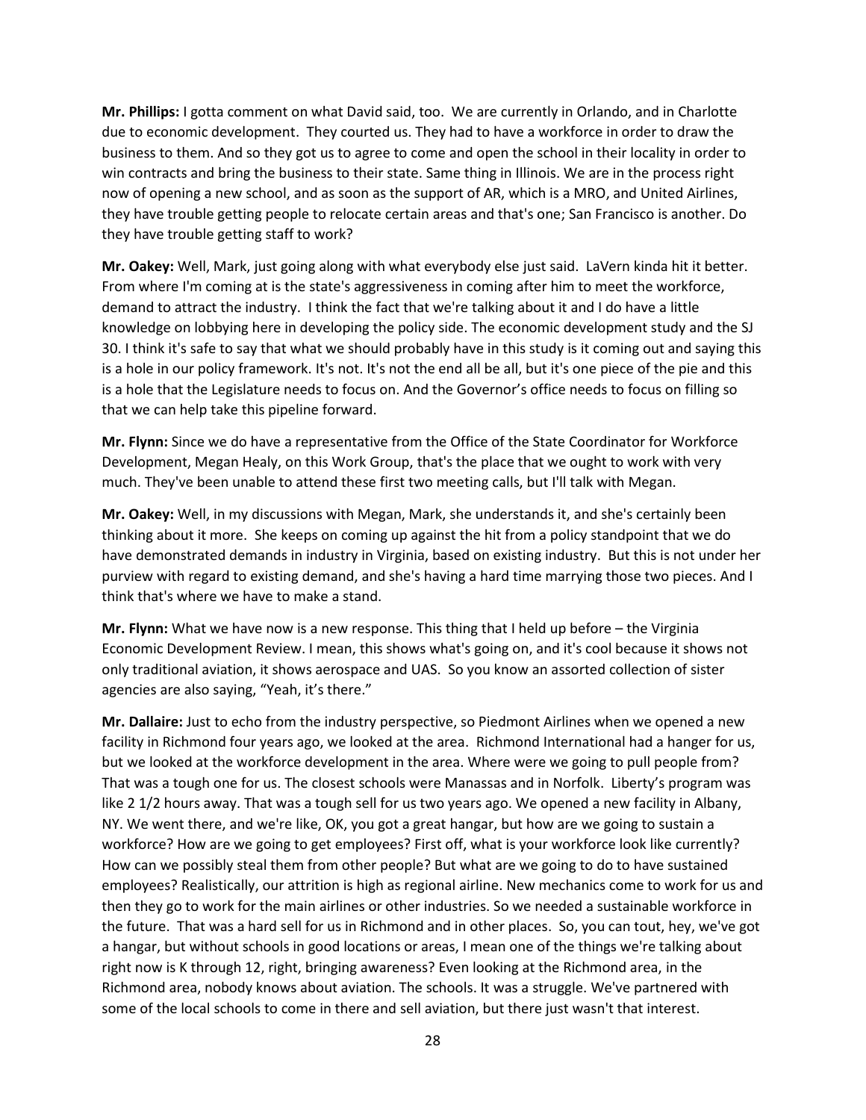**Mr. Phillips:** I gotta comment on what David said, too. We are currently in Orlando, and in Charlotte due to economic development. They courted us. They had to have a workforce in order to draw the business to them. And so they got us to agree to come and open the school in their locality in order to win contracts and bring the business to their state. Same thing in Illinois. We are in the process right now of opening a new school, and as soon as the support of AR, which is a MRO, and United Airlines, they have trouble getting people to relocate certain areas and that's one; San Francisco is another. Do they have trouble getting staff to work?

**Mr. Oakey:** Well, Mark, just going along with what everybody else just said. LaVern kinda hit it better. From where I'm coming at is the state's aggressiveness in coming after him to meet the workforce, demand to attract the industry. I think the fact that we're talking about it and I do have a little knowledge on lobbying here in developing the policy side. The economic development study and the SJ 30. I think it's safe to say that what we should probably have in this study is it coming out and saying this is a hole in our policy framework. It's not. It's not the end all be all, but it's one piece of the pie and this is a hole that the Legislature needs to focus on. And the Governor's office needs to focus on filling so that we can help take this pipeline forward.

**Mr. Flynn:** Since we do have a representative from the Office of the State Coordinator for Workforce Development, Megan Healy, on this Work Group, that's the place that we ought to work with very much. They've been unable to attend these first two meeting calls, but I'll talk with Megan.

**Mr. Oakey:** Well, in my discussions with Megan, Mark, she understands it, and she's certainly been thinking about it more. She keeps on coming up against the hit from a policy standpoint that we do have demonstrated demands in industry in Virginia, based on existing industry. But this is not under her purview with regard to existing demand, and she's having a hard time marrying those two pieces. And I think that's where we have to make a stand.

**Mr. Flynn:** What we have now is a new response. This thing that I held up before – the Virginia Economic Development Review. I mean, this shows what's going on, and it's cool because it shows not only traditional aviation, it shows aerospace and UAS. So you know an assorted collection of sister agencies are also saying, "Yeah, it's there."

**Mr. Dallaire:** Just to echo from the industry perspective, so Piedmont Airlines when we opened a new facility in Richmond four years ago, we looked at the area. Richmond International had a hanger for us, but we looked at the workforce development in the area. Where were we going to pull people from? That was a tough one for us. The closest schools were Manassas and in Norfolk. Liberty's program was like 2 1/2 hours away. That was a tough sell for us two years ago. We opened a new facility in Albany, NY. We went there, and we're like, OK, you got a great hangar, but how are we going to sustain a workforce? How are we going to get employees? First off, what is your workforce look like currently? How can we possibly steal them from other people? But what are we going to do to have sustained employees? Realistically, our attrition is high as regional airline. New mechanics come to work for us and then they go to work for the main airlines or other industries. So we needed a sustainable workforce in the future. That was a hard sell for us in Richmond and in other places. So, you can tout, hey, we've got a hangar, but without schools in good locations or areas, I mean one of the things we're talking about right now is K through 12, right, bringing awareness? Even looking at the Richmond area, in the Richmond area, nobody knows about aviation. The schools. It was a struggle. We've partnered with some of the local schools to come in there and sell aviation, but there just wasn't that interest.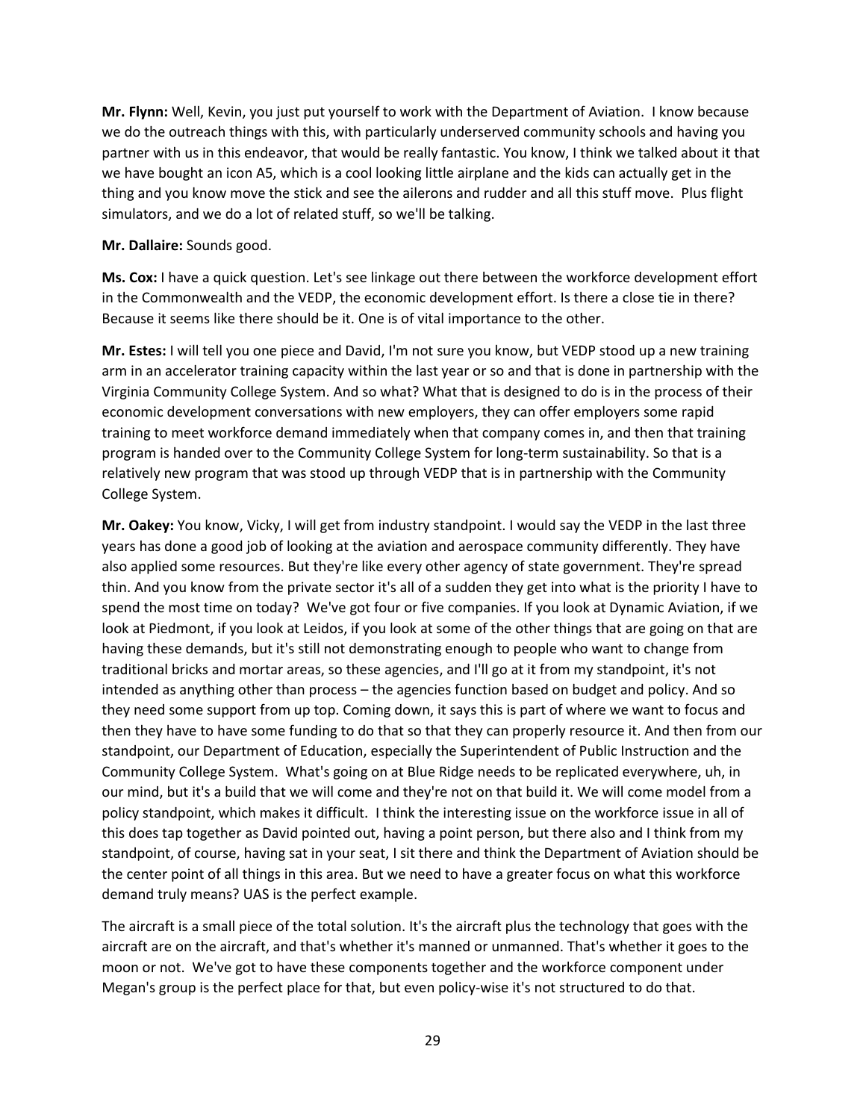**Mr. Flynn:** Well, Kevin, you just put yourself to work with the Department of Aviation. I know because we do the outreach things with this, with particularly underserved community schools and having you partner with us in this endeavor, that would be really fantastic. You know, I think we talked about it that we have bought an icon A5, which is a cool looking little airplane and the kids can actually get in the thing and you know move the stick and see the ailerons and rudder and all this stuff move. Plus flight simulators, and we do a lot of related stuff, so we'll be talking.

**Mr. Dallaire:** Sounds good.

**Ms. Cox:** I have a quick question. Let's see linkage out there between the workforce development effort in the Commonwealth and the VEDP, the economic development effort. Is there a close tie in there? Because it seems like there should be it. One is of vital importance to the other.

**Mr. Estes:** I will tell you one piece and David, I'm not sure you know, but VEDP stood up a new training arm in an accelerator training capacity within the last year or so and that is done in partnership with the Virginia Community College System. And so what? What that is designed to do is in the process of their economic development conversations with new employers, they can offer employers some rapid training to meet workforce demand immediately when that company comes in, and then that training program is handed over to the Community College System for long-term sustainability. So that is a relatively new program that was stood up through VEDP that is in partnership with the Community College System.

**Mr. Oakey:** You know, Vicky, I will get from industry standpoint. I would say the VEDP in the last three years has done a good job of looking at the aviation and aerospace community differently. They have also applied some resources. But they're like every other agency of state government. They're spread thin. And you know from the private sector it's all of a sudden they get into what is the priority I have to spend the most time on today? We've got four or five companies. If you look at Dynamic Aviation, if we look at Piedmont, if you look at Leidos, if you look at some of the other things that are going on that are having these demands, but it's still not demonstrating enough to people who want to change from traditional bricks and mortar areas, so these agencies, and I'll go at it from my standpoint, it's not intended as anything other than process – the agencies function based on budget and policy. And so they need some support from up top. Coming down, it says this is part of where we want to focus and then they have to have some funding to do that so that they can properly resource it. And then from our standpoint, our Department of Education, especially the Superintendent of Public Instruction and the Community College System. What's going on at Blue Ridge needs to be replicated everywhere, uh, in our mind, but it's a build that we will come and they're not on that build it. We will come model from a policy standpoint, which makes it difficult. I think the interesting issue on the workforce issue in all of this does tap together as David pointed out, having a point person, but there also and I think from my standpoint, of course, having sat in your seat, I sit there and think the Department of Aviation should be the center point of all things in this area. But we need to have a greater focus on what this workforce demand truly means? UAS is the perfect example.

The aircraft is a small piece of the total solution. It's the aircraft plus the technology that goes with the aircraft are on the aircraft, and that's whether it's manned or unmanned. That's whether it goes to the moon or not. We've got to have these components together and the workforce component under Megan's group is the perfect place for that, but even policy-wise it's not structured to do that.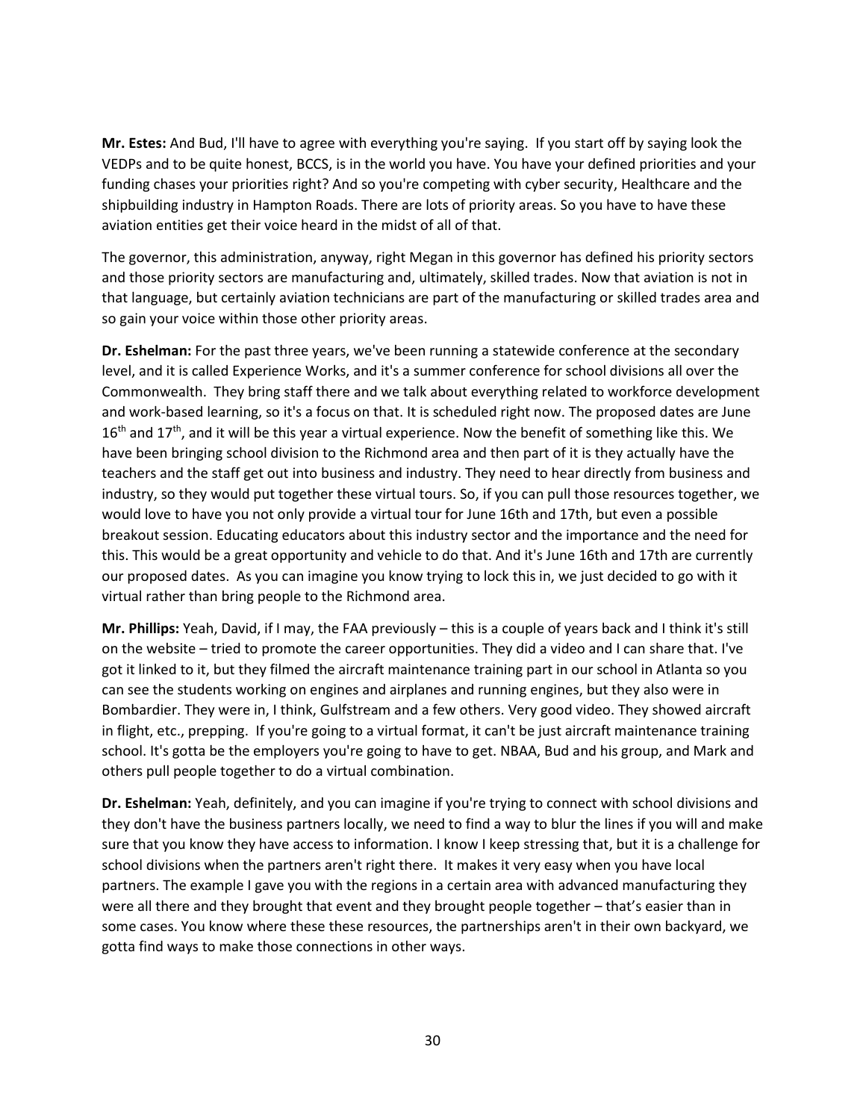**Mr. Estes:** And Bud, I'll have to agree with everything you're saying. If you start off by saying look the VEDPs and to be quite honest, BCCS, is in the world you have. You have your defined priorities and your funding chases your priorities right? And so you're competing with cyber security, Healthcare and the shipbuilding industry in Hampton Roads. There are lots of priority areas. So you have to have these aviation entities get their voice heard in the midst of all of that.

The governor, this administration, anyway, right Megan in this governor has defined his priority sectors and those priority sectors are manufacturing and, ultimately, skilled trades. Now that aviation is not in that language, but certainly aviation technicians are part of the manufacturing or skilled trades area and so gain your voice within those other priority areas.

**Dr. Eshelman:** For the past three years, we've been running a statewide conference at the secondary level, and it is called Experience Works, and it's a summer conference for school divisions all over the Commonwealth. They bring staff there and we talk about everything related to workforce development and work-based learning, so it's a focus on that. It is scheduled right now. The proposed dates are June  $16<sup>th</sup>$  and  $17<sup>th</sup>$ , and it will be this year a virtual experience. Now the benefit of something like this. We have been bringing school division to the Richmond area and then part of it is they actually have the teachers and the staff get out into business and industry. They need to hear directly from business and industry, so they would put together these virtual tours. So, if you can pull those resources together, we would love to have you not only provide a virtual tour for June 16th and 17th, but even a possible breakout session. Educating educators about this industry sector and the importance and the need for this. This would be a great opportunity and vehicle to do that. And it's June 16th and 17th are currently our proposed dates. As you can imagine you know trying to lock this in, we just decided to go with it virtual rather than bring people to the Richmond area.

**Mr. Phillips:** Yeah, David, if I may, the FAA previously – this is a couple of years back and I think it's still on the website – tried to promote the career opportunities. They did a video and I can share that. I've got it linked to it, but they filmed the aircraft maintenance training part in our school in Atlanta so you can see the students working on engines and airplanes and running engines, but they also were in Bombardier. They were in, I think, Gulfstream and a few others. Very good video. They showed aircraft in flight, etc., prepping. If you're going to a virtual format, it can't be just aircraft maintenance training school. It's gotta be the employers you're going to have to get. NBAA, Bud and his group, and Mark and others pull people together to do a virtual combination.

**Dr. Eshelman:** Yeah, definitely, and you can imagine if you're trying to connect with school divisions and they don't have the business partners locally, we need to find a way to blur the lines if you will and make sure that you know they have access to information. I know I keep stressing that, but it is a challenge for school divisions when the partners aren't right there. It makes it very easy when you have local partners. The example I gave you with the regions in a certain area with advanced manufacturing they were all there and they brought that event and they brought people together – that's easier than in some cases. You know where these these resources, the partnerships aren't in their own backyard, we gotta find ways to make those connections in other ways.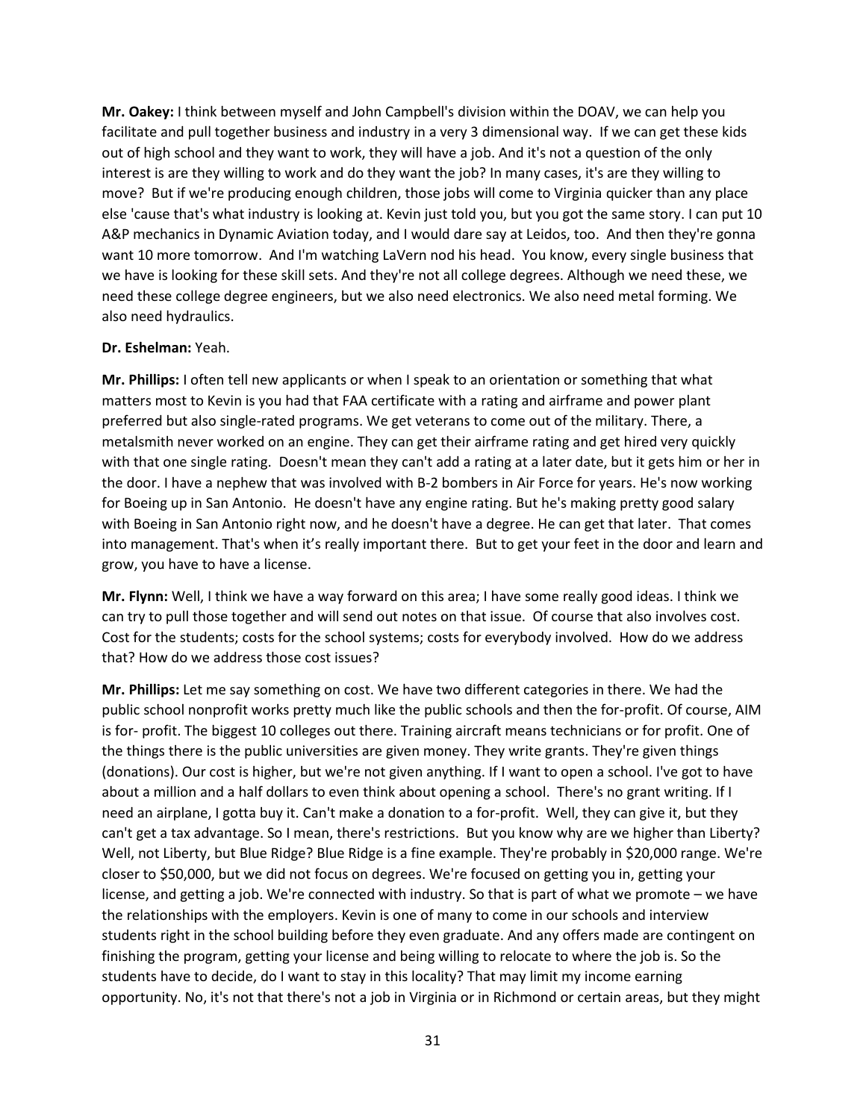**Mr. Oakey:** I think between myself and John Campbell's division within the DOAV, we can help you facilitate and pull together business and industry in a very 3 dimensional way. If we can get these kids out of high school and they want to work, they will have a job. And it's not a question of the only interest is are they willing to work and do they want the job? In many cases, it's are they willing to move? But if we're producing enough children, those jobs will come to Virginia quicker than any place else 'cause that's what industry is looking at. Kevin just told you, but you got the same story. I can put 10 A&P mechanics in Dynamic Aviation today, and I would dare say at Leidos, too. And then they're gonna want 10 more tomorrow. And I'm watching LaVern nod his head. You know, every single business that we have is looking for these skill sets. And they're not all college degrees. Although we need these, we need these college degree engineers, but we also need electronics. We also need metal forming. We also need hydraulics.

#### **Dr. Eshelman:** Yeah.

**Mr. Phillips:** I often tell new applicants or when I speak to an orientation or something that what matters most to Kevin is you had that FAA certificate with a rating and airframe and power plant preferred but also single-rated programs. We get veterans to come out of the military. There, a metalsmith never worked on an engine. They can get their airframe rating and get hired very quickly with that one single rating. Doesn't mean they can't add a rating at a later date, but it gets him or her in the door. I have a nephew that was involved with B-2 bombers in Air Force for years. He's now working for Boeing up in San Antonio. He doesn't have any engine rating. But he's making pretty good salary with Boeing in San Antonio right now, and he doesn't have a degree. He can get that later. That comes into management. That's when it's really important there. But to get your feet in the door and learn and grow, you have to have a license.

**Mr. Flynn:** Well, I think we have a way forward on this area; I have some really good ideas. I think we can try to pull those together and will send out notes on that issue. Of course that also involves cost. Cost for the students; costs for the school systems; costs for everybody involved. How do we address that? How do we address those cost issues?

**Mr. Phillips:** Let me say something on cost. We have two different categories in there. We had the public school nonprofit works pretty much like the public schools and then the for-profit. Of course, AIM is for- profit. The biggest 10 colleges out there. Training aircraft means technicians or for profit. One of the things there is the public universities are given money. They write grants. They're given things (donations). Our cost is higher, but we're not given anything. If I want to open a school. I've got to have about a million and a half dollars to even think about opening a school. There's no grant writing. If I need an airplane, I gotta buy it. Can't make a donation to a for-profit. Well, they can give it, but they can't get a tax advantage. So I mean, there's restrictions. But you know why are we higher than Liberty? Well, not Liberty, but Blue Ridge? Blue Ridge is a fine example. They're probably in \$20,000 range. We're closer to \$50,000, but we did not focus on degrees. We're focused on getting you in, getting your license, and getting a job. We're connected with industry. So that is part of what we promote – we have the relationships with the employers. Kevin is one of many to come in our schools and interview students right in the school building before they even graduate. And any offers made are contingent on finishing the program, getting your license and being willing to relocate to where the job is. So the students have to decide, do I want to stay in this locality? That may limit my income earning opportunity. No, it's not that there's not a job in Virginia or in Richmond or certain areas, but they might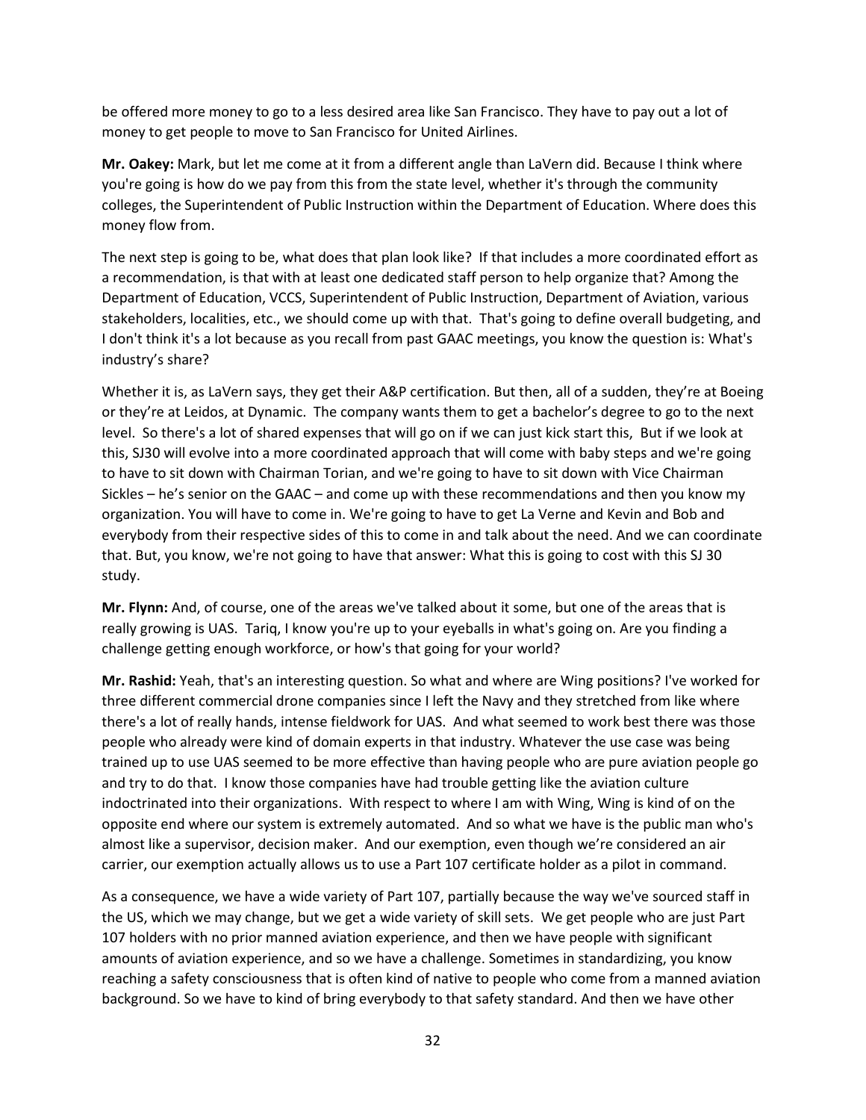be offered more money to go to a less desired area like San Francisco. They have to pay out a lot of money to get people to move to San Francisco for United Airlines.

**Mr. Oakey:** Mark, but let me come at it from a different angle than LaVern did. Because I think where you're going is how do we pay from this from the state level, whether it's through the community colleges, the Superintendent of Public Instruction within the Department of Education. Where does this money flow from.

The next step is going to be, what does that plan look like? If that includes a more coordinated effort as a recommendation, is that with at least one dedicated staff person to help organize that? Among the Department of Education, VCCS, Superintendent of Public Instruction, Department of Aviation, various stakeholders, localities, etc., we should come up with that. That's going to define overall budgeting, and I don't think it's a lot because as you recall from past GAAC meetings, you know the question is: What's industry's share?

Whether it is, as LaVern says, they get their A&P certification. But then, all of a sudden, they're at Boeing or they're at Leidos, at Dynamic. The company wants them to get a bachelor's degree to go to the next level. So there's a lot of shared expenses that will go on if we can just kick start this, But if we look at this, SJ30 will evolve into a more coordinated approach that will come with baby steps and we're going to have to sit down with Chairman Torian, and we're going to have to sit down with Vice Chairman Sickles – he's senior on the GAAC – and come up with these recommendations and then you know my organization. You will have to come in. We're going to have to get La Verne and Kevin and Bob and everybody from their respective sides of this to come in and talk about the need. And we can coordinate that. But, you know, we're not going to have that answer: What this is going to cost with this SJ 30 study.

**Mr. Flynn:** And, of course, one of the areas we've talked about it some, but one of the areas that is really growing is UAS. Tariq, I know you're up to your eyeballs in what's going on. Are you finding a challenge getting enough workforce, or how's that going for your world?

**Mr. Rashid:** Yeah, that's an interesting question. So what and where are Wing positions? I've worked for three different commercial drone companies since I left the Navy and they stretched from like where there's a lot of really hands, intense fieldwork for UAS. And what seemed to work best there was those people who already were kind of domain experts in that industry. Whatever the use case was being trained up to use UAS seemed to be more effective than having people who are pure aviation people go and try to do that. I know those companies have had trouble getting like the aviation culture indoctrinated into their organizations. With respect to where I am with Wing, Wing is kind of on the opposite end where our system is extremely automated. And so what we have is the public man who's almost like a supervisor, decision maker. And our exemption, even though we're considered an air carrier, our exemption actually allows us to use a Part 107 certificate holder as a pilot in command.

As a consequence, we have a wide variety of Part 107, partially because the way we've sourced staff in the US, which we may change, but we get a wide variety of skill sets. We get people who are just Part 107 holders with no prior manned aviation experience, and then we have people with significant amounts of aviation experience, and so we have a challenge. Sometimes in standardizing, you know reaching a safety consciousness that is often kind of native to people who come from a manned aviation background. So we have to kind of bring everybody to that safety standard. And then we have other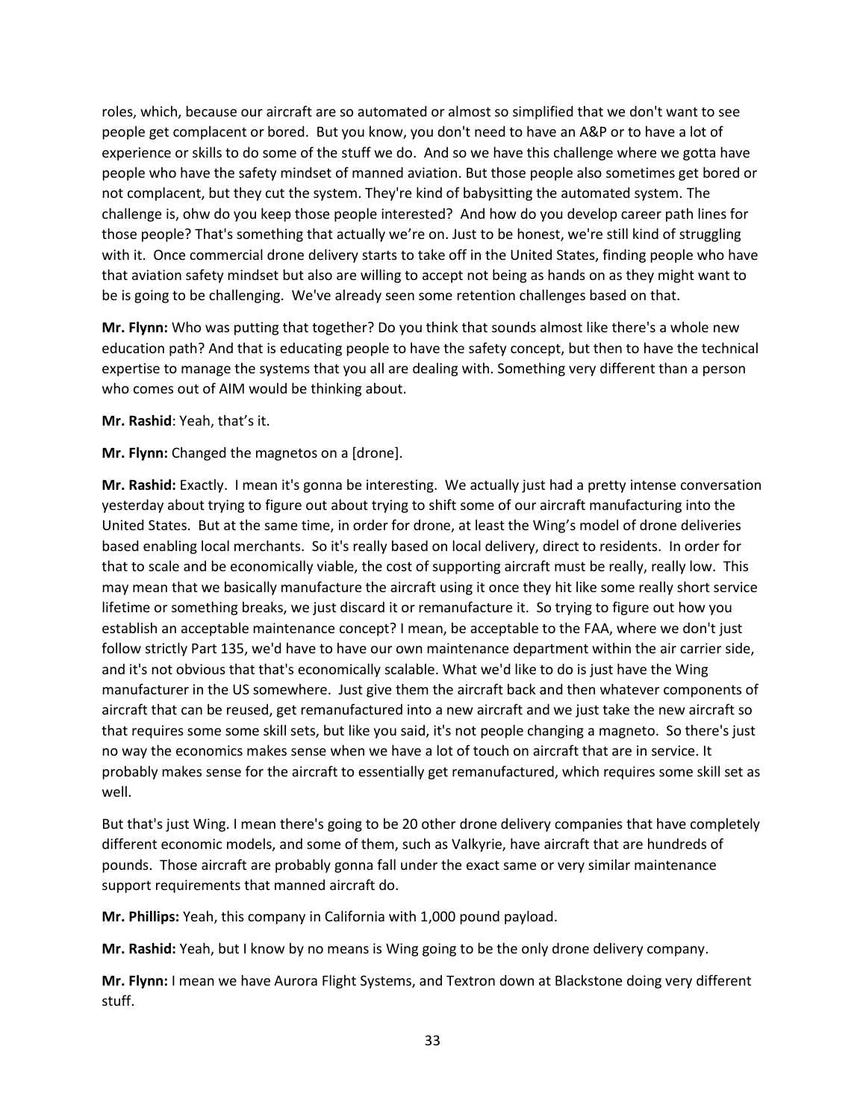roles, which, because our aircraft are so automated or almost so simplified that we don't want to see people get complacent or bored. But you know, you don't need to have an A&P or to have a lot of experience or skills to do some of the stuff we do. And so we have this challenge where we gotta have people who have the safety mindset of manned aviation. But those people also sometimes get bored or not complacent, but they cut the system. They're kind of babysitting the automated system. The challenge is, ohw do you keep those people interested? And how do you develop career path lines for those people? That's something that actually we're on. Just to be honest, we're still kind of struggling with it. Once commercial drone delivery starts to take off in the United States, finding people who have that aviation safety mindset but also are willing to accept not being as hands on as they might want to be is going to be challenging. We've already seen some retention challenges based on that.

**Mr. Flynn:** Who was putting that together? Do you think that sounds almost like there's a whole new education path? And that is educating people to have the safety concept, but then to have the technical expertise to manage the systems that you all are dealing with. Something very different than a person who comes out of AIM would be thinking about.

**Mr. Rashid**: Yeah, that's it.

**Mr. Flynn:** Changed the magnetos on a [drone].

**Mr. Rashid:** Exactly. I mean it's gonna be interesting. We actually just had a pretty intense conversation yesterday about trying to figure out about trying to shift some of our aircraft manufacturing into the United States. But at the same time, in order for drone, at least the Wing's model of drone deliveries based enabling local merchants. So it's really based on local delivery, direct to residents. In order for that to scale and be economically viable, the cost of supporting aircraft must be really, really low. This may mean that we basically manufacture the aircraft using it once they hit like some really short service lifetime or something breaks, we just discard it or remanufacture it. So trying to figure out how you establish an acceptable maintenance concept? I mean, be acceptable to the FAA, where we don't just follow strictly Part 135, we'd have to have our own maintenance department within the air carrier side, and it's not obvious that that's economically scalable. What we'd like to do is just have the Wing manufacturer in the US somewhere. Just give them the aircraft back and then whatever components of aircraft that can be reused, get remanufactured into a new aircraft and we just take the new aircraft so that requires some some skill sets, but like you said, it's not people changing a magneto. So there's just no way the economics makes sense when we have a lot of touch on aircraft that are in service. It probably makes sense for the aircraft to essentially get remanufactured, which requires some skill set as well.

But that's just Wing. I mean there's going to be 20 other drone delivery companies that have completely different economic models, and some of them, such as Valkyrie, have aircraft that are hundreds of pounds. Those aircraft are probably gonna fall under the exact same or very similar maintenance support requirements that manned aircraft do.

**Mr. Phillips:** Yeah, this company in California with 1,000 pound payload.

**Mr. Rashid:** Yeah, but I know by no means is Wing going to be the only drone delivery company.

**Mr. Flynn:** I mean we have Aurora Flight Systems, and Textron down at Blackstone doing very different stuff.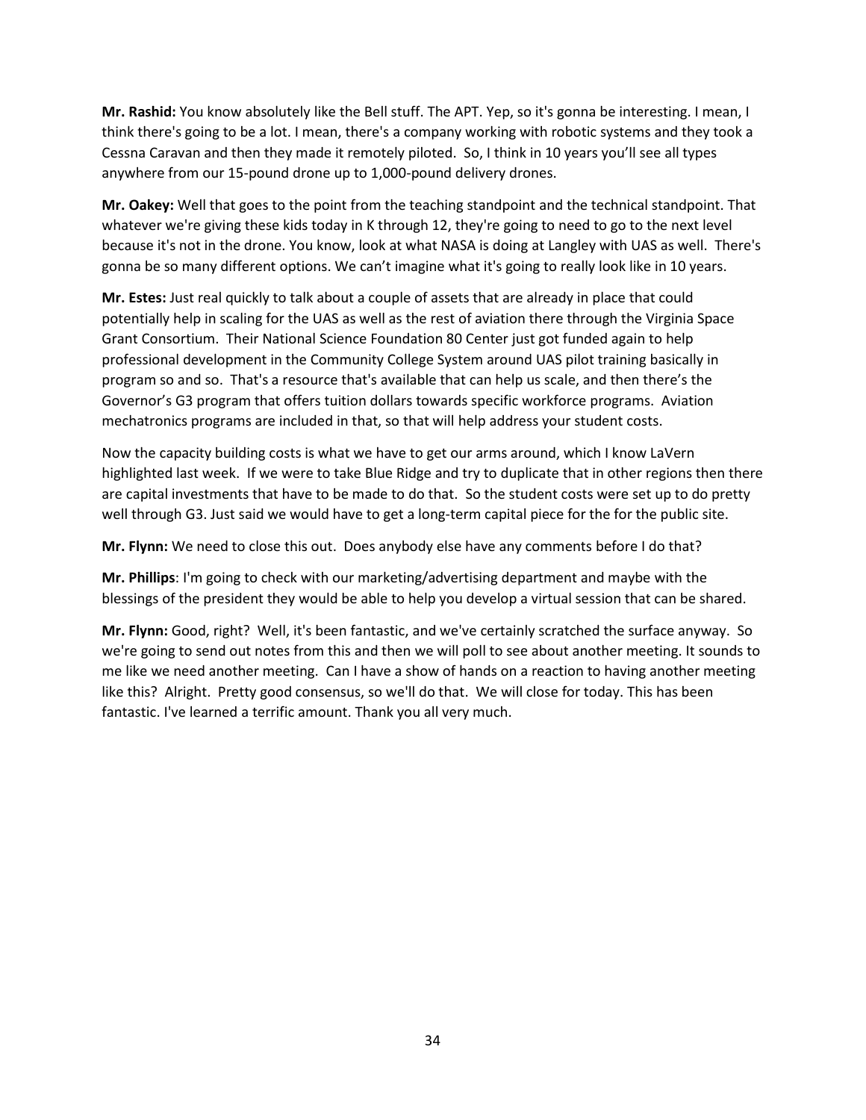**Mr. Rashid:** You know absolutely like the Bell stuff. The APT. Yep, so it's gonna be interesting. I mean, I think there's going to be a lot. I mean, there's a company working with robotic systems and they took a Cessna Caravan and then they made it remotely piloted. So, I think in 10 years you'll see all types anywhere from our 15-pound drone up to 1,000-pound delivery drones.

**Mr. Oakey:** Well that goes to the point from the teaching standpoint and the technical standpoint. That whatever we're giving these kids today in K through 12, they're going to need to go to the next level because it's not in the drone. You know, look at what NASA is doing at Langley with UAS as well. There's gonna be so many different options. We can't imagine what it's going to really look like in 10 years.

**Mr. Estes:** Just real quickly to talk about a couple of assets that are already in place that could potentially help in scaling for the UAS as well as the rest of aviation there through the Virginia Space Grant Consortium. Their National Science Foundation 80 Center just got funded again to help professional development in the Community College System around UAS pilot training basically in program so and so. That's a resource that's available that can help us scale, and then there's the Governor's G3 program that offers tuition dollars towards specific workforce programs. Aviation mechatronics programs are included in that, so that will help address your student costs.

Now the capacity building costs is what we have to get our arms around, which I know LaVern highlighted last week. If we were to take Blue Ridge and try to duplicate that in other regions then there are capital investments that have to be made to do that. So the student costs were set up to do pretty well through G3. Just said we would have to get a long-term capital piece for the for the public site.

**Mr. Flynn:** We need to close this out. Does anybody else have any comments before I do that?

**Mr. Phillips**: I'm going to check with our marketing/advertising department and maybe with the blessings of the president they would be able to help you develop a virtual session that can be shared.

**Mr. Flynn:** Good, right? Well, it's been fantastic, and we've certainly scratched the surface anyway. So we're going to send out notes from this and then we will poll to see about another meeting. It sounds to me like we need another meeting. Can I have a show of hands on a reaction to having another meeting like this? Alright. Pretty good consensus, so we'll do that. We will close for today. This has been fantastic. I've learned a terrific amount. Thank you all very much.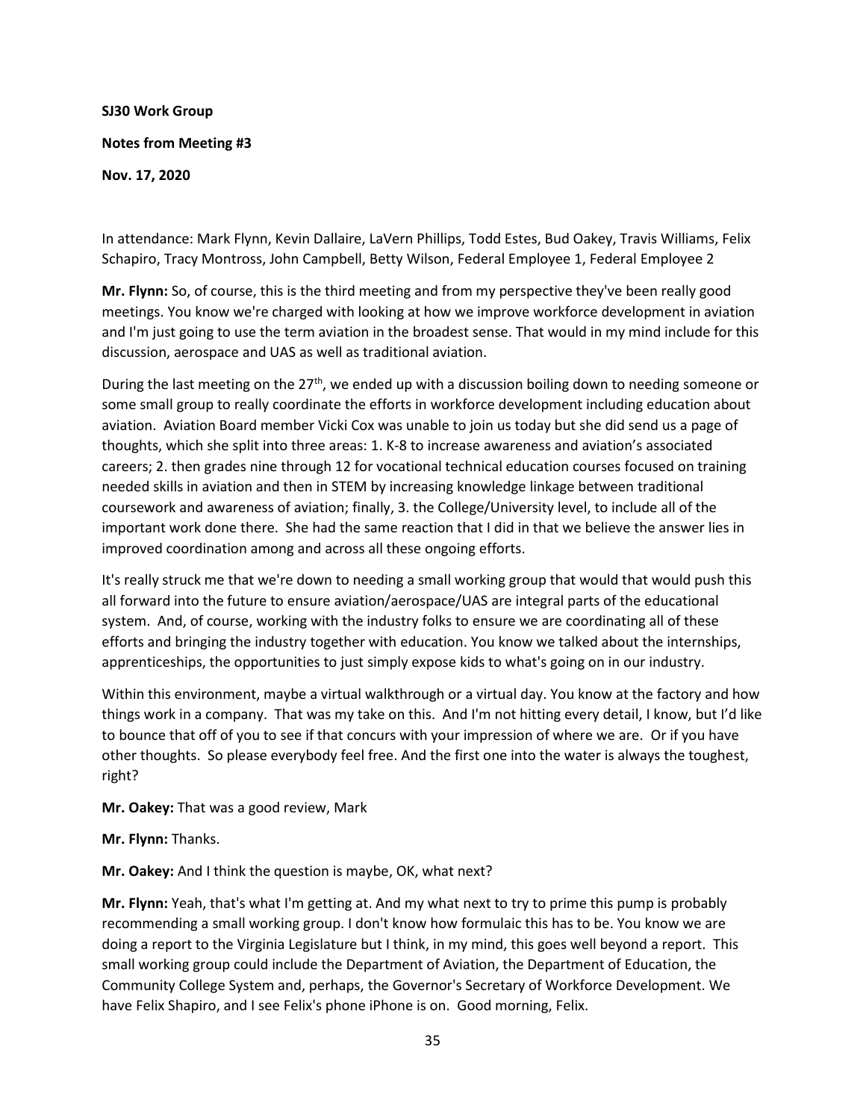# **SJ30 Work Group Notes from Meeting #3 Nov. 17, 2020**

In attendance: Mark Flynn, Kevin Dallaire, LaVern Phillips, Todd Estes, Bud Oakey, Travis Williams, Felix Schapiro, Tracy Montross, John Campbell, Betty Wilson, Federal Employee 1, Federal Employee 2

**Mr. Flynn:** So, of course, this is the third meeting and from my perspective they've been really good meetings. You know we're charged with looking at how we improve workforce development in aviation and I'm just going to use the term aviation in the broadest sense. That would in my mind include for this discussion, aerospace and UAS as well as traditional aviation.

During the last meeting on the  $27<sup>th</sup>$ , we ended up with a discussion boiling down to needing someone or some small group to really coordinate the efforts in workforce development including education about aviation. Aviation Board member Vicki Cox was unable to join us today but she did send us a page of thoughts, which she split into three areas: 1. K-8 to increase awareness and aviation's associated careers; 2. then grades nine through 12 for vocational technical education courses focused on training needed skills in aviation and then in STEM by increasing knowledge linkage between traditional coursework and awareness of aviation; finally, 3. the College/University level, to include all of the important work done there. She had the same reaction that I did in that we believe the answer lies in improved coordination among and across all these ongoing efforts.

It's really struck me that we're down to needing a small working group that would that would push this all forward into the future to ensure aviation/aerospace/UAS are integral parts of the educational system. And, of course, working with the industry folks to ensure we are coordinating all of these efforts and bringing the industry together with education. You know we talked about the internships, apprenticeships, the opportunities to just simply expose kids to what's going on in our industry.

Within this environment, maybe a virtual walkthrough or a virtual day. You know at the factory and how things work in a company. That was my take on this. And I'm not hitting every detail, I know, but I'd like to bounce that off of you to see if that concurs with your impression of where we are. Or if you have other thoughts. So please everybody feel free. And the first one into the water is always the toughest, right?

**Mr. Oakey:** That was a good review, Mark

**Mr. Flynn:** Thanks.

**Mr. Oakey:** And I think the question is maybe, OK, what next?

**Mr. Flynn:** Yeah, that's what I'm getting at. And my what next to try to prime this pump is probably recommending a small working group. I don't know how formulaic this has to be. You know we are doing a report to the Virginia Legislature but I think, in my mind, this goes well beyond a report. This small working group could include the Department of Aviation, the Department of Education, the Community College System and, perhaps, the Governor's Secretary of Workforce Development. We have Felix Shapiro, and I see Felix's phone iPhone is on. Good morning, Felix.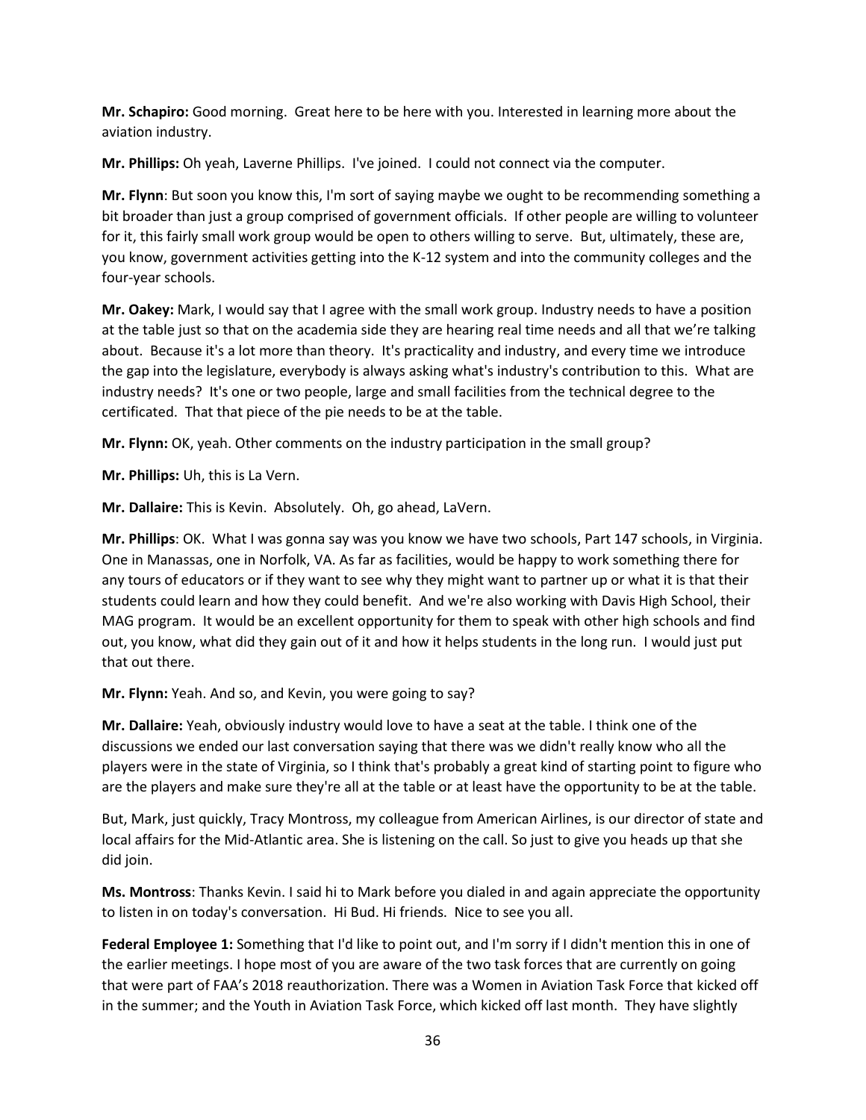**Mr. Schapiro:** Good morning. Great here to be here with you. Interested in learning more about the aviation industry.

**Mr. Phillips:** Oh yeah, Laverne Phillips. I've joined. I could not connect via the computer.

**Mr. Flynn**: But soon you know this, I'm sort of saying maybe we ought to be recommending something a bit broader than just a group comprised of government officials. If other people are willing to volunteer for it, this fairly small work group would be open to others willing to serve. But, ultimately, these are, you know, government activities getting into the K-12 system and into the community colleges and the four-year schools.

**Mr. Oakey:** Mark, I would say that I agree with the small work group. Industry needs to have a position at the table just so that on the academia side they are hearing real time needs and all that we're talking about. Because it's a lot more than theory. It's practicality and industry, and every time we introduce the gap into the legislature, everybody is always asking what's industry's contribution to this. What are industry needs? It's one or two people, large and small facilities from the technical degree to the certificated. That that piece of the pie needs to be at the table.

**Mr. Flynn:** OK, yeah. Other comments on the industry participation in the small group?

**Mr. Phillips:** Uh, this is La Vern.

**Mr. Dallaire:** This is Kevin. Absolutely. Oh, go ahead, LaVern.

**Mr. Phillips**: OK. What I was gonna say was you know we have two schools, Part 147 schools, in Virginia. One in Manassas, one in Norfolk, VA. As far as facilities, would be happy to work something there for any tours of educators or if they want to see why they might want to partner up or what it is that their students could learn and how they could benefit. And we're also working with Davis High School, their MAG program. It would be an excellent opportunity for them to speak with other high schools and find out, you know, what did they gain out of it and how it helps students in the long run. I would just put that out there.

**Mr. Flynn:** Yeah. And so, and Kevin, you were going to say?

**Mr. Dallaire:** Yeah, obviously industry would love to have a seat at the table. I think one of the discussions we ended our last conversation saying that there was we didn't really know who all the players were in the state of Virginia, so I think that's probably a great kind of starting point to figure who are the players and make sure they're all at the table or at least have the opportunity to be at the table.

But, Mark, just quickly, Tracy Montross, my colleague from American Airlines, is our director of state and local affairs for the Mid-Atlantic area. She is listening on the call. So just to give you heads up that she did join.

**Ms. Montross**: Thanks Kevin. I said hi to Mark before you dialed in and again appreciate the opportunity to listen in on today's conversation. Hi Bud. Hi friends. Nice to see you all.

**Federal Employee 1:** Something that I'd like to point out, and I'm sorry if I didn't mention this in one of the earlier meetings. I hope most of you are aware of the two task forces that are currently on going that were part of FAA's 2018 reauthorization. There was a Women in Aviation Task Force that kicked off in the summer; and the Youth in Aviation Task Force, which kicked off last month. They have slightly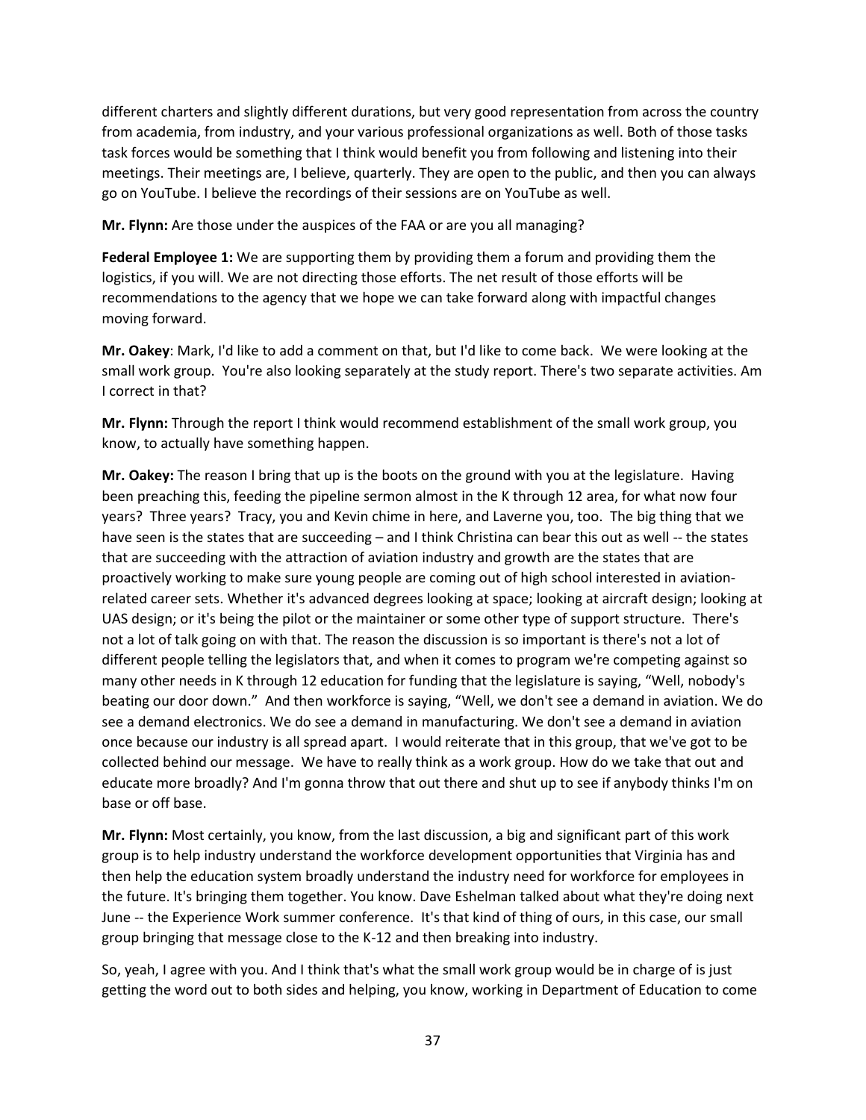different charters and slightly different durations, but very good representation from across the country from academia, from industry, and your various professional organizations as well. Both of those tasks task forces would be something that I think would benefit you from following and listening into their meetings. Their meetings are, I believe, quarterly. They are open to the public, and then you can always go on YouTube. I believe the recordings of their sessions are on YouTube as well.

**Mr. Flynn:** Are those under the auspices of the FAA or are you all managing?

**Federal Employee 1:** We are supporting them by providing them a forum and providing them the logistics, if you will. We are not directing those efforts. The net result of those efforts will be recommendations to the agency that we hope we can take forward along with impactful changes moving forward.

**Mr. Oakey**: Mark, I'd like to add a comment on that, but I'd like to come back. We were looking at the small work group. You're also looking separately at the study report. There's two separate activities. Am I correct in that?

**Mr. Flynn:** Through the report I think would recommend establishment of the small work group, you know, to actually have something happen.

**Mr. Oakey:** The reason I bring that up is the boots on the ground with you at the legislature. Having been preaching this, feeding the pipeline sermon almost in the K through 12 area, for what now four years? Three years? Tracy, you and Kevin chime in here, and Laverne you, too. The big thing that we have seen is the states that are succeeding – and I think Christina can bear this out as well -- the states that are succeeding with the attraction of aviation industry and growth are the states that are proactively working to make sure young people are coming out of high school interested in aviationrelated career sets. Whether it's advanced degrees looking at space; looking at aircraft design; looking at UAS design; or it's being the pilot or the maintainer or some other type of support structure. There's not a lot of talk going on with that. The reason the discussion is so important is there's not a lot of different people telling the legislators that, and when it comes to program we're competing against so many other needs in K through 12 education for funding that the legislature is saying, "Well, nobody's beating our door down." And then workforce is saying, "Well, we don't see a demand in aviation. We do see a demand electronics. We do see a demand in manufacturing. We don't see a demand in aviation once because our industry is all spread apart. I would reiterate that in this group, that we've got to be collected behind our message. We have to really think as a work group. How do we take that out and educate more broadly? And I'm gonna throw that out there and shut up to see if anybody thinks I'm on base or off base.

**Mr. Flynn:** Most certainly, you know, from the last discussion, a big and significant part of this work group is to help industry understand the workforce development opportunities that Virginia has and then help the education system broadly understand the industry need for workforce for employees in the future. It's bringing them together. You know. Dave Eshelman talked about what they're doing next June -- the Experience Work summer conference. It's that kind of thing of ours, in this case, our small group bringing that message close to the K-12 and then breaking into industry.

So, yeah, I agree with you. And I think that's what the small work group would be in charge of is just getting the word out to both sides and helping, you know, working in Department of Education to come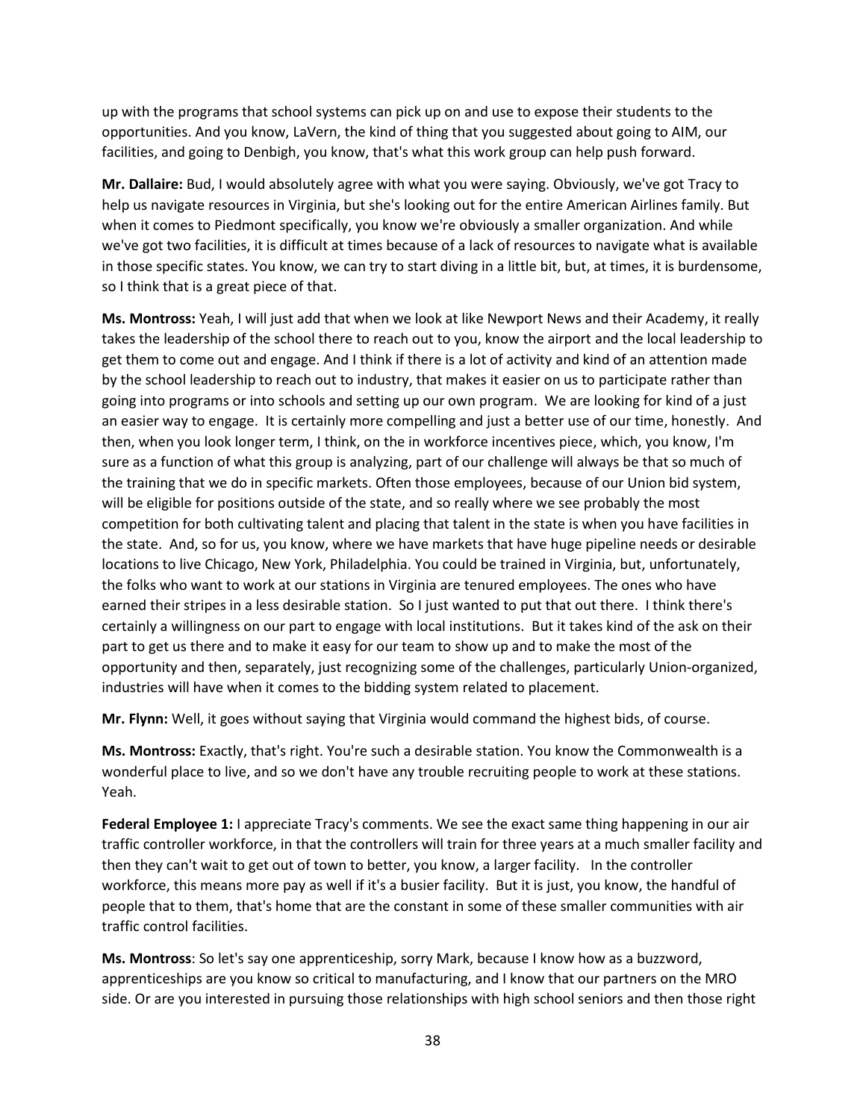up with the programs that school systems can pick up on and use to expose their students to the opportunities. And you know, LaVern, the kind of thing that you suggested about going to AIM, our facilities, and going to Denbigh, you know, that's what this work group can help push forward.

**Mr. Dallaire:** Bud, I would absolutely agree with what you were saying. Obviously, we've got Tracy to help us navigate resources in Virginia, but she's looking out for the entire American Airlines family. But when it comes to Piedmont specifically, you know we're obviously a smaller organization. And while we've got two facilities, it is difficult at times because of a lack of resources to navigate what is available in those specific states. You know, we can try to start diving in a little bit, but, at times, it is burdensome, so I think that is a great piece of that.

**Ms. Montross:** Yeah, I will just add that when we look at like Newport News and their Academy, it really takes the leadership of the school there to reach out to you, know the airport and the local leadership to get them to come out and engage. And I think if there is a lot of activity and kind of an attention made by the school leadership to reach out to industry, that makes it easier on us to participate rather than going into programs or into schools and setting up our own program. We are looking for kind of a just an easier way to engage. It is certainly more compelling and just a better use of our time, honestly. And then, when you look longer term, I think, on the in workforce incentives piece, which, you know, I'm sure as a function of what this group is analyzing, part of our challenge will always be that so much of the training that we do in specific markets. Often those employees, because of our Union bid system, will be eligible for positions outside of the state, and so really where we see probably the most competition for both cultivating talent and placing that talent in the state is when you have facilities in the state. And, so for us, you know, where we have markets that have huge pipeline needs or desirable locations to live Chicago, New York, Philadelphia. You could be trained in Virginia, but, unfortunately, the folks who want to work at our stations in Virginia are tenured employees. The ones who have earned their stripes in a less desirable station. So I just wanted to put that out there. I think there's certainly a willingness on our part to engage with local institutions. But it takes kind of the ask on their part to get us there and to make it easy for our team to show up and to make the most of the opportunity and then, separately, just recognizing some of the challenges, particularly Union-organized, industries will have when it comes to the bidding system related to placement.

**Mr. Flynn:** Well, it goes without saying that Virginia would command the highest bids, of course.

**Ms. Montross:** Exactly, that's right. You're such a desirable station. You know the Commonwealth is a wonderful place to live, and so we don't have any trouble recruiting people to work at these stations. Yeah.

**Federal Employee 1:** I appreciate Tracy's comments. We see the exact same thing happening in our air traffic controller workforce, in that the controllers will train for three years at a much smaller facility and then they can't wait to get out of town to better, you know, a larger facility. In the controller workforce, this means more pay as well if it's a busier facility. But it is just, you know, the handful of people that to them, that's home that are the constant in some of these smaller communities with air traffic control facilities.

**Ms. Montross**: So let's say one apprenticeship, sorry Mark, because I know how as a buzzword, apprenticeships are you know so critical to manufacturing, and I know that our partners on the MRO side. Or are you interested in pursuing those relationships with high school seniors and then those right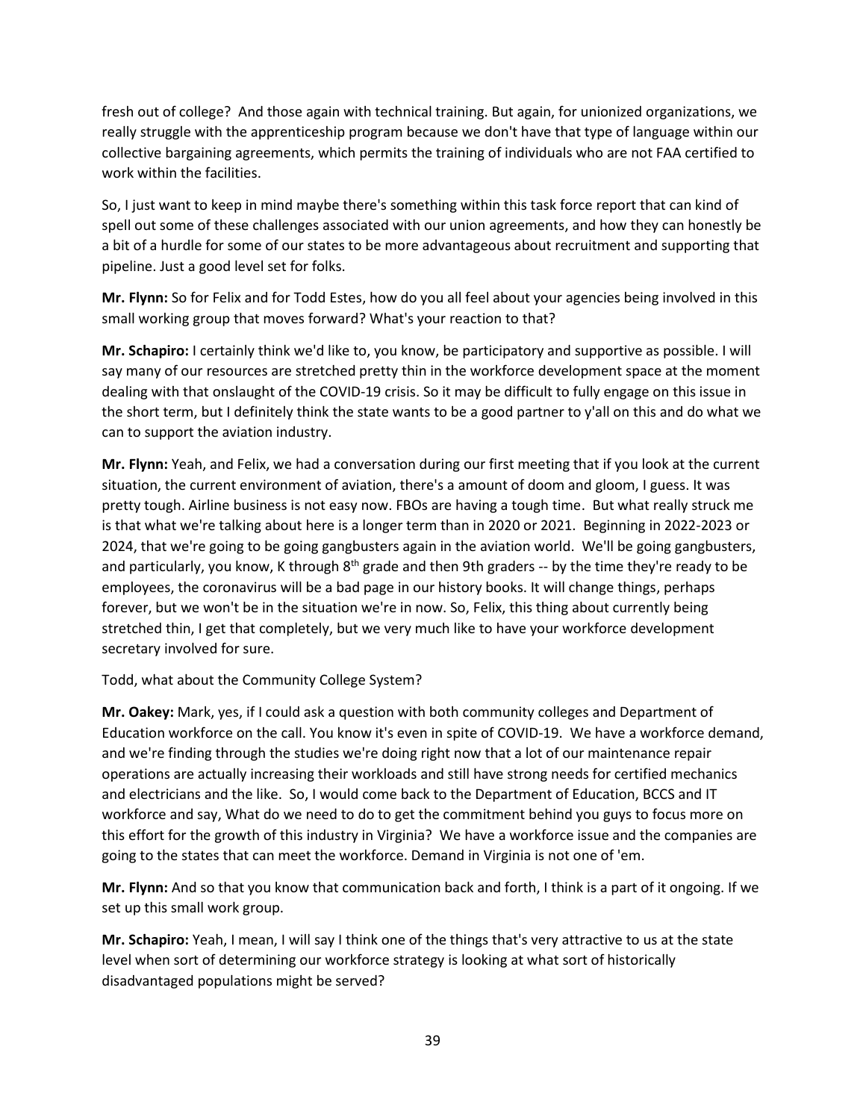fresh out of college? And those again with technical training. But again, for unionized organizations, we really struggle with the apprenticeship program because we don't have that type of language within our collective bargaining agreements, which permits the training of individuals who are not FAA certified to work within the facilities.

So, I just want to keep in mind maybe there's something within this task force report that can kind of spell out some of these challenges associated with our union agreements, and how they can honestly be a bit of a hurdle for some of our states to be more advantageous about recruitment and supporting that pipeline. Just a good level set for folks.

**Mr. Flynn:** So for Felix and for Todd Estes, how do you all feel about your agencies being involved in this small working group that moves forward? What's your reaction to that?

**Mr. Schapiro:** I certainly think we'd like to, you know, be participatory and supportive as possible. I will say many of our resources are stretched pretty thin in the workforce development space at the moment dealing with that onslaught of the COVID-19 crisis. So it may be difficult to fully engage on this issue in the short term, but I definitely think the state wants to be a good partner to y'all on this and do what we can to support the aviation industry.

**Mr. Flynn:** Yeah, and Felix, we had a conversation during our first meeting that if you look at the current situation, the current environment of aviation, there's a amount of doom and gloom, I guess. It was pretty tough. Airline business is not easy now. FBOs are having a tough time. But what really struck me is that what we're talking about here is a longer term than in 2020 or 2021. Beginning in 2022-2023 or 2024, that we're going to be going gangbusters again in the aviation world. We'll be going gangbusters, and particularly, you know, K through 8<sup>th</sup> grade and then 9th graders -- by the time they're ready to be employees, the coronavirus will be a bad page in our history books. It will change things, perhaps forever, but we won't be in the situation we're in now. So, Felix, this thing about currently being stretched thin, I get that completely, but we very much like to have your workforce development secretary involved for sure.

Todd, what about the Community College System?

**Mr. Oakey:** Mark, yes, if I could ask a question with both community colleges and Department of Education workforce on the call. You know it's even in spite of COVID-19. We have a workforce demand, and we're finding through the studies we're doing right now that a lot of our maintenance repair operations are actually increasing their workloads and still have strong needs for certified mechanics and electricians and the like. So, I would come back to the Department of Education, BCCS and IT workforce and say, What do we need to do to get the commitment behind you guys to focus more on this effort for the growth of this industry in Virginia? We have a workforce issue and the companies are going to the states that can meet the workforce. Demand in Virginia is not one of 'em.

**Mr. Flynn:** And so that you know that communication back and forth, I think is a part of it ongoing. If we set up this small work group.

**Mr. Schapiro:** Yeah, I mean, I will say I think one of the things that's very attractive to us at the state level when sort of determining our workforce strategy is looking at what sort of historically disadvantaged populations might be served?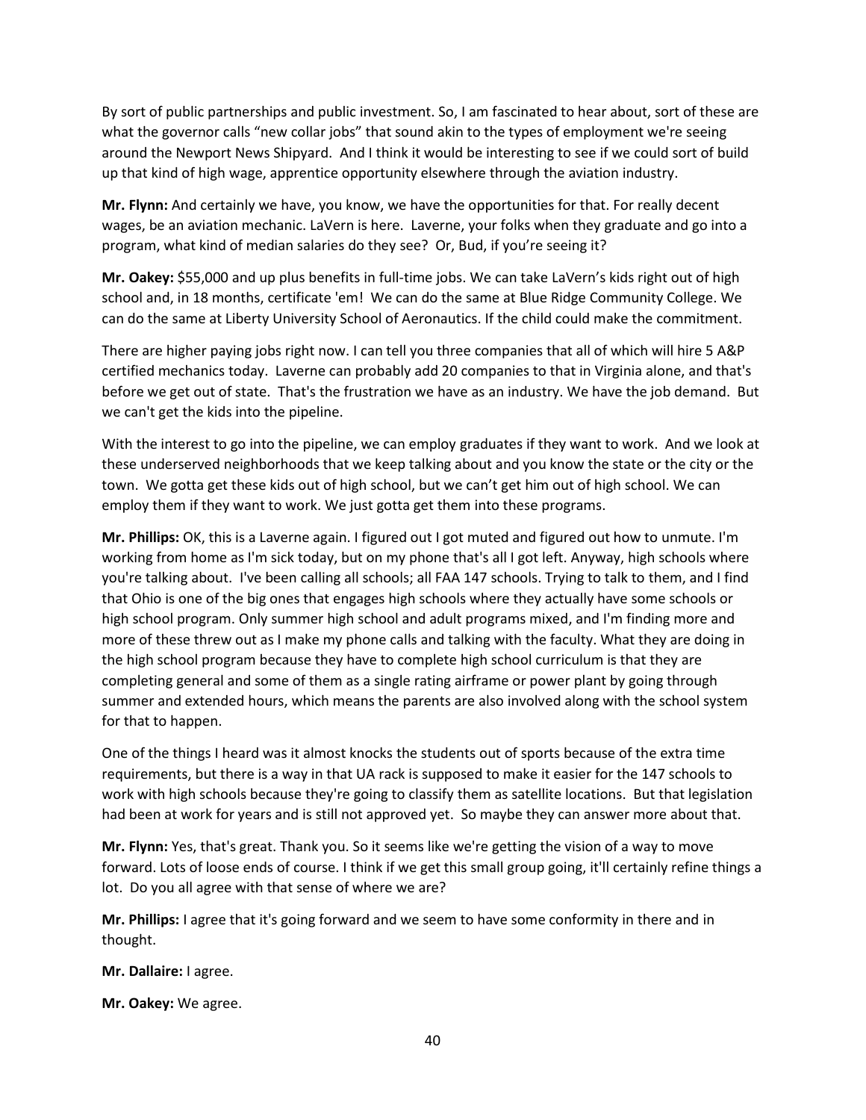By sort of public partnerships and public investment. So, I am fascinated to hear about, sort of these are what the governor calls "new collar jobs" that sound akin to the types of employment we're seeing around the Newport News Shipyard. And I think it would be interesting to see if we could sort of build up that kind of high wage, apprentice opportunity elsewhere through the aviation industry.

**Mr. Flynn:** And certainly we have, you know, we have the opportunities for that. For really decent wages, be an aviation mechanic. LaVern is here. Laverne, your folks when they graduate and go into a program, what kind of median salaries do they see? Or, Bud, if you're seeing it?

**Mr. Oakey:** \$55,000 and up plus benefits in full-time jobs. We can take LaVern's kids right out of high school and, in 18 months, certificate 'em! We can do the same at Blue Ridge Community College. We can do the same at Liberty University School of Aeronautics. If the child could make the commitment.

There are higher paying jobs right now. I can tell you three companies that all of which will hire 5 A&P certified mechanics today. Laverne can probably add 20 companies to that in Virginia alone, and that's before we get out of state. That's the frustration we have as an industry. We have the job demand. But we can't get the kids into the pipeline.

With the interest to go into the pipeline, we can employ graduates if they want to work. And we look at these underserved neighborhoods that we keep talking about and you know the state or the city or the town. We gotta get these kids out of high school, but we can't get him out of high school. We can employ them if they want to work. We just gotta get them into these programs.

**Mr. Phillips:** OK, this is a Laverne again. I figured out I got muted and figured out how to unmute. I'm working from home as I'm sick today, but on my phone that's all I got left. Anyway, high schools where you're talking about. I've been calling all schools; all FAA 147 schools. Trying to talk to them, and I find that Ohio is one of the big ones that engages high schools where they actually have some schools or high school program. Only summer high school and adult programs mixed, and I'm finding more and more of these threw out as I make my phone calls and talking with the faculty. What they are doing in the high school program because they have to complete high school curriculum is that they are completing general and some of them as a single rating airframe or power plant by going through summer and extended hours, which means the parents are also involved along with the school system for that to happen.

One of the things I heard was it almost knocks the students out of sports because of the extra time requirements, but there is a way in that UA rack is supposed to make it easier for the 147 schools to work with high schools because they're going to classify them as satellite locations. But that legislation had been at work for years and is still not approved yet. So maybe they can answer more about that.

**Mr. Flynn:** Yes, that's great. Thank you. So it seems like we're getting the vision of a way to move forward. Lots of loose ends of course. I think if we get this small group going, it'll certainly refine things a lot. Do you all agree with that sense of where we are?

**Mr. Phillips:** I agree that it's going forward and we seem to have some conformity in there and in thought.

**Mr. Dallaire:** I agree.

**Mr. Oakey:** We agree.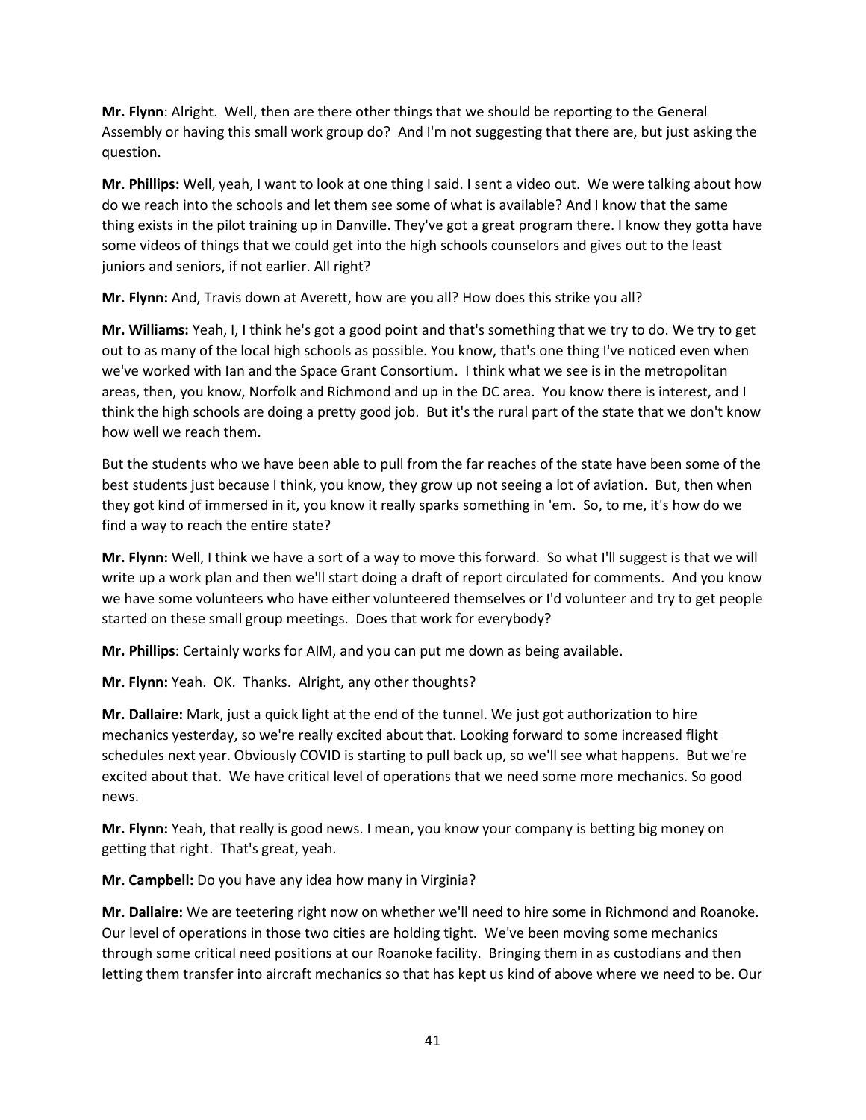**Mr. Flynn**: Alright. Well, then are there other things that we should be reporting to the General Assembly or having this small work group do? And I'm not suggesting that there are, but just asking the question.

**Mr. Phillips:** Well, yeah, I want to look at one thing I said. I sent a video out. We were talking about how do we reach into the schools and let them see some of what is available? And I know that the same thing exists in the pilot training up in Danville. They've got a great program there. I know they gotta have some videos of things that we could get into the high schools counselors and gives out to the least juniors and seniors, if not earlier. All right?

**Mr. Flynn:** And, Travis down at Averett, how are you all? How does this strike you all?

**Mr. Williams:** Yeah, I, I think he's got a good point and that's something that we try to do. We try to get out to as many of the local high schools as possible. You know, that's one thing I've noticed even when we've worked with Ian and the Space Grant Consortium. I think what we see is in the metropolitan areas, then, you know, Norfolk and Richmond and up in the DC area. You know there is interest, and I think the high schools are doing a pretty good job. But it's the rural part of the state that we don't know how well we reach them.

But the students who we have been able to pull from the far reaches of the state have been some of the best students just because I think, you know, they grow up not seeing a lot of aviation. But, then when they got kind of immersed in it, you know it really sparks something in 'em. So, to me, it's how do we find a way to reach the entire state?

**Mr. Flynn:** Well, I think we have a sort of a way to move this forward. So what I'll suggest is that we will write up a work plan and then we'll start doing a draft of report circulated for comments. And you know we have some volunteers who have either volunteered themselves or I'd volunteer and try to get people started on these small group meetings. Does that work for everybody?

**Mr. Phillips**: Certainly works for AIM, and you can put me down as being available.

**Mr. Flynn:** Yeah. OK. Thanks. Alright, any other thoughts?

**Mr. Dallaire:** Mark, just a quick light at the end of the tunnel. We just got authorization to hire mechanics yesterday, so we're really excited about that. Looking forward to some increased flight schedules next year. Obviously COVID is starting to pull back up, so we'll see what happens. But we're excited about that. We have critical level of operations that we need some more mechanics. So good news.

**Mr. Flynn:** Yeah, that really is good news. I mean, you know your company is betting big money on getting that right. That's great, yeah.

**Mr. Campbell:** Do you have any idea how many in Virginia?

**Mr. Dallaire:** We are teetering right now on whether we'll need to hire some in Richmond and Roanoke. Our level of operations in those two cities are holding tight. We've been moving some mechanics through some critical need positions at our Roanoke facility. Bringing them in as custodians and then letting them transfer into aircraft mechanics so that has kept us kind of above where we need to be. Our